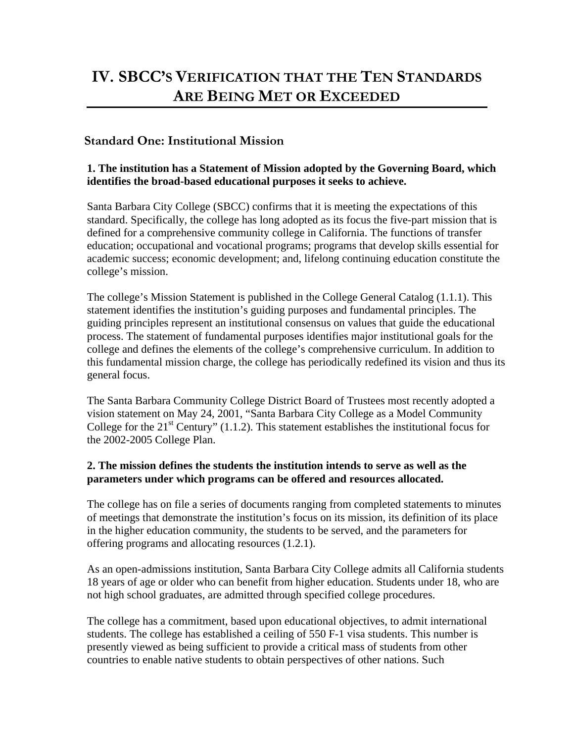# **IV. SBCC'S VERIFICATION THAT THE TEN STANDARDS ARE BEING MET OR EXCEEDED**

# **Standard One: Institutional Mission**

## **1. The institution has a Statement of Mission adopted by the Governing Board, which identifies the broad-based educational purposes it seeks to achieve.**

Santa Barbara City College (SBCC) confirms that it is meeting the expectations of this standard. Specifically, the college has long adopted as its focus the five-part mission that is defined for a comprehensive community college in California. The functions of transfer education; occupational and vocational programs; programs that develop skills essential for academic success; economic development; and, lifelong continuing education constitute the college's mission.

The college's Mission Statement is published in the College General Catalog (1.1.1). This statement identifies the institution's guiding purposes and fundamental principles. The guiding principles represent an institutional consensus on values that guide the educational process. The statement of fundamental purposes identifies major institutional goals for the college and defines the elements of the college's comprehensive curriculum. In addition to this fundamental mission charge, the college has periodically redefined its vision and thus its general focus.

The Santa Barbara Community College District Board of Trustees most recently adopted a vision statement on May 24, 2001, "Santa Barbara City College as a Model Community College for the  $21<sup>st</sup>$  Century" (1.1.2). This statement establishes the institutional focus for the 2002-2005 College Plan.

## **2. The mission defines the students the institution intends to serve as well as the parameters under which programs can be offered and resources allocated.**

The college has on file a series of documents ranging from completed statements to minutes of meetings that demonstrate the institution's focus on its mission, its definition of its place in the higher education community, the students to be served, and the parameters for offering programs and allocating resources (1.2.1).

As an open-admissions institution, Santa Barbara City College admits all California students 18 years of age or older who can benefit from higher education. Students under 18, who are not high school graduates, are admitted through specified college procedures.

The college has a commitment, based upon educational objectives, to admit international students. The college has established a ceiling of 550 F-1 visa students. This number is presently viewed as being sufficient to provide a critical mass of students from other countries to enable native students to obtain perspectives of other nations. Such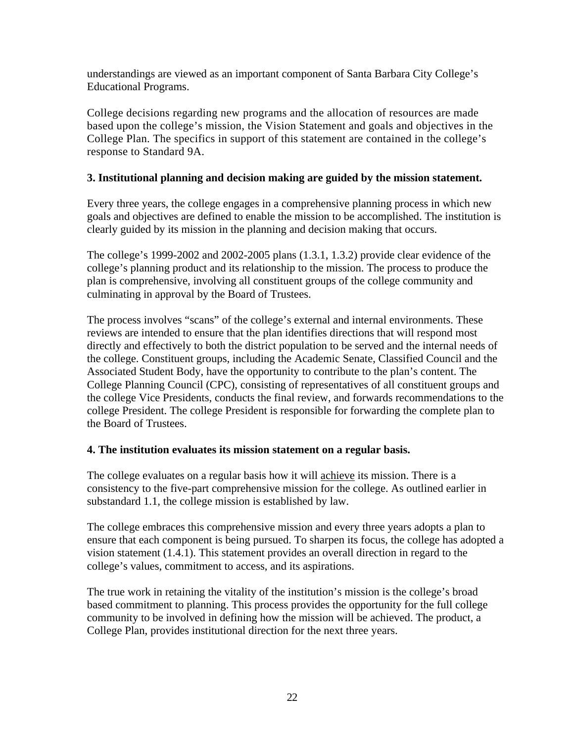understandings are viewed as an important component of Santa Barbara City College's Educational Programs.

College decisions regarding new programs and the allocation of resources are made based upon the college's mission, the Vision Statement and goals and objectives in the College Plan. The specifics in support of this statement are contained in the college's response to Standard 9A.

## **3. Institutional planning and decision making are guided by the mission statement.**

Every three years, the college engages in a comprehensive planning process in which new goals and objectives are defined to enable the mission to be accomplished. The institution is clearly guided by its mission in the planning and decision making that occurs.

The college's 1999-2002 and 2002-2005 plans (1.3.1, 1.3.2) provide clear evidence of the college's planning product and its relationship to the mission. The process to produce the plan is comprehensive, involving all constituent groups of the college community and culminating in approval by the Board of Trustees.

The process involves "scans" of the college's external and internal environments. These reviews are intended to ensure that the plan identifies directions that will respond most directly and effectively to both the district population to be served and the internal needs of the college. Constituent groups, including the Academic Senate, Classified Council and the Associated Student Body, have the opportunity to contribute to the plan's content. The College Planning Council (CPC), consisting of representatives of all constituent groups and the college Vice Presidents, conducts the final review, and forwards recommendations to the college President. The college President is responsible for forwarding the complete plan to the Board of Trustees.

## **4. The institution evaluates its mission statement on a regular basis.**

The college evaluates on a regular basis how it will achieve its mission. There is a consistency to the five-part comprehensive mission for the college. As outlined earlier in substandard 1.1, the college mission is established by law.

The college embraces this comprehensive mission and every three years adopts a plan to ensure that each component is being pursued. To sharpen its focus, the college has adopted a vision statement (1.4.1). This statement provides an overall direction in regard to the college's values, commitment to access, and its aspirations.

The true work in retaining the vitality of the institution's mission is the college's broad based commitment to planning. This process provides the opportunity for the full college community to be involved in defining how the mission will be achieved. The product, a College Plan, provides institutional direction for the next three years.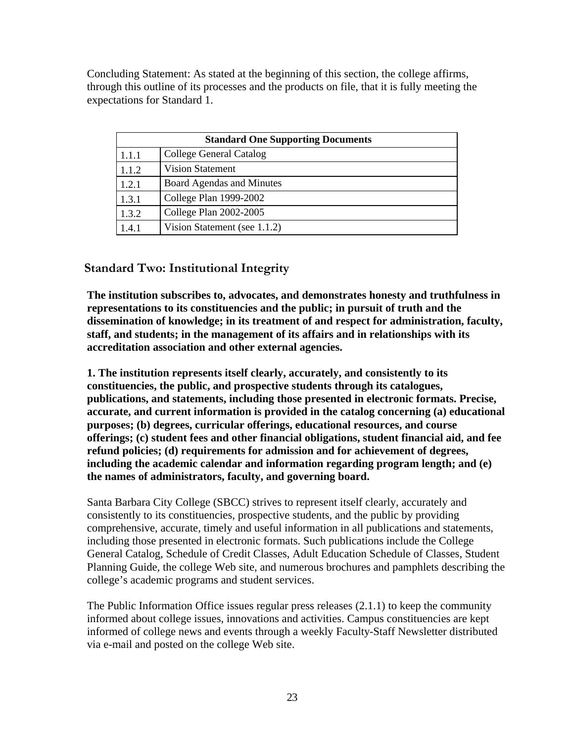Concluding Statement: As stated at the beginning of this section, the college affirms, through this outline of its processes and the products on file, that it is fully meeting the expectations for Standard 1.

| <b>Standard One Supporting Documents</b> |                              |  |  |
|------------------------------------------|------------------------------|--|--|
| 1.1.1                                    | College General Catalog      |  |  |
| 1.1.2                                    | <b>Vision Statement</b>      |  |  |
| 1.2.1                                    | Board Agendas and Minutes    |  |  |
| 1.3.1                                    | College Plan 1999-2002       |  |  |
| 1.3.2                                    | College Plan 2002-2005       |  |  |
| 1.4.1                                    | Vision Statement (see 1.1.2) |  |  |

# **Standard Two: Institutional Integrity**

**The institution subscribes to, advocates, and demonstrates honesty and truthfulness in representations to its constituencies and the public; in pursuit of truth and the dissemination of knowledge; in its treatment of and respect for administration, faculty, staff, and students; in the management of its affairs and in relationships with its accreditation association and other external agencies.**

**1. The institution represents itself clearly, accurately, and consistently to its constituencies, the public, and prospective students through its catalogues, publications, and statements, including those presented in electronic formats. Precise, accurate, and current information is provided in the catalog concerning (a) educational purposes; (b) degrees, curricular offerings, educational resources, and course offerings; (c) student fees and other financial obligations, student financial aid, and fee refund policies; (d) requirements for admission and for achievement of degrees, including the academic calendar and information regarding program length; and (e) the names of administrators, faculty, and governing board.**

Santa Barbara City College (SBCC) strives to represent itself clearly, accurately and consistently to its constituencies, prospective students, and the public by providing comprehensive, accurate, timely and useful information in all publications and statements, including those presented in electronic formats. Such publications include the College General Catalog, Schedule of Credit Classes, Adult Education Schedule of Classes, Student Planning Guide*,* the college Web site, and numerous brochures and pamphlets describing the college's academic programs and student services.

The Public Information Office issues regular press releases (2.1.1) to keep the community informed about college issues, innovations and activities. Campus constituencies are kept informed of college news and events through a weekly Faculty-Staff Newsletter distributed via e-mail and posted on the college Web site.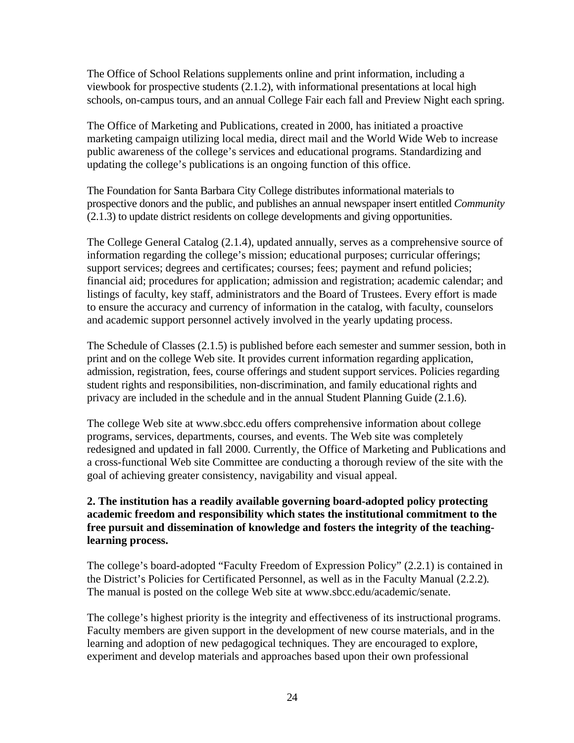The Office of School Relations supplements online and print information, including a viewbook for prospective students (2.1.2), with informational presentations at local high schools, on-campus tours, and an annual College Fair each fall and Preview Night each spring.

The Office of Marketing and Publications, created in 2000, has initiated a proactive marketing campaign utilizing local media, direct mail and the World Wide Web to increase public awareness of the college's services and educational programs. Standardizing and updating the college's publications is an ongoing function of this office.

The Foundation for Santa Barbara City College distributes informational materials to prospective donors and the public, and publishes an annual newspaper insert entitled *Community* (2.1.3) to update district residents on college developments and giving opportunities.

The College General Catalog (2.1.4), updated annually, serves as a comprehensive source of information regarding the college's mission; educational purposes; curricular offerings; support services; degrees and certificates; courses; fees; payment and refund policies; financial aid; procedures for application; admission and registration; academic calendar; and listings of faculty, key staff, administrators and the Board of Trustees. Every effort is made to ensure the accuracy and currency of information in the catalog, with faculty, counselors and academic support personnel actively involved in the yearly updating process.

The Schedule of Classes (2.1.5) is published before each semester and summer session, both in print and on the college Web site. It provides current information regarding application, admission, registration, fees, course offerings and student support services. Policies regarding student rights and responsibilities, non-discrimination, and family educational rights and privacy are included in the schedule and in the annual Student Planning Guide (2.1.6).

The college Web site at www.sbcc.edu offers comprehensive information about college programs, services, departments, courses, and events. The Web site was completely redesigned and updated in fall 2000. Currently, the Office of Marketing and Publications and a cross-functional Web site Committee are conducting a thorough review of the site with the goal of achieving greater consistency, navigability and visual appeal.

## **2. The institution has a readily available governing board-adopted policy protecting academic freedom and responsibility which states the institutional commitment to the free pursuit and dissemination of knowledge and fosters the integrity of the teachinglearning process.**

The college's board-adopted "Faculty Freedom of Expression Policy" (2.2.1) is contained in the District's Policies for Certificated Personnel, as well as in the Faculty Manual (2.2.2)*.* The manual is posted on the college Web site at www.sbcc.edu/academic/senate.

The college's highest priority is the integrity and effectiveness of its instructional programs. Faculty members are given support in the development of new course materials, and in the learning and adoption of new pedagogical techniques. They are encouraged to explore, experiment and develop materials and approaches based upon their own professional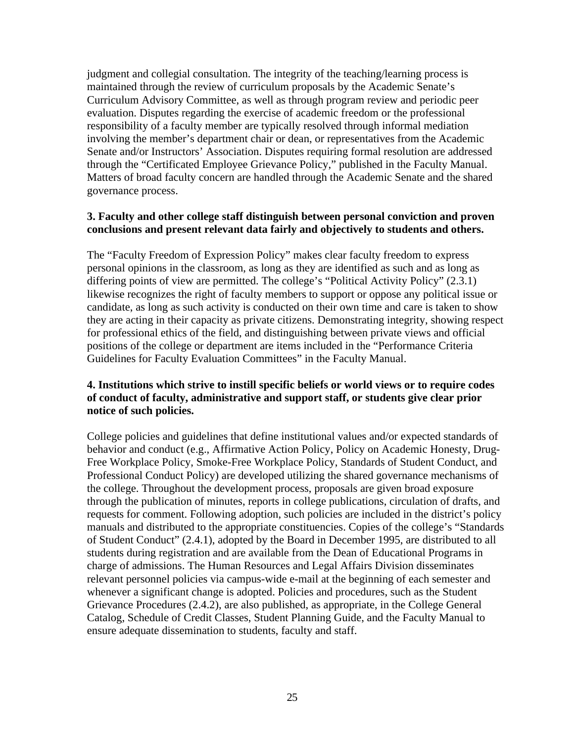judgment and collegial consultation. The integrity of the teaching/learning process is maintained through the review of curriculum proposals by the Academic Senate's Curriculum Advisory Committee, as well as through program review and periodic peer evaluation. Disputes regarding the exercise of academic freedom or the professional responsibility of a faculty member are typically resolved through informal mediation involving the member's department chair or dean, or representatives from the Academic Senate and/or Instructors' Association. Disputes requiring formal resolution are addressed through the "Certificated Employee Grievance Policy," published in the Faculty Manual. Matters of broad faculty concern are handled through the Academic Senate and the shared governance process.

#### **3. Faculty and other college staff distinguish between personal conviction and proven conclusions and present relevant data fairly and objectively to students and others.**

The "Faculty Freedom of Expression Policy" makes clear faculty freedom to express personal opinions in the classroom, as long as they are identified as such and as long as differing points of view are permitted. The college's "Political Activity Policy" (2.3.1) likewise recognizes the right of faculty members to support or oppose any political issue or candidate, as long as such activity is conducted on their own time and care is taken to show they are acting in their capacity as private citizens. Demonstrating integrity, showing respect for professional ethics of the field, and distinguishing between private views and official positions of the college or department are items included in the "Performance Criteria Guidelines for Faculty Evaluation Committees" in the Faculty Manual.

## **4. Institutions which strive to instill specific beliefs or world views or to require codes of conduct of faculty, administrative and support staff, or students give clear prior notice of such policies.**

College policies and guidelines that define institutional values and/or expected standards of behavior and conduct (e.g., Affirmative Action Policy, Policy on Academic Honesty, Drug-Free Workplace Policy, Smoke-Free Workplace Policy, Standards of Student Conduct, and Professional Conduct Policy) are developed utilizing the shared governance mechanisms of the college. Throughout the development process, proposals are given broad exposure through the publication of minutes, reports in college publications, circulation of drafts, and requests for comment. Following adoption, such policies are included in the district's policy manuals and distributed to the appropriate constituencies. Copies of the college's "Standards of Student Conduct" (2.4.1), adopted by the Board in December 1995, are distributed to all students during registration and are available from the Dean of Educational Programs in charge of admissions. The Human Resources and Legal Affairs Division disseminates relevant personnel policies via campus-wide e-mail at the beginning of each semester and whenever a significant change is adopted. Policies and procedures, such as the Student Grievance Procedures (2.4.2), are also published, as appropriate, in the College General Catalog, Schedule of Credit Classes, Student Planning Guide, and the Faculty Manual to ensure adequate dissemination to students, faculty and staff.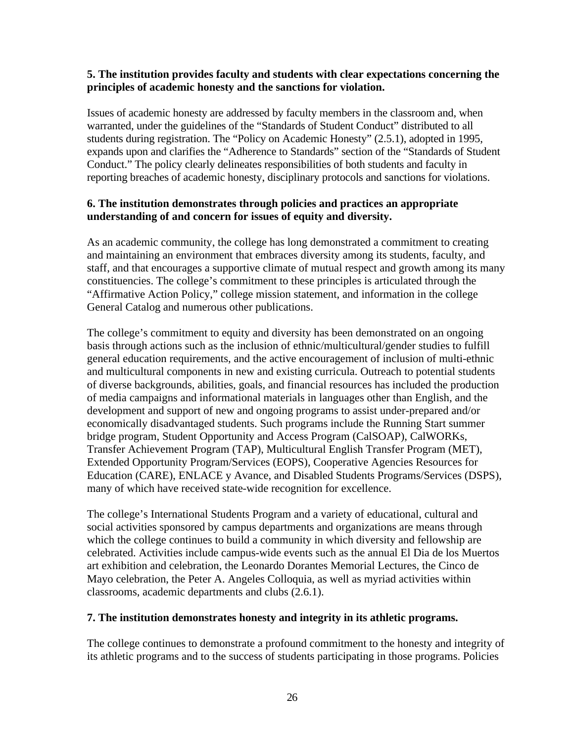#### **5. The institution provides faculty and students with clear expectations concerning the principles of academic honesty and the sanctions for violation.**

Issues of academic honesty are addressed by faculty members in the classroom and, when warranted, under the guidelines of the "Standards of Student Conduct" distributed to all students during registration. The "Policy on Academic Honesty" (2.5.1), adopted in 1995, expands upon and clarifies the "Adherence to Standards" section of the "Standards of Student Conduct." The policy clearly delineates responsibilities of both students and faculty in reporting breaches of academic honesty, disciplinary protocols and sanctions for violations.

#### **6. The institution demonstrates through policies and practices an appropriate understanding of and concern for issues of equity and diversity.**

As an academic community, the college has long demonstrated a commitment to creating and maintaining an environment that embraces diversity among its students, faculty, and staff, and that encourages a supportive climate of mutual respect and growth among its many constituencies. The college's commitment to these principles is articulated through the "Affirmative Action Policy," college mission statement, and information in the college General Catalog and numerous other publications.

The college's commitment to equity and diversity has been demonstrated on an ongoing basis through actions such as the inclusion of ethnic/multicultural/gender studies to fulfill general education requirements, and the active encouragement of inclusion of multi-ethnic and multicultural components in new and existing curricula. Outreach to potential students of diverse backgrounds, abilities, goals, and financial resources has included the production of media campaigns and informational materials in languages other than English, and the development and support of new and ongoing programs to assist under-prepared and/or economically disadvantaged students. Such programs include the Running Start summer bridge program, Student Opportunity and Access Program (CalSOAP), CalWORKs, Transfer Achievement Program (TAP), Multicultural English Transfer Program (MET), Extended Opportunity Program/Services (EOPS), Cooperative Agencies Resources for Education (CARE), ENLACE y Avance, and Disabled Students Programs/Services (DSPS), many of which have received state-wide recognition for excellence.

The college's International Students Program and a variety of educational, cultural and social activities sponsored by campus departments and organizations are means through which the college continues to build a community in which diversity and fellowship are celebrated. Activities include campus-wide events such as the annual El Dia de los Muertos art exhibition and celebration, the Leonardo Dorantes Memorial Lectures, the Cinco de Mayo celebration, the Peter A. Angeles Colloquia, as well as myriad activities within classrooms, academic departments and clubs (2.6.1).

## **7. The institution demonstrates honesty and integrity in its athletic programs.**

The college continues to demonstrate a profound commitment to the honesty and integrity of its athletic programs and to the success of students participating in those programs. Policies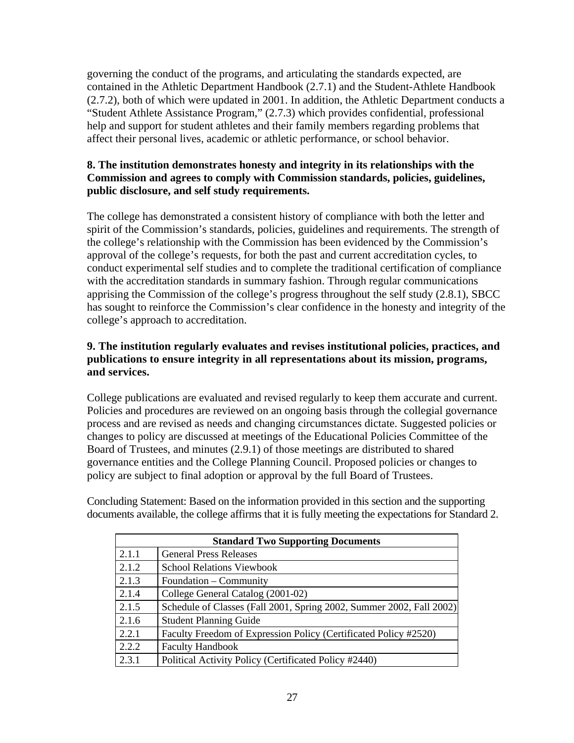governing the conduct of the programs, and articulating the standards expected, are contained in the Athletic Department Handbook (2.7.1) and the Student-Athlete Handbook (2.7.2), both of which were updated in 2001. In addition, the Athletic Department conducts a "Student Athlete Assistance Program," (2.7.3) which provides confidential, professional help and support for student athletes and their family members regarding problems that affect their personal lives, academic or athletic performance, or school behavior.

## **8. The institution demonstrates honesty and integrity in its relationships with the Commission and agrees to comply with Commission standards, policies, guidelines, public disclosure, and self study requirements.**

The college has demonstrated a consistent history of compliance with both the letter and spirit of the Commission's standards, policies, guidelines and requirements. The strength of the college's relationship with the Commission has been evidenced by the Commission's approval of the college's requests, for both the past and current accreditation cycles, to conduct experimental self studies and to complete the traditional certification of compliance with the accreditation standards in summary fashion. Through regular communications apprising the Commission of the college's progress throughout the self study (2.8.1), SBCC has sought to reinforce the Commission's clear confidence in the honesty and integrity of the college's approach to accreditation.

## **9. The institution regularly evaluates and revises institutional policies, practices, and publications to ensure integrity in all representations about its mission, programs, and services.**

College publications are evaluated and revised regularly to keep them accurate and current. Policies and procedures are reviewed on an ongoing basis through the collegial governance process and are revised as needs and changing circumstances dictate. Suggested policies or changes to policy are discussed at meetings of the Educational Policies Committee of the Board of Trustees, and minutes (2.9.1) of those meetings are distributed to shared governance entities and the College Planning Council. Proposed policies or changes to policy are subject to final adoption or approval by the full Board of Trustees.

Concluding Statement: Based on the information provided in this section and the supporting documents available, the college affirms that it is fully meeting the expectations for Standard 2.

| <b>Standard Two Supporting Documents</b> |                                                                      |  |  |
|------------------------------------------|----------------------------------------------------------------------|--|--|
| 2.1.1                                    | <b>General Press Releases</b>                                        |  |  |
| 2.1.2                                    | <b>School Relations Viewbook</b>                                     |  |  |
| 2.1.3                                    | Foundation – Community                                               |  |  |
| 2.1.4                                    | College General Catalog (2001-02)                                    |  |  |
| 2.1.5                                    | Schedule of Classes (Fall 2001, Spring 2002, Summer 2002, Fall 2002) |  |  |
| 2.1.6                                    | <b>Student Planning Guide</b>                                        |  |  |
| 2.2.1                                    | Faculty Freedom of Expression Policy (Certificated Policy #2520)     |  |  |
| 2.2.2                                    | <b>Faculty Handbook</b>                                              |  |  |
| 2.3.1                                    | Political Activity Policy (Certificated Policy #2440)                |  |  |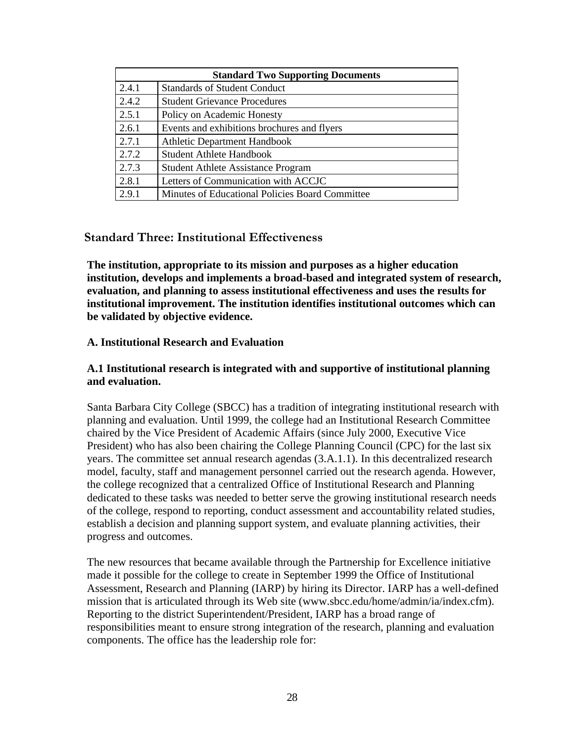| <b>Standard Two Supporting Documents</b> |                                                 |  |  |
|------------------------------------------|-------------------------------------------------|--|--|
| 2.4.1                                    | <b>Standards of Student Conduct</b>             |  |  |
| 2.4.2                                    | <b>Student Grievance Procedures</b>             |  |  |
| 2.5.1                                    | Policy on Academic Honesty                      |  |  |
| 2.6.1                                    | Events and exhibitions brochures and flyers     |  |  |
| 2.7.1                                    | <b>Athletic Department Handbook</b>             |  |  |
| 2.7.2                                    | <b>Student Athlete Handbook</b>                 |  |  |
| 2.7.3                                    | <b>Student Athlete Assistance Program</b>       |  |  |
| 2.8.1                                    | Letters of Communication with ACCJC             |  |  |
| 2.9.1                                    | Minutes of Educational Policies Board Committee |  |  |

## **Standard Three: Institutional Effectiveness**

**The institution, appropriate to its mission and purposes as a higher education institution, develops and implements a broad-based and integrated system of research, evaluation, and planning to assess institutional effectiveness and uses the results for institutional improvement. The institution identifies institutional outcomes which can be validated by objective evidence.**

#### **A. Institutional Research and Evaluation**

#### **A.1 Institutional research is integrated with and supportive of institutional planning and evaluation.**

Santa Barbara City College (SBCC) has a tradition of integrating institutional research with planning and evaluation. Until 1999, the college had an Institutional Research Committee chaired by the Vice President of Academic Affairs (since July 2000, Executive Vice President) who has also been chairing the College Planning Council (CPC) for the last six years. The committee set annual research agendas (3.A.1.1). In this decentralized research model, faculty, staff and management personnel carried out the research agenda. However, the college recognized that a centralized Office of Institutional Research and Planning dedicated to these tasks was needed to better serve the growing institutional research needs of the college, respond to reporting, conduct assessment and accountability related studies, establish a decision and planning support system, and evaluate planning activities, their progress and outcomes.

The new resources that became available through the Partnership for Excellence initiative made it possible for the college to create in September 1999 the Office of Institutional Assessment, Research and Planning (IARP) by hiring its Director. IARP has a well-defined mission that is articulated through its Web site (www.sbcc.edu/home/admin/ia/index.cfm). Reporting to the district Superintendent/President, IARP has a broad range of responsibilities meant to ensure strong integration of the research, planning and evaluation components. The office has the leadership role for: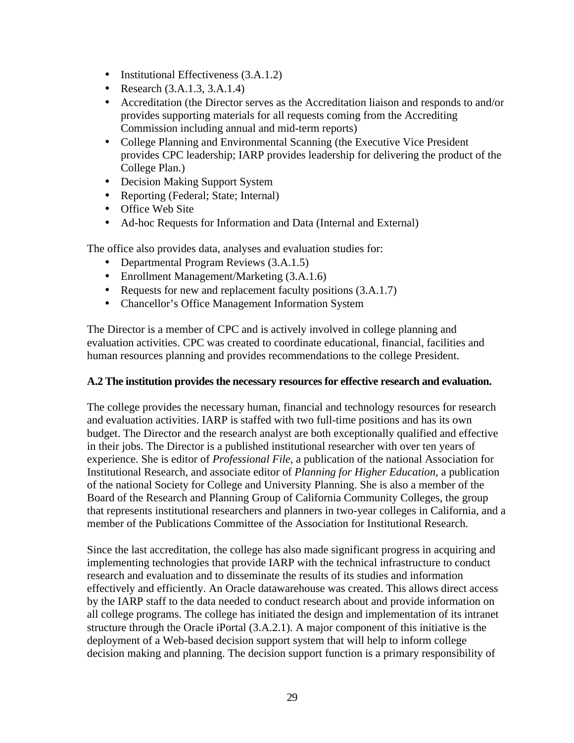- Institutional Effectiveness (3.A.1.2)
- Research  $(3.A.1.3, 3.A.1.4)$
- Accreditation (the Director serves as the Accreditation liaison and responds to and/or provides supporting materials for all requests coming from the Accrediting Commission including annual and mid-term reports)
- College Planning and Environmental Scanning (the Executive Vice President provides CPC leadership; IARP provides leadership for delivering the product of the College Plan.)
- Decision Making Support System
- Reporting (Federal; State; Internal)
- Office Web Site
- Ad-hoc Requests for Information and Data (Internal and External)

The office also provides data, analyses and evaluation studies for:

- Departmental Program Reviews  $(3.A.1.5)$
- Enrollment Management/Marketing (3.A.1.6)
- Requests for new and replacement faculty positions  $(3.A.1.7)$
- Chancellor's Office Management Information System

The Director is a member of CPC and is actively involved in college planning and evaluation activities. CPC was created to coordinate educational, financial, facilities and human resources planning and provides recommendations to the college President.

## **A.2 The institution provides the necessary resources for effective research and evaluation.**

The college provides the necessary human, financial and technology resources for research and evaluation activities. IARP is staffed with two full-time positions and has its own budget. The Director and the research analyst are both exceptionally qualified and effective in their jobs. The Director is a published institutional researcher with over ten years of experience. She is editor of *Professional File*, a publication of the national Association for Institutional Research, and associate editor of *Planning for Higher Education*, a publication of the national Society for College and University Planning. She is also a member of the Board of the Research and Planning Group of California Community Colleges, the group that represents institutional researchers and planners in two-year colleges in California, and a member of the Publications Committee of the Association for Institutional Research.

Since the last accreditation, the college has also made significant progress in acquiring and implementing technologies that provide IARP with the technical infrastructure to conduct research and evaluation and to disseminate the results of its studies and information effectively and efficiently. An Oracle datawarehouse was created. This allows direct access by the IARP staff to the data needed to conduct research about and provide information on all college programs. The college has initiated the design and implementation of its intranet structure through the Oracle iPortal (3.A.2.1). A major component of this initiative is the deployment of a Web-based decision support system that will help to inform college decision making and planning. The decision support function is a primary responsibility of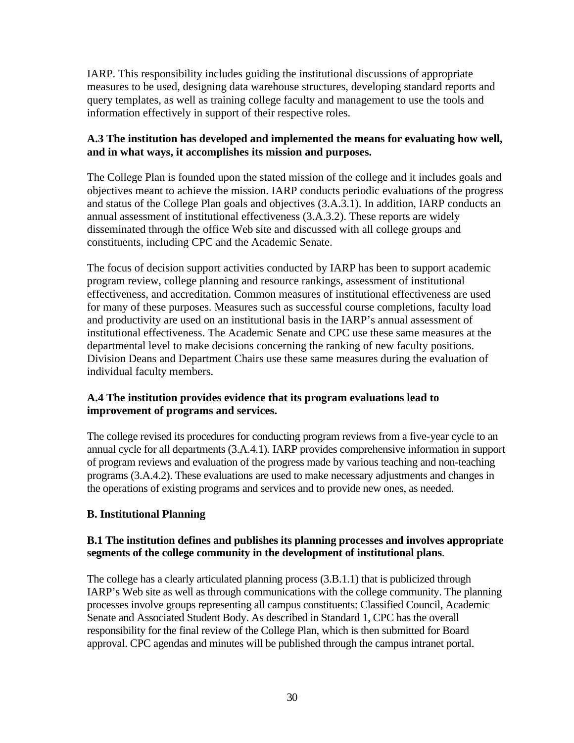IARP. This responsibility includes guiding the institutional discussions of appropriate measures to be used, designing data warehouse structures, developing standard reports and query templates, as well as training college faculty and management to use the tools and information effectively in support of their respective roles.

## **A.3 The institution has developed and implemented the means for evaluating how well, and in what ways, it accomplishes its mission and purposes.**

The College Plan is founded upon the stated mission of the college and it includes goals and objectives meant to achieve the mission. IARP conducts periodic evaluations of the progress and status of the College Plan goals and objectives (3.A.3.1). In addition, IARP conducts an annual assessment of institutional effectiveness (3.A.3.2). These reports are widely disseminated through the office Web site and discussed with all college groups and constituents, including CPC and the Academic Senate.

The focus of decision support activities conducted by IARP has been to support academic program review, college planning and resource rankings, assessment of institutional effectiveness, and accreditation. Common measures of institutional effectiveness are used for many of these purposes. Measures such as successful course completions, faculty load and productivity are used on an institutional basis in the IARP's annual assessment of institutional effectiveness. The Academic Senate and CPC use these same measures at the departmental level to make decisions concerning the ranking of new faculty positions. Division Deans and Department Chairs use these same measures during the evaluation of individual faculty members.

## **A.4 The institution provides evidence that its program evaluations lead to improvement of programs and services.**

The college revised its procedures for conducting program reviews from a five-year cycle to an annual cycle for all departments (3.A.4.1). IARP provides comprehensive information in support of program reviews and evaluation of the progress made by various teaching and non-teaching programs (3.A.4.2). These evaluations are used to make necessary adjustments and changes in the operations of existing programs and services and to provide new ones, as needed.

## **B. Institutional Planning**

#### **B.1 The institution defines and publishes its planning processes and involves appropriate segments of the college community in the development of institutional plans**.

The college has a clearly articulated planning process (3.B.1.1) that is publicized through IARP's Web site as well as through communications with the college community. The planning processes involve groups representing all campus constituents: Classified Council, Academic Senate and Associated Student Body. As described in Standard 1, CPC has the overall responsibility for the final review of the College Plan, which is then submitted for Board approval. CPC agendas and minutes will be published through the campus intranet portal.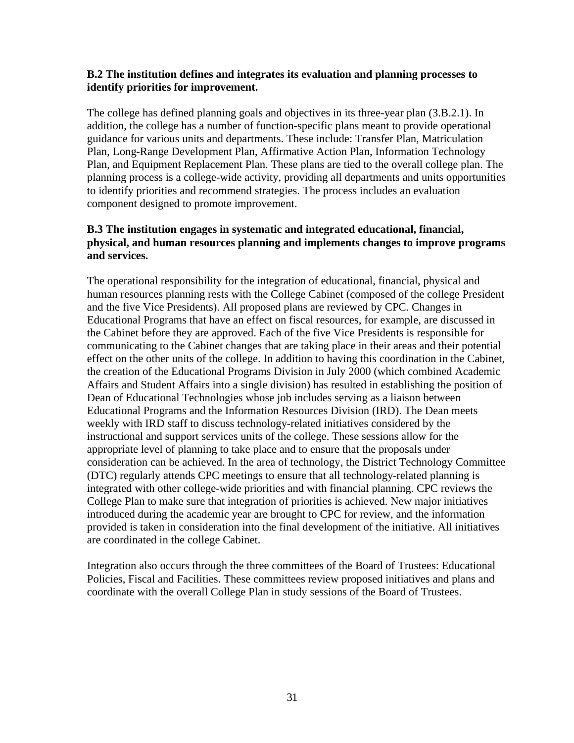#### **B.2 The institution defines and integrates its evaluation and planning processes to identify priorities for improvement.**

The college has defined planning goals and objectives in its three-year plan (3.B.2.1). In addition, the college has a number of function-specific plans meant to provide operational guidance for various units and departments. These include: Transfer Plan, Matriculation Plan, Long-Range Development Plan, Affirmative Action Plan, Information Technology Plan, and Equipment Replacement Plan. These plans are tied to the overall college plan. The planning process is a college-wide activity, providing all departments and units opportunities to identify priorities and recommend strategies. The process includes an evaluation component designed to promote improvement.

#### **B.3 The institution engages in systematic and integrated educational, financial, physical, and human resources planning and implements changes to improve programs and services.**

The operational responsibility for the integration of educational, financial, physical and human resources planning rests with the College Cabinet (composed of the college President and the five Vice Presidents). All proposed plans are reviewed by CPC. Changes in Educational Programs that have an effect on fiscal resources, for example, are discussed in the Cabinet before they are approved. Each of the five Vice Presidents is responsible for communicating to the Cabinet changes that are taking place in their areas and their potential effect on the other units of the college. In addition to having this coordination in the Cabinet, the creation of the Educational Programs Division in July 2000 (which combined Academic Affairs and Student Affairs into a single division) has resulted in establishing the position of Dean of Educational Technologies whose job includes serving as a liaison between Educational Programs and the Information Resources Division (IRD). The Dean meets weekly with IRD staff to discuss technology-related initiatives considered by the instructional and support services units of the college. These sessions allow for the appropriate level of planning to take place and to ensure that the proposals under consideration can be achieved. In the area of technology, the District Technology Committee (DTC) regularly attends CPC meetings to ensure that all technology-related planning is integrated with other college-wide priorities and with financial planning. CPC reviews the College Plan to make sure that integration of priorities is achieved. New major initiatives introduced during the academic year are brought to CPC for review, and the information provided is taken in consideration into the final development of the initiative. All initiatives are coordinated in the college Cabinet.

Integration also occurs through the three committees of the Board of Trustees: Educational Policies, Fiscal and Facilities. These committees review proposed initiatives and plans and coordinate with the overall College Plan in study sessions of the Board of Trustees.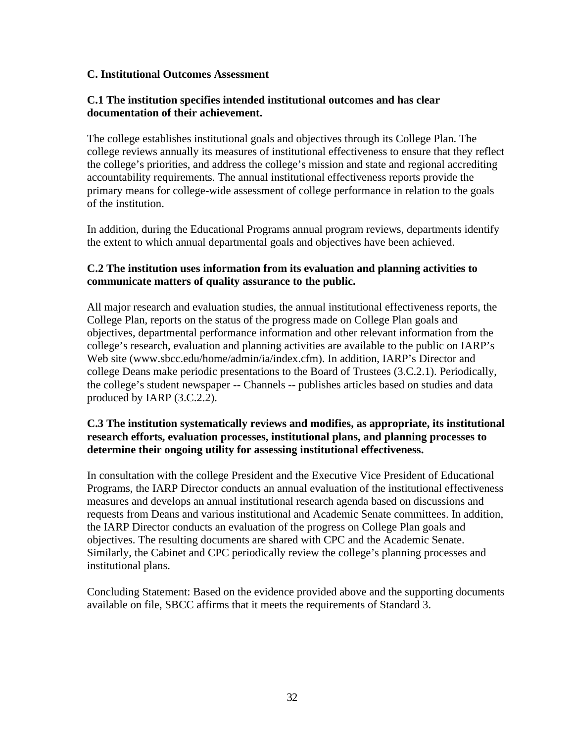#### **C. Institutional Outcomes Assessment**

#### **C.1 The institution specifies intended institutional outcomes and has clear documentation of their achievement.**

The college establishes institutional goals and objectives through its College Plan. The college reviews annually its measures of institutional effectiveness to ensure that they reflect the college's priorities, and address the college's mission and state and regional accrediting accountability requirements. The annual institutional effectiveness reports provide the primary means for college-wide assessment of college performance in relation to the goals of the institution.

In addition, during the Educational Programs annual program reviews, departments identify the extent to which annual departmental goals and objectives have been achieved.

#### **C.2 The institution uses information from its evaluation and planning activities to communicate matters of quality assurance to the public.**

All major research and evaluation studies, the annual institutional effectiveness reports, the College Plan, reports on the status of the progress made on College Plan goals and objectives, departmental performance information and other relevant information from the college's research, evaluation and planning activities are available to the public on IARP's Web site (www.sbcc.edu/home/admin/ia/index.cfm). In addition, IARP's Director and college Deans make periodic presentations to the Board of Trustees (3.C.2.1). Periodically, the college's student newspaper -- Channels -- publishes articles based on studies and data produced by IARP (3.C.2.2).

#### **C.3 The institution systematically reviews and modifies, as appropriate, its institutional research efforts, evaluation processes, institutional plans, and planning processes to determine their ongoing utility for assessing institutional effectiveness.**

In consultation with the college President and the Executive Vice President of Educational Programs, the IARP Director conducts an annual evaluation of the institutional effectiveness measures and develops an annual institutional research agenda based on discussions and requests from Deans and various institutional and Academic Senate committees. In addition, the IARP Director conducts an evaluation of the progress on College Plan goals and objectives. The resulting documents are shared with CPC and the Academic Senate. Similarly, the Cabinet and CPC periodically review the college's planning processes and institutional plans.

Concluding Statement: Based on the evidence provided above and the supporting documents available on file, SBCC affirms that it meets the requirements of Standard 3.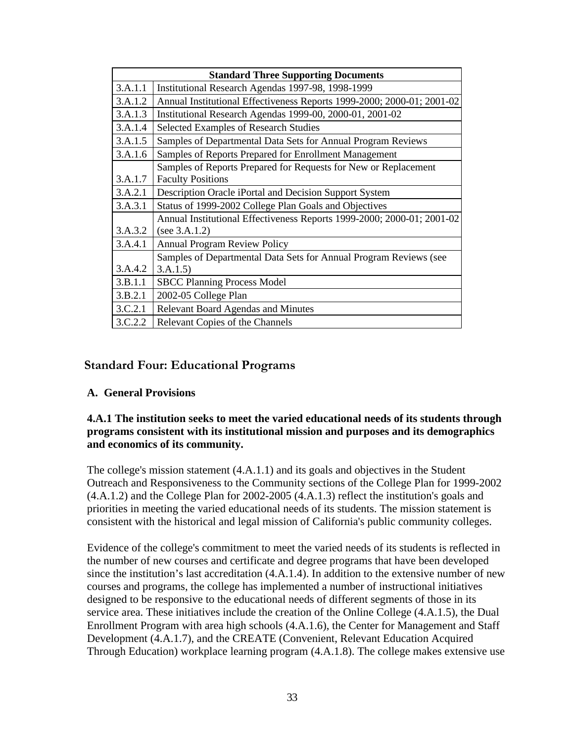| <b>Standard Three Supporting Documents</b> |                                                                        |  |  |  |  |
|--------------------------------------------|------------------------------------------------------------------------|--|--|--|--|
| 3.A.1.1                                    | Institutional Research Agendas 1997-98, 1998-1999                      |  |  |  |  |
| 3.A.1.2                                    | Annual Institutional Effectiveness Reports 1999-2000; 2000-01; 2001-02 |  |  |  |  |
| 3.A.1.3                                    | Institutional Research Agendas 1999-00, 2000-01, 2001-02               |  |  |  |  |
| 3.A.1.4                                    | <b>Selected Examples of Research Studies</b>                           |  |  |  |  |
| 3.A.1.5                                    | Samples of Departmental Data Sets for Annual Program Reviews           |  |  |  |  |
| 3.A.1.6                                    | Samples of Reports Prepared for Enrollment Management                  |  |  |  |  |
|                                            | Samples of Reports Prepared for Requests for New or Replacement        |  |  |  |  |
| 3.A.1.7                                    | <b>Faculty Positions</b>                                               |  |  |  |  |
| 3.A.2.1                                    | Description Oracle iPortal and Decision Support System                 |  |  |  |  |
| 3.A.3.1                                    | Status of 1999-2002 College Plan Goals and Objectives                  |  |  |  |  |
|                                            | Annual Institutional Effectiveness Reports 1999-2000; 2000-01; 2001-02 |  |  |  |  |
| 3.A.3.2                                    | (see $3.A.1.2$ )                                                       |  |  |  |  |
| 3.A.4.1                                    | <b>Annual Program Review Policy</b>                                    |  |  |  |  |
|                                            | Samples of Departmental Data Sets for Annual Program Reviews (see      |  |  |  |  |
| 3.A.4.2                                    | 3.A.1.5                                                                |  |  |  |  |
| 3.B.1.1                                    | <b>SBCC Planning Process Model</b>                                     |  |  |  |  |
| 3.B.2.1                                    | 2002-05 College Plan                                                   |  |  |  |  |
| 3.C.2.1                                    | <b>Relevant Board Agendas and Minutes</b>                              |  |  |  |  |
| 3.C.2.2                                    | Relevant Copies of the Channels                                        |  |  |  |  |

## **Standard Four: Educational Programs**

## **A. General Provisions**

#### **4.A.1 The institution seeks to meet the varied educational needs of its students through programs consistent with its institutional mission and purposes and its demographics and economics of its community.**

The college's mission statement (4.A.1.1) and its goals and objectives in the Student Outreach and Responsiveness to the Community sections of the College Plan for 1999-2002 (4.A.1.2) and the College Plan for 2002-2005 (4.A.1.3) reflect the institution's goals and priorities in meeting the varied educational needs of its students. The mission statement is consistent with the historical and legal mission of California's public community colleges.

Evidence of the college's commitment to meet the varied needs of its students is reflected in the number of new courses and certificate and degree programs that have been developed since the institution's last accreditation (4.A.1.4). In addition to the extensive number of new courses and programs, the college has implemented a number of instructional initiatives designed to be responsive to the educational needs of different segments of those in its service area. These initiatives include the creation of the Online College (4.A.1.5), the Dual Enrollment Program with area high schools (4.A.1.6), the Center for Management and Staff Development (4.A.1.7), and the CREATE (Convenient, Relevant Education Acquired Through Education) workplace learning program (4.A.1.8). The college makes extensive use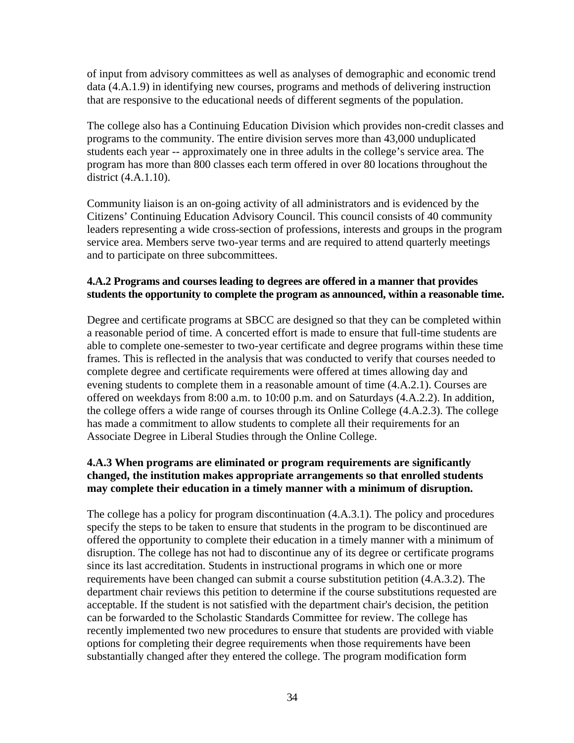of input from advisory committees as well as analyses of demographic and economic trend data (4.A.1.9) in identifying new courses, programs and methods of delivering instruction that are responsive to the educational needs of different segments of the population.

The college also has a Continuing Education Division which provides non-credit classes and programs to the community. The entire division serves more than 43,000 unduplicated students each year -- approximately one in three adults in the college's service area. The program has more than 800 classes each term offered in over 80 locations throughout the district (4.A.1.10).

Community liaison is an on-going activity of all administrators and is evidenced by the Citizens' Continuing Education Advisory Council. This council consists of 40 community leaders representing a wide cross-section of professions, interests and groups in the program service area. Members serve two-year terms and are required to attend quarterly meetings and to participate on three subcommittees.

## **4.A.2 Programs and courses leading to degrees are offered in a manner that provides students the opportunity to complete the program as announced, within a reasonable time.**

Degree and certificate programs at SBCC are designed so that they can be completed within a reasonable period of time. A concerted effort is made to ensure that full-time students are able to complete one-semester to two-year certificate and degree programs within these time frames. This is reflected in the analysis that was conducted to verify that courses needed to complete degree and certificate requirements were offered at times allowing day and evening students to complete them in a reasonable amount of time (4.A.2.1). Courses are offered on weekdays from 8:00 a.m. to 10:00 p.m. and on Saturdays (4.A.2.2). In addition, the college offers a wide range of courses through its Online College (4.A.2.3). The college has made a commitment to allow students to complete all their requirements for an Associate Degree in Liberal Studies through the Online College.

## **4.A.3 When programs are eliminated or program requirements are significantly changed, the institution makes appropriate arrangements so that enrolled students may complete their education in a timely manner with a minimum of disruption.**

The college has a policy for program discontinuation (4.A.3.1). The policy and procedures specify the steps to be taken to ensure that students in the program to be discontinued are offered the opportunity to complete their education in a timely manner with a minimum of disruption. The college has not had to discontinue any of its degree or certificate programs since its last accreditation. Students in instructional programs in which one or more requirements have been changed can submit a course substitution petition (4.A.3.2). The department chair reviews this petition to determine if the course substitutions requested are acceptable. If the student is not satisfied with the department chair's decision, the petition can be forwarded to the Scholastic Standards Committee for review. The college has recently implemented two new procedures to ensure that students are provided with viable options for completing their degree requirements when those requirements have been substantially changed after they entered the college. The program modification form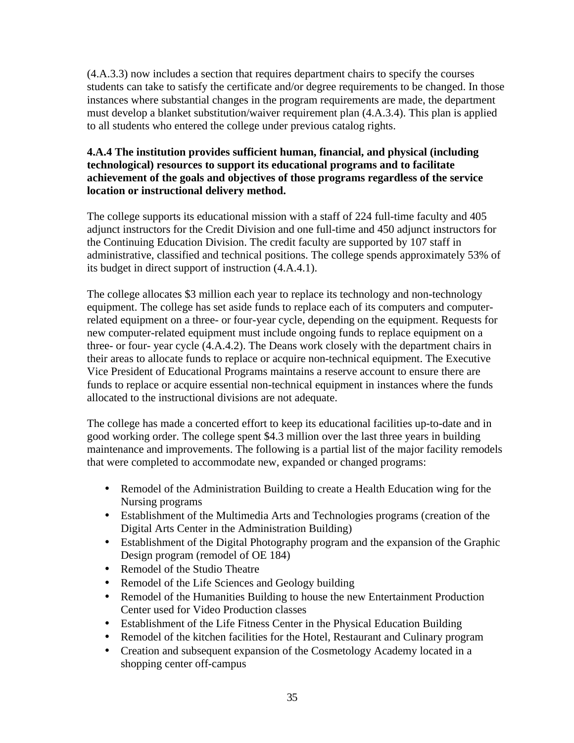(4.A.3.3) now includes a section that requires department chairs to specify the courses students can take to satisfy the certificate and/or degree requirements to be changed. In those instances where substantial changes in the program requirements are made, the department must develop a blanket substitution/waiver requirement plan (4.A.3.4). This plan is applied to all students who entered the college under previous catalog rights.

## **4.A.4 The institution provides sufficient human, financial, and physical (including technological) resources to support its educational programs and to facilitate achievement of the goals and objectives of those programs regardless of the service location or instructional delivery method.**

The college supports its educational mission with a staff of 224 full-time faculty and 405 adjunct instructors for the Credit Division and one full-time and 450 adjunct instructors for the Continuing Education Division. The credit faculty are supported by 107 staff in administrative, classified and technical positions. The college spends approximately 53% of its budget in direct support of instruction (4.A.4.1).

The college allocates \$3 million each year to replace its technology and non-technology equipment. The college has set aside funds to replace each of its computers and computerrelated equipment on a three- or four-year cycle, depending on the equipment. Requests for new computer-related equipment must include ongoing funds to replace equipment on a three- or four- year cycle (4.A.4.2). The Deans work closely with the department chairs in their areas to allocate funds to replace or acquire non-technical equipment. The Executive Vice President of Educational Programs maintains a reserve account to ensure there are funds to replace or acquire essential non-technical equipment in instances where the funds allocated to the instructional divisions are not adequate.

The college has made a concerted effort to keep its educational facilities up-to-date and in good working order. The college spent \$4.3 million over the last three years in building maintenance and improvements. The following is a partial list of the major facility remodels that were completed to accommodate new, expanded or changed programs:

- Remodel of the Administration Building to create a Health Education wing for the Nursing programs
- Establishment of the Multimedia Arts and Technologies programs (creation of the Digital Arts Center in the Administration Building)
- Establishment of the Digital Photography program and the expansion of the Graphic Design program (remodel of OE 184)
- Remodel of the Studio Theatre
- Remodel of the Life Sciences and Geology building
- Remodel of the Humanities Building to house the new Entertainment Production Center used for Video Production classes
- Establishment of the Life Fitness Center in the Physical Education Building
- Remodel of the kitchen facilities for the Hotel, Restaurant and Culinary program
- Creation and subsequent expansion of the Cosmetology Academy located in a shopping center off-campus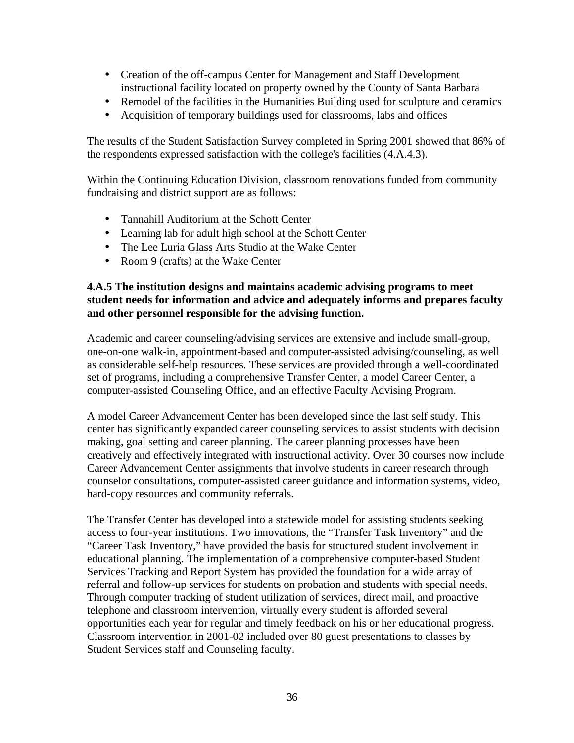- Creation of the off-campus Center for Management and Staff Development instructional facility located on property owned by the County of Santa Barbara
- Remodel of the facilities in the Humanities Building used for sculpture and ceramics
- Acquisition of temporary buildings used for classrooms, labs and offices

The results of the Student Satisfaction Survey completed in Spring 2001 showed that 86% of the respondents expressed satisfaction with the college's facilities (4.A.4.3).

Within the Continuing Education Division, classroom renovations funded from community fundraising and district support are as follows:

- Tannahill Auditorium at the Schott Center
- Learning lab for adult high school at the Schott Center
- The Lee Luria Glass Arts Studio at the Wake Center
- Room 9 (crafts) at the Wake Center

#### **4.A.5 The institution designs and maintains academic advising programs to meet student needs for information and advice and adequately informs and prepares faculty and other personnel responsible for the advising function.**

Academic and career counseling/advising services are extensive and include small-group, one-on-one walk-in, appointment-based and computer-assisted advising/counseling, as well as considerable self-help resources. These services are provided through a well-coordinated set of programs, including a comprehensive Transfer Center, a model Career Center, a computer-assisted Counseling Office, and an effective Faculty Advising Program.

A model Career Advancement Center has been developed since the last self study. This center has significantly expanded career counseling services to assist students with decision making, goal setting and career planning. The career planning processes have been creatively and effectively integrated with instructional activity. Over 30 courses now include Career Advancement Center assignments that involve students in career research through counselor consultations, computer-assisted career guidance and information systems, video, hard-copy resources and community referrals.

The Transfer Center has developed into a statewide model for assisting students seeking access to four-year institutions. Two innovations, the "Transfer Task Inventory" and the "Career Task Inventory," have provided the basis for structured student involvement in educational planning. The implementation of a comprehensive computer-based Student Services Tracking and Report System has provided the foundation for a wide array of referral and follow-up services for students on probation and students with special needs. Through computer tracking of student utilization of services, direct mail, and proactive telephone and classroom intervention, virtually every student is afforded several opportunities each year for regular and timely feedback on his or her educational progress. Classroom intervention in 2001-02 included over 80 guest presentations to classes by Student Services staff and Counseling faculty.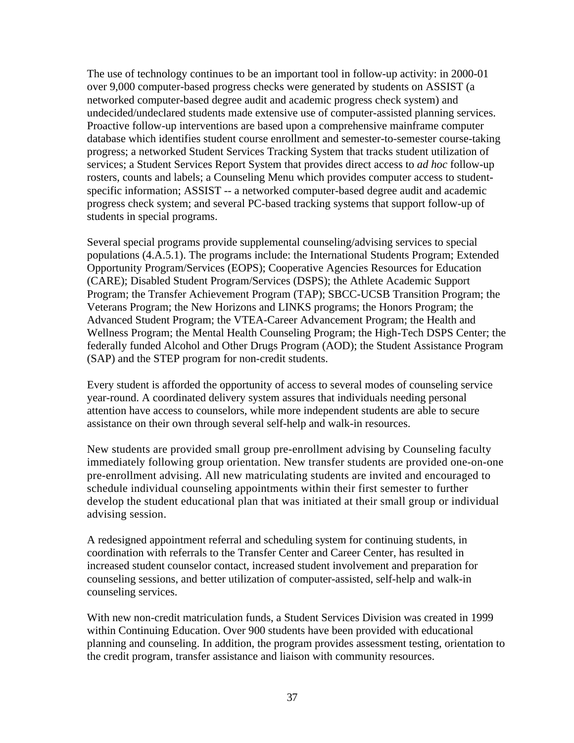The use of technology continues to be an important tool in follow-up activity: in 2000-01 over 9,000 computer-based progress checks were generated by students on ASSIST (a networked computer-based degree audit and academic progress check system) and undecided/undeclared students made extensive use of computer-assisted planning services. Proactive follow-up interventions are based upon a comprehensive mainframe computer database which identifies student course enrollment and semester-to-semester course-taking progress; a networked Student Services Tracking System that tracks student utilization of services; a Student Services Report System that provides direct access to *ad hoc* follow-up rosters, counts and labels; a Counseling Menu which provides computer access to studentspecific information; ASSIST -- a networked computer-based degree audit and academic progress check system; and several PC-based tracking systems that support follow-up of students in special programs.

Several special programs provide supplemental counseling/advising services to special populations (4.A.5.1). The programs include: the International Students Program; Extended Opportunity Program/Services (EOPS); Cooperative Agencies Resources for Education (CARE); Disabled Student Program/Services (DSPS); the Athlete Academic Support Program; the Transfer Achievement Program (TAP); SBCC-UCSB Transition Program; the Veterans Program; the New Horizons and LINKS programs; the Honors Program; the Advanced Student Program; the VTEA-Career Advancement Program; the Health and Wellness Program; the Mental Health Counseling Program; the High-Tech DSPS Center; the federally funded Alcohol and Other Drugs Program (AOD); the Student Assistance Program (SAP) and the STEP program for non-credit students.

Every student is afforded the opportunity of access to several modes of counseling service year-round. A coordinated delivery system assures that individuals needing personal attention have access to counselors, while more independent students are able to secure assistance on their own through several self-help and walk-in resources.

New students are provided small group pre-enrollment advising by Counseling faculty immediately following group orientation. New transfer students are provided one-on-one pre-enrollment advising. All new matriculating students are invited and encouraged to schedule individual counseling appointments within their first semester to further develop the student educational plan that was initiated at their small group or individual advising session.

A redesigned appointment referral and scheduling system for continuing students, in coordination with referrals to the Transfer Center and Career Center, has resulted in increased student counselor contact, increased student involvement and preparation for counseling sessions, and better utilization of computer-assisted, self-help and walk-in counseling services.

With new non-credit matriculation funds, a Student Services Division was created in 1999 within Continuing Education. Over 900 students have been provided with educational planning and counseling. In addition, the program provides assessment testing, orientation to the credit program, transfer assistance and liaison with community resources.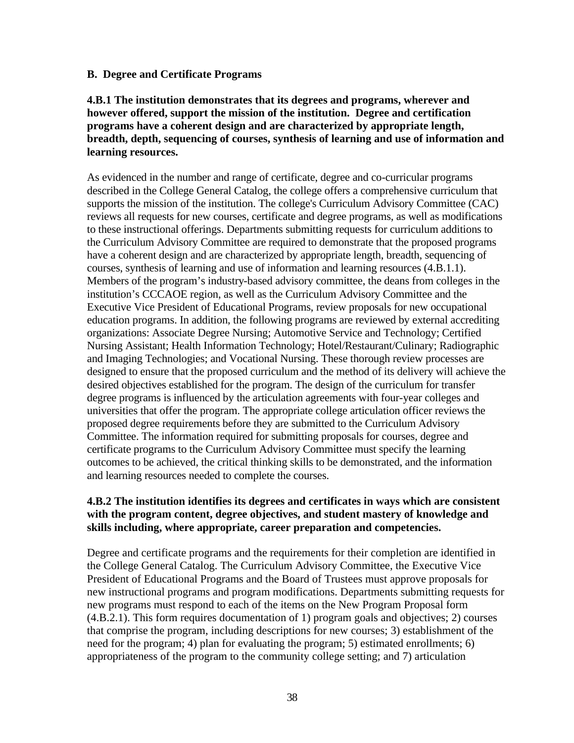#### **B. Degree and Certificate Programs**

#### **4.B.1 The institution demonstrates that its degrees and programs, wherever and however offered, support the mission of the institution. Degree and certification programs have a coherent design and are characterized by appropriate length, breadth, depth, sequencing of courses, synthesis of learning and use of information and learning resources.**

As evidenced in the number and range of certificate, degree and co-curricular programs described in the College General Catalog, the college offers a comprehensive curriculum that supports the mission of the institution. The college's Curriculum Advisory Committee (CAC) reviews all requests for new courses, certificate and degree programs, as well as modifications to these instructional offerings. Departments submitting requests for curriculum additions to the Curriculum Advisory Committee are required to demonstrate that the proposed programs have a coherent design and are characterized by appropriate length, breadth, sequencing of courses, synthesis of learning and use of information and learning resources (4.B.1.1). Members of the program's industry-based advisory committee, the deans from colleges in the institution's CCCAOE region, as well as the Curriculum Advisory Committee and the Executive Vice President of Educational Programs, review proposals for new occupational education programs. In addition, the following programs are reviewed by external accrediting organizations: Associate Degree Nursing; Automotive Service and Technology; Certified Nursing Assistant; Health Information Technology; Hotel/Restaurant/Culinary; Radiographic and Imaging Technologies; and Vocational Nursing. These thorough review processes are designed to ensure that the proposed curriculum and the method of its delivery will achieve the desired objectives established for the program. The design of the curriculum for transfer degree programs is influenced by the articulation agreements with four-year colleges and universities that offer the program. The appropriate college articulation officer reviews the proposed degree requirements before they are submitted to the Curriculum Advisory Committee. The information required for submitting proposals for courses, degree and certificate programs to the Curriculum Advisory Committee must specify the learning outcomes to be achieved, the critical thinking skills to be demonstrated, and the information and learning resources needed to complete the courses.

#### **4.B.2 The institution identifies its degrees and certificates in ways which are consistent with the program content, degree objectives, and student mastery of knowledge and skills including, where appropriate, career preparation and competencies.**

Degree and certificate programs and the requirements for their completion are identified in the College General Catalog. The Curriculum Advisory Committee, the Executive Vice President of Educational Programs and the Board of Trustees must approve proposals for new instructional programs and program modifications. Departments submitting requests for new programs must respond to each of the items on the New Program Proposal form (4.B.2.1). This form requires documentation of 1) program goals and objectives; 2) courses that comprise the program, including descriptions for new courses; 3) establishment of the need for the program; 4) plan for evaluating the program; 5) estimated enrollments; 6) appropriateness of the program to the community college setting; and 7) articulation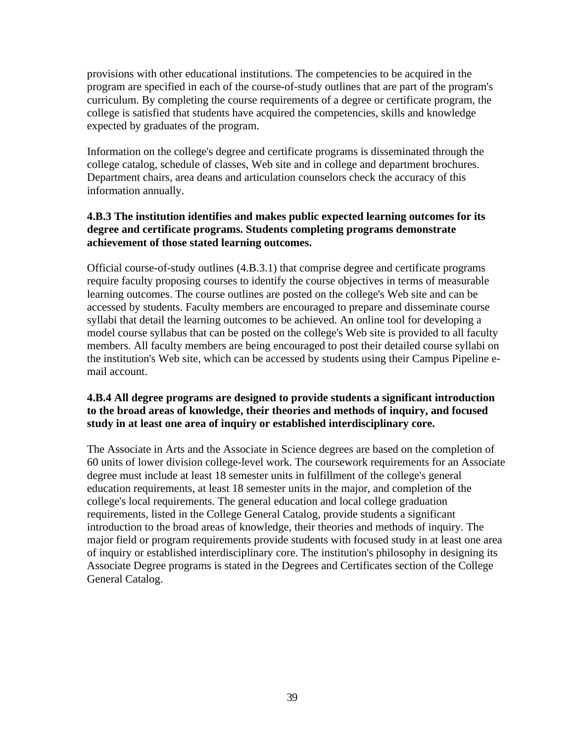provisions with other educational institutions. The competencies to be acquired in the program are specified in each of the course-of-study outlines that are part of the program's curriculum. By completing the course requirements of a degree or certificate program, the college is satisfied that students have acquired the competencies, skills and knowledge expected by graduates of the program.

Information on the college's degree and certificate programs is disseminated through the college catalog, schedule of classes, Web site and in college and department brochures. Department chairs, area deans and articulation counselors check the accuracy of this information annually.

## **4.B.3 The institution identifies and makes public expected learning outcomes for its degree and certificate programs. Students completing programs demonstrate achievement of those stated learning outcomes.**

Official course-of-study outlines (4.B.3.1) that comprise degree and certificate programs require faculty proposing courses to identify the course objectives in terms of measurable learning outcomes. The course outlines are posted on the college's Web site and can be accessed by students. Faculty members are encouraged to prepare and disseminate course syllabi that detail the learning outcomes to be achieved. An online tool for developing a model course syllabus that can be posted on the college's Web site is provided to all faculty members. All faculty members are being encouraged to post their detailed course syllabi on the institution's Web site, which can be accessed by students using their Campus Pipeline email account.

## **4.B.4 All degree programs are designed to provide students a significant introduction to the broad areas of knowledge, their theories and methods of inquiry, and focused study in at least one area of inquiry or established interdisciplinary core.**

The Associate in Arts and the Associate in Science degrees are based on the completion of 60 units of lower division college-level work. The coursework requirements for an Associate degree must include at least 18 semester units in fulfillment of the college's general education requirements, at least 18 semester units in the major, and completion of the college's local requirements. The general education and local college graduation requirements, listed in the College General Catalog, provide students a significant introduction to the broad areas of knowledge, their theories and methods of inquiry. The major field or program requirements provide students with focused study in at least one area of inquiry or established interdisciplinary core. The institution's philosophy in designing its Associate Degree programs is stated in the Degrees and Certificates section of the College General Catalog.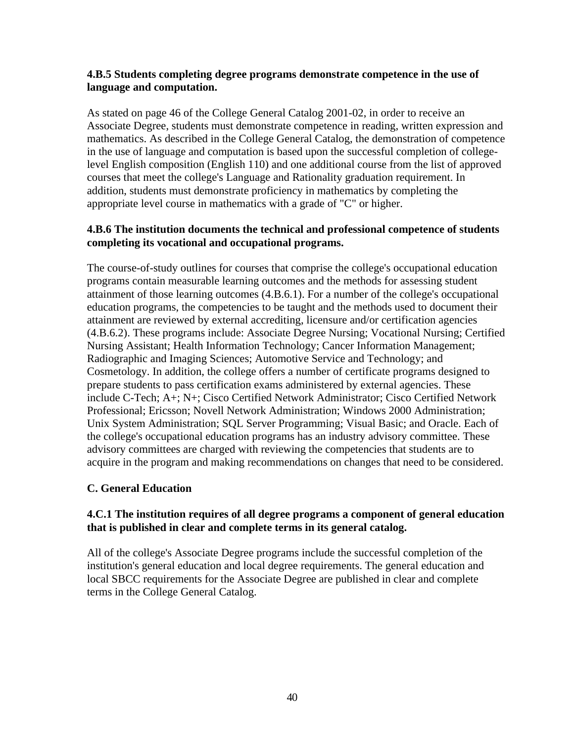#### **4.B.5 Students completing degree programs demonstrate competence in the use of language and computation.**

As stated on page 46 of the College General Catalog 2001-02, in order to receive an Associate Degree, students must demonstrate competence in reading, written expression and mathematics. As described in the College General Catalog, the demonstration of competence in the use of language and computation is based upon the successful completion of collegelevel English composition (English 110) and one additional course from the list of approved courses that meet the college's Language and Rationality graduation requirement. In addition, students must demonstrate proficiency in mathematics by completing the appropriate level course in mathematics with a grade of "C" or higher.

#### **4.B.6 The institution documents the technical and professional competence of students completing its vocational and occupational programs.**

The course-of-study outlines for courses that comprise the college's occupational education programs contain measurable learning outcomes and the methods for assessing student attainment of those learning outcomes (4.B.6.1). For a number of the college's occupational education programs, the competencies to be taught and the methods used to document their attainment are reviewed by external accrediting, licensure and/or certification agencies (4.B.6.2). These programs include: Associate Degree Nursing; Vocational Nursing; Certified Nursing Assistant; Health Information Technology; Cancer Information Management; Radiographic and Imaging Sciences; Automotive Service and Technology; and Cosmetology. In addition, the college offers a number of certificate programs designed to prepare students to pass certification exams administered by external agencies. These include C-Tech; A+; N+; Cisco Certified Network Administrator; Cisco Certified Network Professional; Ericsson; Novell Network Administration; Windows 2000 Administration; Unix System Administration; SQL Server Programming; Visual Basic; and Oracle. Each of the college's occupational education programs has an industry advisory committee. These advisory committees are charged with reviewing the competencies that students are to acquire in the program and making recommendations on changes that need to be considered.

## **C. General Education**

## **4.C.1 The institution requires of all degree programs a component of general education that is published in clear and complete terms in its general catalog.**

All of the college's Associate Degree programs include the successful completion of the institution's general education and local degree requirements. The general education and local SBCC requirements for the Associate Degree are published in clear and complete terms in the College General Catalog.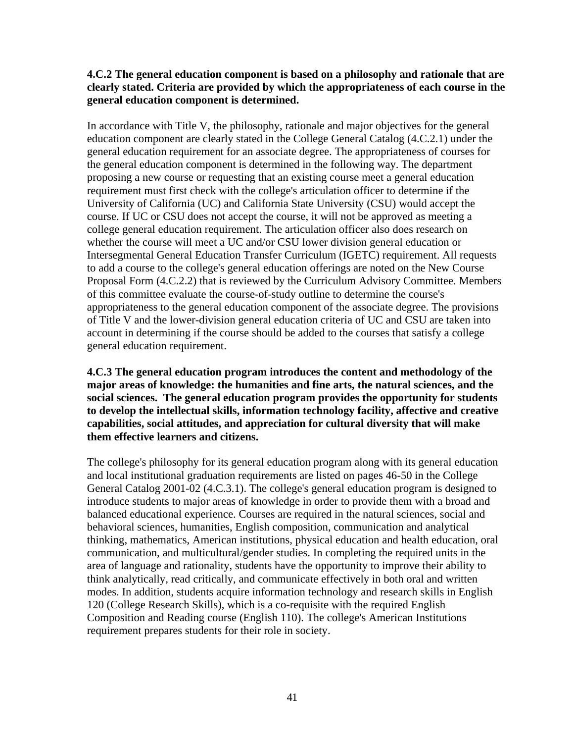#### **4.C.2 The general education component is based on a philosophy and rationale that are clearly stated. Criteria are provided by which the appropriateness of each course in the general education component is determined.**

In accordance with Title V, the philosophy, rationale and major objectives for the general education component are clearly stated in the College General Catalog (4.C.2.1) under the general education requirement for an associate degree. The appropriateness of courses for the general education component is determined in the following way. The department proposing a new course or requesting that an existing course meet a general education requirement must first check with the college's articulation officer to determine if the University of California (UC) and California State University (CSU) would accept the course. If UC or CSU does not accept the course, it will not be approved as meeting a college general education requirement. The articulation officer also does research on whether the course will meet a UC and/or CSU lower division general education or Intersegmental General Education Transfer Curriculum (IGETC) requirement. All requests to add a course to the college's general education offerings are noted on the New Course Proposal Form (4.C.2.2) that is reviewed by the Curriculum Advisory Committee. Members of this committee evaluate the course-of-study outline to determine the course's appropriateness to the general education component of the associate degree. The provisions of Title V and the lower-division general education criteria of UC and CSU are taken into account in determining if the course should be added to the courses that satisfy a college general education requirement.

#### **4.C.3 The general education program introduces the content and methodology of the major areas of knowledge: the humanities and fine arts, the natural sciences, and the social sciences. The general education program provides the opportunity for students to develop the intellectual skills, information technology facility, affective and creative capabilities, social attitudes, and appreciation for cultural diversity that will make them effective learners and citizens.**

The college's philosophy for its general education program along with its general education and local institutional graduation requirements are listed on pages 46-50 in the College General Catalog 2001-02 (4.C.3.1). The college's general education program is designed to introduce students to major areas of knowledge in order to provide them with a broad and balanced educational experience. Courses are required in the natural sciences, social and behavioral sciences, humanities, English composition, communication and analytical thinking, mathematics, American institutions, physical education and health education, oral communication, and multicultural/gender studies. In completing the required units in the area of language and rationality, students have the opportunity to improve their ability to think analytically, read critically, and communicate effectively in both oral and written modes. In addition, students acquire information technology and research skills in English 120 (College Research Skills), which is a co-requisite with the required English Composition and Reading course (English 110). The college's American Institutions requirement prepares students for their role in society.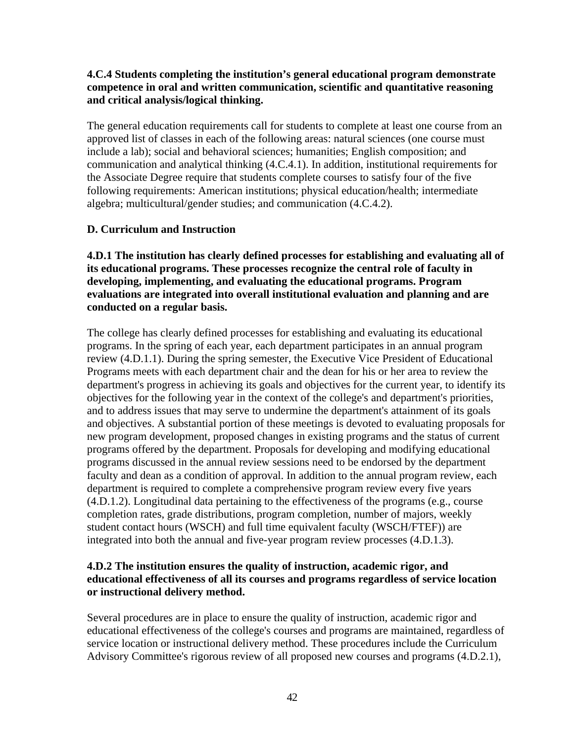#### **4.C.4 Students completing the institution's general educational program demonstrate competence in oral and written communication, scientific and quantitative reasoning and critical analysis/logical thinking.**

The general education requirements call for students to complete at least one course from an approved list of classes in each of the following areas: natural sciences (one course must include a lab); social and behavioral sciences; humanities; English composition; and communication and analytical thinking (4.C.4.1). In addition, institutional requirements for the Associate Degree require that students complete courses to satisfy four of the five following requirements: American institutions; physical education/health; intermediate algebra; multicultural/gender studies; and communication (4.C.4.2).

#### **D. Curriculum and Instruction**

**4.D.1 The institution has clearly defined processes for establishing and evaluating all of its educational programs. These processes recognize the central role of faculty in developing, implementing, and evaluating the educational programs. Program evaluations are integrated into overall institutional evaluation and planning and are conducted on a regular basis.**

The college has clearly defined processes for establishing and evaluating its educational programs. In the spring of each year, each department participates in an annual program review (4.D.1.1). During the spring semester, the Executive Vice President of Educational Programs meets with each department chair and the dean for his or her area to review the department's progress in achieving its goals and objectives for the current year, to identify its objectives for the following year in the context of the college's and department's priorities, and to address issues that may serve to undermine the department's attainment of its goals and objectives. A substantial portion of these meetings is devoted to evaluating proposals for new program development, proposed changes in existing programs and the status of current programs offered by the department. Proposals for developing and modifying educational programs discussed in the annual review sessions need to be endorsed by the department faculty and dean as a condition of approval. In addition to the annual program review, each department is required to complete a comprehensive program review every five years (4.D.1.2). Longitudinal data pertaining to the effectiveness of the programs (e.g., course completion rates, grade distributions, program completion, number of majors, weekly student contact hours (WSCH) and full time equivalent faculty (WSCH/FTEF)) are integrated into both the annual and five-year program review processes (4.D.1.3).

#### **4.D.2 The institution ensures the quality of instruction, academic rigor, and educational effectiveness of all its courses and programs regardless of service location or instructional delivery method.**

Several procedures are in place to ensure the quality of instruction, academic rigor and educational effectiveness of the college's courses and programs are maintained, regardless of service location or instructional delivery method. These procedures include the Curriculum Advisory Committee's rigorous review of all proposed new courses and programs (4.D.2.1),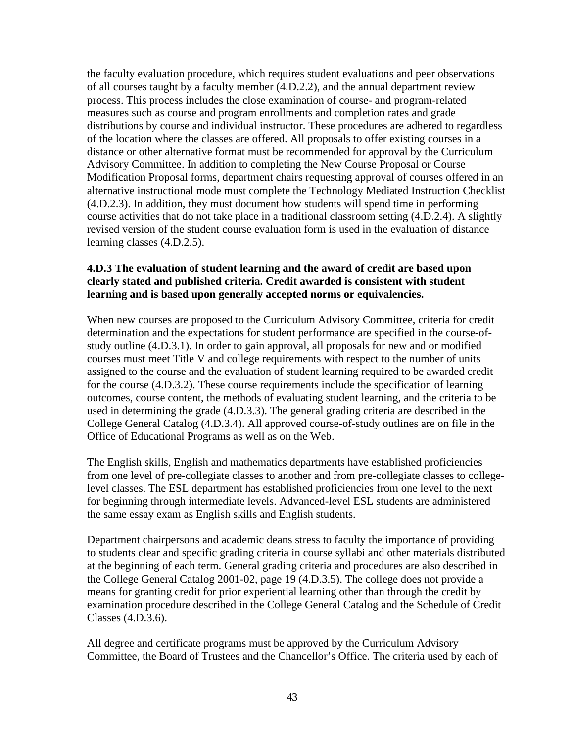the faculty evaluation procedure, which requires student evaluations and peer observations of all courses taught by a faculty member (4.D.2.2), and the annual department review process. This process includes the close examination of course- and program-related measures such as course and program enrollments and completion rates and grade distributions by course and individual instructor. These procedures are adhered to regardless of the location where the classes are offered. All proposals to offer existing courses in a distance or other alternative format must be recommended for approval by the Curriculum Advisory Committee. In addition to completing the New Course Proposal or Course Modification Proposal forms, department chairs requesting approval of courses offered in an alternative instructional mode must complete the Technology Mediated Instruction Checklist (4.D.2.3). In addition, they must document how students will spend time in performing course activities that do not take place in a traditional classroom setting (4.D.2.4). A slightly revised version of the student course evaluation form is used in the evaluation of distance learning classes (4.D.2.5).

#### **4.D.3 The evaluation of student learning and the award of credit are based upon clearly stated and published criteria. Credit awarded is consistent with student learning and is based upon generally accepted norms or equivalencies.**

When new courses are proposed to the Curriculum Advisory Committee, criteria for credit determination and the expectations for student performance are specified in the course-ofstudy outline (4.D.3.1). In order to gain approval, all proposals for new and or modified courses must meet Title V and college requirements with respect to the number of units assigned to the course and the evaluation of student learning required to be awarded credit for the course (4.D.3.2). These course requirements include the specification of learning outcomes, course content, the methods of evaluating student learning, and the criteria to be used in determining the grade (4.D.3.3). The general grading criteria are described in the College General Catalog (4.D.3.4). All approved course-of-study outlines are on file in the Office of Educational Programs as well as on the Web.

The English skills, English and mathematics departments have established proficiencies from one level of pre-collegiate classes to another and from pre-collegiate classes to collegelevel classes. The ESL department has established proficiencies from one level to the next for beginning through intermediate levels. Advanced-level ESL students are administered the same essay exam as English skills and English students.

Department chairpersons and academic deans stress to faculty the importance of providing to students clear and specific grading criteria in course syllabi and other materials distributed at the beginning of each term. General grading criteria and procedures are also described in the College General Catalog 2001-02, page 19 (4.D.3.5). The college does not provide a means for granting credit for prior experiential learning other than through the credit by examination procedure described in the College General Catalog and the Schedule of Credit Classes (4.D.3.6).

All degree and certificate programs must be approved by the Curriculum Advisory Committee, the Board of Trustees and the Chancellor's Office. The criteria used by each of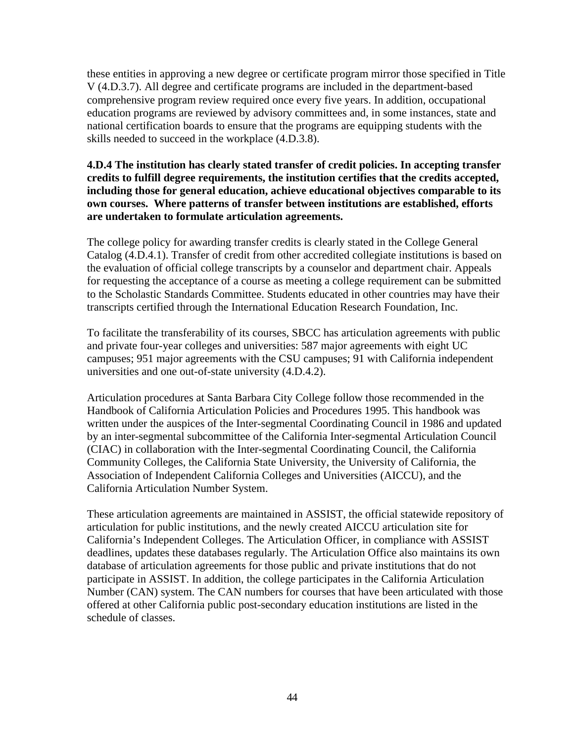these entities in approving a new degree or certificate program mirror those specified in Title V (4.D.3.7). All degree and certificate programs are included in the department-based comprehensive program review required once every five years. In addition, occupational education programs are reviewed by advisory committees and, in some instances, state and national certification boards to ensure that the programs are equipping students with the skills needed to succeed in the workplace (4.D.3.8).

#### **4.D.4 The institution has clearly stated transfer of credit policies. In accepting transfer credits to fulfill degree requirements, the institution certifies that the credits accepted, including those for general education, achieve educational objectives comparable to its own courses. Where patterns of transfer between institutions are established, efforts are undertaken to formulate articulation agreements.**

The college policy for awarding transfer credits is clearly stated in the College General Catalog (4.D.4.1). Transfer of credit from other accredited collegiate institutions is based on the evaluation of official college transcripts by a counselor and department chair. Appeals for requesting the acceptance of a course as meeting a college requirement can be submitted to the Scholastic Standards Committee. Students educated in other countries may have their transcripts certified through the International Education Research Foundation, Inc.

To facilitate the transferability of its courses, SBCC has articulation agreements with public and private four-year colleges and universities: 587 major agreements with eight UC campuses; 951 major agreements with the CSU campuses; 91 with California independent universities and one out-of-state university (4.D.4.2).

Articulation procedures at Santa Barbara City College follow those recommended in the Handbook of California Articulation Policies and Procedures 1995. This handbook was written under the auspices of the Inter-segmental Coordinating Council in 1986 and updated by an inter-segmental subcommittee of the California Inter-segmental Articulation Council (CIAC) in collaboration with the Inter-segmental Coordinating Council, the California Community Colleges, the California State University, the University of California, the Association of Independent California Colleges and Universities (AICCU), and the California Articulation Number System.

These articulation agreements are maintained in ASSIST, the official statewide repository of articulation for public institutions, and the newly created AICCU articulation site for California's Independent Colleges. The Articulation Officer, in compliance with ASSIST deadlines, updates these databases regularly. The Articulation Office also maintains its own database of articulation agreements for those public and private institutions that do not participate in ASSIST. In addition, the college participates in the California Articulation Number (CAN) system. The CAN numbers for courses that have been articulated with those offered at other California public post-secondary education institutions are listed in the schedule of classes.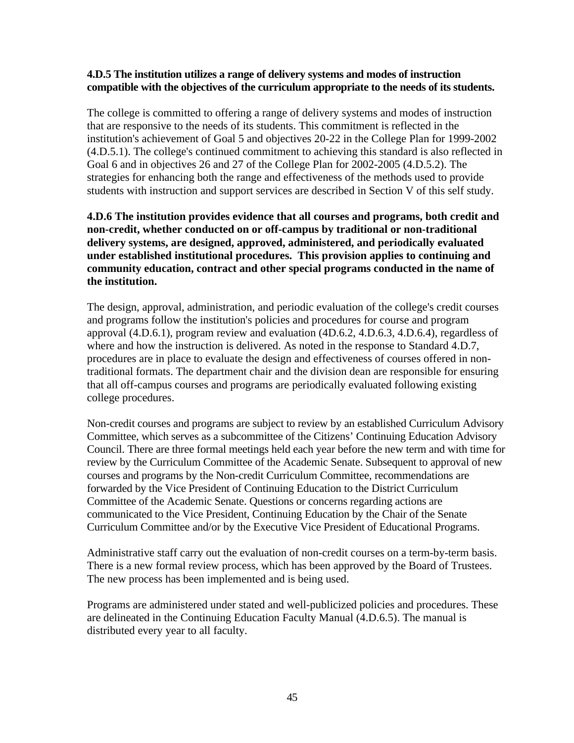#### **4.D.5 The institution utilizes a range of delivery systems and modes of instruction compatible with the objectives of the curriculum appropriate to the needs of its students.**

The college is committed to offering a range of delivery systems and modes of instruction that are responsive to the needs of its students. This commitment is reflected in the institution's achievement of Goal 5 and objectives 20-22 in the College Plan for 1999-2002 (4.D.5.1). The college's continued commitment to achieving this standard is also reflected in Goal 6 and in objectives 26 and 27 of the College Plan for 2002-2005 (4.D.5.2). The strategies for enhancing both the range and effectiveness of the methods used to provide students with instruction and support services are described in Section V of this self study.

#### **4.D.6 The institution provides evidence that all courses and programs, both credit and non-credit, whether conducted on or off-campus by traditional or non-traditional delivery systems, are designed, approved, administered, and periodically evaluated under established institutional procedures. This provision applies to continuing and community education, contract and other special programs conducted in the name of the institution.**

The design, approval, administration, and periodic evaluation of the college's credit courses and programs follow the institution's policies and procedures for course and program approval (4.D.6.1), program review and evaluation (4D.6.2, 4.D.6.3, 4.D.6.4), regardless of where and how the instruction is delivered. As noted in the response to Standard 4.D.7, procedures are in place to evaluate the design and effectiveness of courses offered in nontraditional formats. The department chair and the division dean are responsible for ensuring that all off-campus courses and programs are periodically evaluated following existing college procedures.

Non-credit courses and programs are subject to review by an established Curriculum Advisory Committee, which serves as a subcommittee of the Citizens' Continuing Education Advisory Council. There are three formal meetings held each year before the new term and with time for review by the Curriculum Committee of the Academic Senate. Subsequent to approval of new courses and programs by the Non-credit Curriculum Committee, recommendations are forwarded by the Vice President of Continuing Education to the District Curriculum Committee of the Academic Senate. Questions or concerns regarding actions are communicated to the Vice President, Continuing Education by the Chair of the Senate Curriculum Committee and/or by the Executive Vice President of Educational Programs.

Administrative staff carry out the evaluation of non-credit courses on a term-by-term basis. There is a new formal review process, which has been approved by the Board of Trustees. The new process has been implemented and is being used.

Programs are administered under stated and well-publicized policies and procedures. These are delineated in the Continuing Education Faculty Manual (4.D.6.5). The manual is distributed every year to all faculty.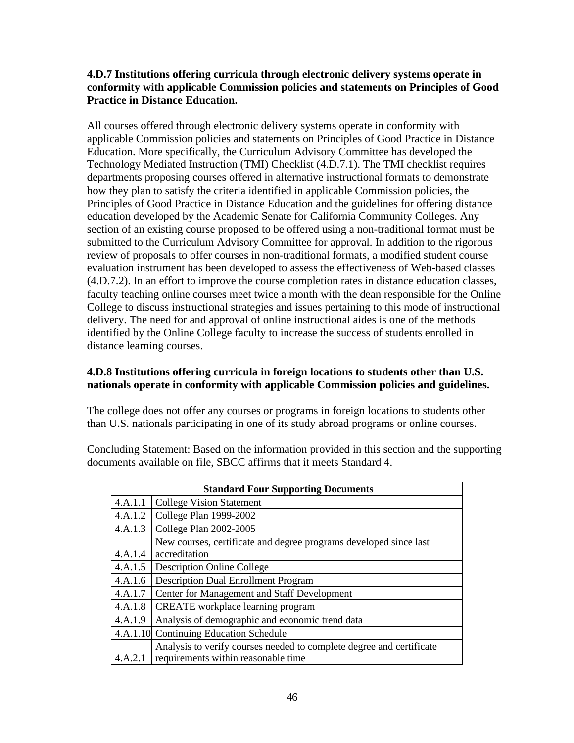#### **4.D.7 Institutions offering curricula through electronic delivery systems operate in conformity with applicable Commission policies and statements on Principles of Good Practice in Distance Education.**

All courses offered through electronic delivery systems operate in conformity with applicable Commission policies and statements on Principles of Good Practice in Distance Education. More specifically, the Curriculum Advisory Committee has developed the Technology Mediated Instruction (TMI) Checklist (4.D.7.1). The TMI checklist requires departments proposing courses offered in alternative instructional formats to demonstrate how they plan to satisfy the criteria identified in applicable Commission policies, the Principles of Good Practice in Distance Education and the guidelines for offering distance education developed by the Academic Senate for California Community Colleges. Any section of an existing course proposed to be offered using a non-traditional format must be submitted to the Curriculum Advisory Committee for approval. In addition to the rigorous review of proposals to offer courses in non-traditional formats, a modified student course evaluation instrument has been developed to assess the effectiveness of Web-based classes (4.D.7.2). In an effort to improve the course completion rates in distance education classes, faculty teaching online courses meet twice a month with the dean responsible for the Online College to discuss instructional strategies and issues pertaining to this mode of instructional delivery. The need for and approval of online instructional aides is one of the methods identified by the Online College faculty to increase the success of students enrolled in distance learning courses.

## **4.D.8 Institutions offering curricula in foreign locations to students other than U.S. nationals operate in conformity with applicable Commission policies and guidelines.**

The college does not offer any courses or programs in foreign locations to students other than U.S. nationals participating in one of its study abroad programs or online courses.

Concluding Statement: Based on the information provided in this section and the supporting documents available on file, SBCC affirms that it meets Standard 4.

| <b>Standard Four Supporting Documents</b> |                                                                      |  |  |
|-------------------------------------------|----------------------------------------------------------------------|--|--|
| 4.A.1.1                                   | <b>College Vision Statement</b>                                      |  |  |
| 4.A.1.2                                   | College Plan 1999-2002                                               |  |  |
| 4.A.1.3                                   | College Plan 2002-2005                                               |  |  |
|                                           | New courses, certificate and degree programs developed since last    |  |  |
| 4.A.1.4                                   | accreditation                                                        |  |  |
| 4.A.1.5                                   | <b>Description Online College</b>                                    |  |  |
| 4.A.1.6                                   | <b>Description Dual Enrollment Program</b>                           |  |  |
| 4.A.1.7                                   | Center for Management and Staff Development                          |  |  |
| 4.A.1.8                                   | <b>CREATE</b> workplace learning program                             |  |  |
| 4.A.1.9                                   | Analysis of demographic and economic trend data                      |  |  |
|                                           | 4.A.1.10 Continuing Education Schedule                               |  |  |
|                                           | Analysis to verify courses needed to complete degree and certificate |  |  |
| 4.A.2.1                                   | requirements within reasonable time                                  |  |  |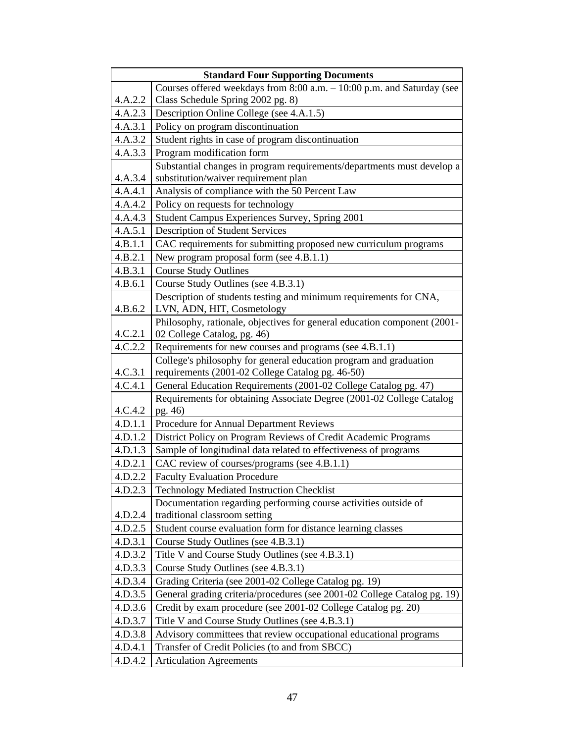| <b>Standard Four Supporting Documents</b> |                                                                          |  |  |  |  |
|-------------------------------------------|--------------------------------------------------------------------------|--|--|--|--|
|                                           | Courses offered weekdays from 8:00 a.m. - 10:00 p.m. and Saturday (see   |  |  |  |  |
| 4.A.2.2                                   | Class Schedule Spring 2002 pg. 8)                                        |  |  |  |  |
| 4.A.2.3                                   | Description Online College (see 4.A.1.5)                                 |  |  |  |  |
| 4.A.3.1                                   | Policy on program discontinuation                                        |  |  |  |  |
| 4.A.3.2                                   | Student rights in case of program discontinuation                        |  |  |  |  |
| 4.A.3.3                                   | Program modification form                                                |  |  |  |  |
|                                           | Substantial changes in program requirements/departments must develop a   |  |  |  |  |
| 4.A.3.4                                   | substitution/waiver requirement plan                                     |  |  |  |  |
| 4.A.4.1                                   | Analysis of compliance with the 50 Percent Law                           |  |  |  |  |
| 4.A.4.2                                   | Policy on requests for technology                                        |  |  |  |  |
| 4.A.4.3                                   | Student Campus Experiences Survey, Spring 2001                           |  |  |  |  |
| 4.A.5.1                                   | <b>Description of Student Services</b>                                   |  |  |  |  |
| 4.B.1.1                                   | CAC requirements for submitting proposed new curriculum programs         |  |  |  |  |
| 4.B.2.1                                   | New program proposal form (see 4.B.1.1)                                  |  |  |  |  |
| 4.B.3.1                                   | <b>Course Study Outlines</b>                                             |  |  |  |  |
| 4.B.6.1                                   | Course Study Outlines (see 4.B.3.1)                                      |  |  |  |  |
|                                           | Description of students testing and minimum requirements for CNA,        |  |  |  |  |
| 4.B.6.2                                   | LVN, ADN, HIT, Cosmetology                                               |  |  |  |  |
|                                           | Philosophy, rationale, objectives for general education component (2001- |  |  |  |  |
| 4.C.2.1                                   | 02 College Catalog, pg. 46)                                              |  |  |  |  |
| 4.C.2.2                                   | Requirements for new courses and programs (see 4.B.1.1)                  |  |  |  |  |
|                                           | College's philosophy for general education program and graduation        |  |  |  |  |
| 4.C.3.1                                   | requirements (2001-02 College Catalog pg. 46-50)                         |  |  |  |  |
| 4.C.4.1                                   | General Education Requirements (2001-02 College Catalog pg. 47)          |  |  |  |  |
|                                           | Requirements for obtaining Associate Degree (2001-02 College Catalog     |  |  |  |  |
| 4.C.4.2                                   | pg. 46)                                                                  |  |  |  |  |
| 4.D.1.1                                   | Procedure for Annual Department Reviews                                  |  |  |  |  |
| 4.D.1.2                                   | District Policy on Program Reviews of Credit Academic Programs           |  |  |  |  |
| 4.D.1.3                                   | Sample of longitudinal data related to effectiveness of programs         |  |  |  |  |
| 4.D.2.1                                   | CAC review of courses/programs (see 4.B.1.1)                             |  |  |  |  |
| 4.D.2.2                                   | <b>Faculty Evaluation Procedure</b>                                      |  |  |  |  |
| 4.D.2.3                                   | Technology Mediated Instruction Checklist                                |  |  |  |  |
|                                           | Documentation regarding performing course activities outside of          |  |  |  |  |
| 4.D.2.4                                   | traditional classroom setting                                            |  |  |  |  |
| 4.D.2.5                                   | Student course evaluation form for distance learning classes             |  |  |  |  |
| 4.D.3.1                                   | Course Study Outlines (see 4.B.3.1)                                      |  |  |  |  |
| 4.D.3.2                                   | Title V and Course Study Outlines (see 4.B.3.1)                          |  |  |  |  |
| 4.D.3.3                                   | Course Study Outlines (see 4.B.3.1)                                      |  |  |  |  |
| 4.D.3.4                                   | Grading Criteria (see 2001-02 College Catalog pg. 19)                    |  |  |  |  |
| 4.D.3.5                                   | General grading criteria/procedures (see 2001-02 College Catalog pg. 19) |  |  |  |  |
| 4.D.3.6                                   | Credit by exam procedure (see 2001-02 College Catalog pg. 20)            |  |  |  |  |
| 4.D.3.7                                   | Title V and Course Study Outlines (see 4.B.3.1)                          |  |  |  |  |
| 4.D.3.8                                   | Advisory committees that review occupational educational programs        |  |  |  |  |
| 4.D.4.1                                   | Transfer of Credit Policies (to and from SBCC)                           |  |  |  |  |
| 4.D.4.2                                   | <b>Articulation Agreements</b>                                           |  |  |  |  |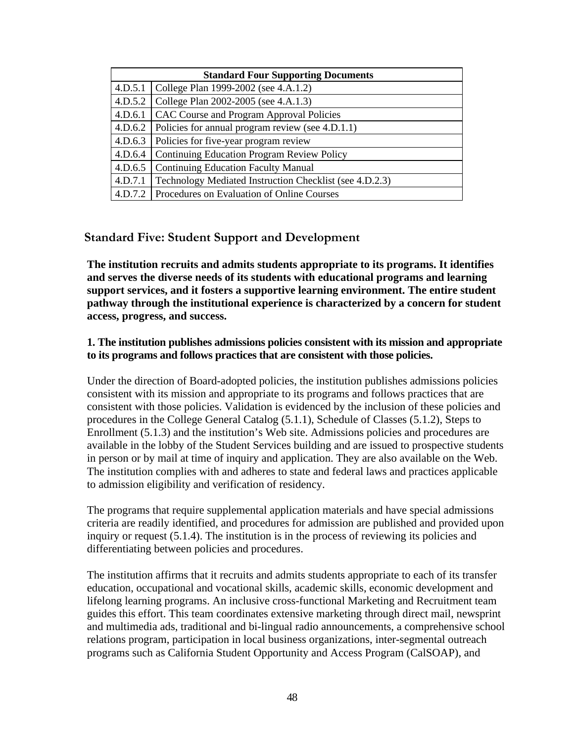| <b>Standard Four Supporting Documents</b> |                                                            |  |  |
|-------------------------------------------|------------------------------------------------------------|--|--|
| 4.D.5.1                                   | College Plan 1999-2002 (see 4.A.1.2)                       |  |  |
| 4.D.5.2                                   | College Plan 2002-2005 (see 4.A.1.3)                       |  |  |
| 4.D.6.1                                   | CAC Course and Program Approval Policies                   |  |  |
|                                           | 4.D.6.2   Policies for annual program review (see 4.D.1.1) |  |  |
| 4.D.6.3                                   | Policies for five-year program review                      |  |  |
| 4.D.6.4                                   | Continuing Education Program Review Policy                 |  |  |
| 4.D.6.5                                   | <b>Continuing Education Faculty Manual</b>                 |  |  |
| 4.D.7.1                                   | Technology Mediated Instruction Checklist (see 4.D.2.3)    |  |  |
| 4.D.7.2                                   | Procedures on Evaluation of Online Courses                 |  |  |

## **Standard Five: Student Support and Development**

**The institution recruits and admits students appropriate to its programs. It identifies and serves the diverse needs of its students with educational programs and learning support services, and it fosters a supportive learning environment. The entire student pathway through the institutional experience is characterized by a concern for student access, progress, and success.**

#### **1. The institution publishes admissions policies consistent with its mission and appropriate to its programs and follows practices that are consistent with those policies.**

Under the direction of Board-adopted policies, the institution publishes admissions policies consistent with its mission and appropriate to its programs and follows practices that are consistent with those policies. Validation is evidenced by the inclusion of these policies and procedures in the College General Catalog (5.1.1), Schedule of Classes (5.1.2), Steps to Enrollment (5.1.3) and the institution's Web site. Admissions policies and procedures are available in the lobby of the Student Services building and are issued to prospective students in person or by mail at time of inquiry and application. They are also available on the Web. The institution complies with and adheres to state and federal laws and practices applicable to admission eligibility and verification of residency.

The programs that require supplemental application materials and have special admissions criteria are readily identified, and procedures for admission are published and provided upon inquiry or request (5.1.4). The institution is in the process of reviewing its policies and differentiating between policies and procedures.

The institution affirms that it recruits and admits students appropriate to each of its transfer education, occupational and vocational skills, academic skills, economic development and lifelong learning programs. An inclusive cross-functional Marketing and Recruitment team guides this effort. This team coordinates extensive marketing through direct mail, newsprint and multimedia ads, traditional and bi-lingual radio announcements, a comprehensive school relations program, participation in local business organizations, inter-segmental outreach programs such as California Student Opportunity and Access Program (CalSOAP), and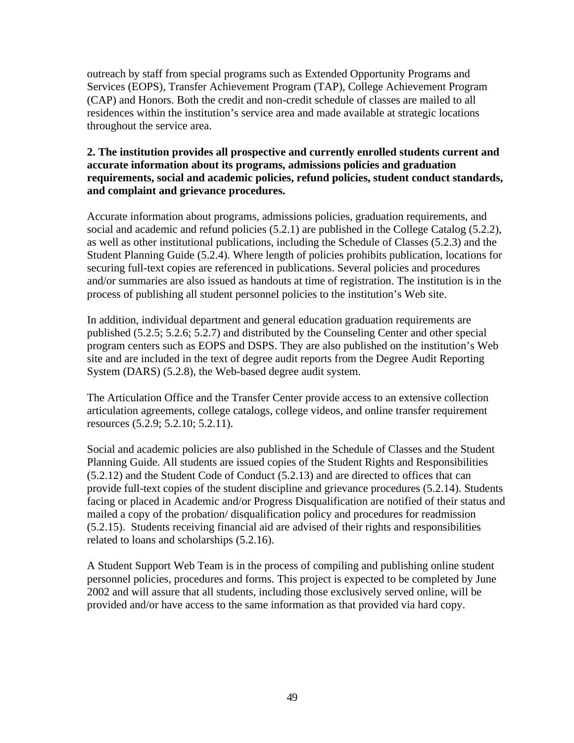outreach by staff from special programs such as Extended Opportunity Programs and Services (EOPS), Transfer Achievement Program (TAP), College Achievement Program (CAP) and Honors. Both the credit and non-credit schedule of classes are mailed to all residences within the institution's service area and made available at strategic locations throughout the service area.

#### **2. The institution provides all prospective and currently enrolled students current and accurate information about its programs, admissions policies and graduation requirements, social and academic policies, refund policies, student conduct standards, and complaint and grievance procedures.**

Accurate information about programs, admissions policies, graduation requirements, and social and academic and refund policies (5.2.1) are published in the College Catalog (5.2.2), as well as other institutional publications, including the Schedule of Classes (5.2.3) and the Student Planning Guide (5.2.4). Where length of policies prohibits publication, locations for securing full-text copies are referenced in publications. Several policies and procedures and/or summaries are also issued as handouts at time of registration. The institution is in the process of publishing all student personnel policies to the institution's Web site.

In addition, individual department and general education graduation requirements are published (5.2.5; 5.2.6; 5.2.7) and distributed by the Counseling Center and other special program centers such as EOPS and DSPS. They are also published on the institution's Web site and are included in the text of degree audit reports from the Degree Audit Reporting System (DARS) (5.2.8), the Web-based degree audit system.

The Articulation Office and the Transfer Center provide access to an extensive collection articulation agreements, college catalogs, college videos, and online transfer requirement resources (5.2.9; 5.2.10; 5.2.11).

Social and academic policies are also published in the Schedule of Classes and the Student Planning Guide. All students are issued copies of the Student Rights and Responsibilities (5.2.12) and the Student Code of Conduct (5.2.13) and are directed to offices that can provide full-text copies of the student discipline and grievance procedures (5.2.14). Students facing or placed in Academic and/or Progress Disqualification are notified of their status and mailed a copy of the probation/ disqualification policy and procedures for readmission (5.2.15). Students receiving financial aid are advised of their rights and responsibilities related to loans and scholarships (5.2.16).

A Student Support Web Team is in the process of compiling and publishing online student personnel policies, procedures and forms. This project is expected to be completed by June 2002 and will assure that all students, including those exclusively served online, will be provided and/or have access to the same information as that provided via hard copy.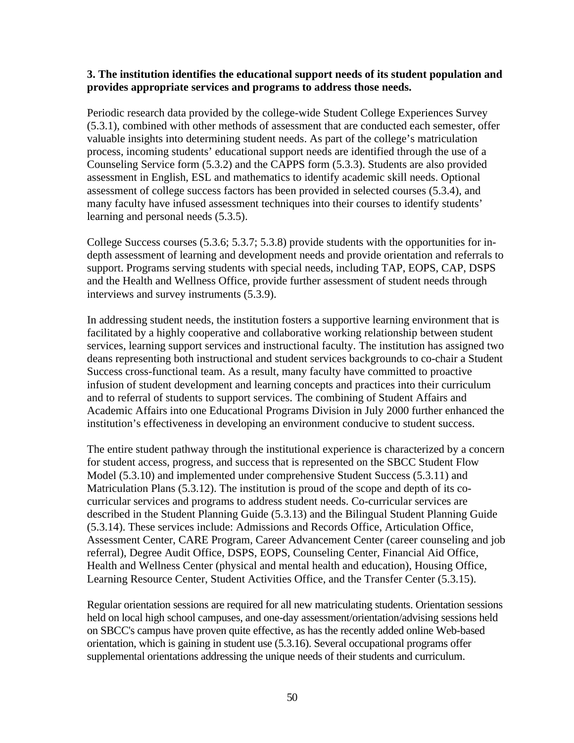#### **3. The institution identifies the educational support needs of its student population and provides appropriate services and programs to address those needs.**

Periodic research data provided by the college-wide Student College Experiences Survey (5.3.1), combined with other methods of assessment that are conducted each semester, offer valuable insights into determining student needs. As part of the college's matriculation process, incoming students' educational support needs are identified through the use of a Counseling Service form (5.3.2) and the CAPPS form (5.3.3). Students are also provided assessment in English, ESL and mathematics to identify academic skill needs. Optional assessment of college success factors has been provided in selected courses (5.3.4), and many faculty have infused assessment techniques into their courses to identify students' learning and personal needs (5.3.5).

College Success courses (5.3.6; 5.3.7; 5.3.8) provide students with the opportunities for indepth assessment of learning and development needs and provide orientation and referrals to support. Programs serving students with special needs, including TAP, EOPS, CAP, DSPS and the Health and Wellness Office, provide further assessment of student needs through interviews and survey instruments (5.3.9).

In addressing student needs, the institution fosters a supportive learning environment that is facilitated by a highly cooperative and collaborative working relationship between student services, learning support services and instructional faculty. The institution has assigned two deans representing both instructional and student services backgrounds to co-chair a Student Success cross-functional team. As a result, many faculty have committed to proactive infusion of student development and learning concepts and practices into their curriculum and to referral of students to support services. The combining of Student Affairs and Academic Affairs into one Educational Programs Division in July 2000 further enhanced the institution's effectiveness in developing an environment conducive to student success.

The entire student pathway through the institutional experience is characterized by a concern for student access, progress, and success that is represented on the SBCC Student Flow Model (5.3.10) and implemented under comprehensive Student Success (5.3.11) and Matriculation Plans (5.3.12). The institution is proud of the scope and depth of its cocurricular services and programs to address student needs. Co-curricular services are described in the Student Planning Guide (5.3.13) and the Bilingual Student Planning Guide (5.3.14). These services include: Admissions and Records Office, Articulation Office, Assessment Center, CARE Program, Career Advancement Center (career counseling and job referral), Degree Audit Office, DSPS, EOPS, Counseling Center, Financial Aid Office, Health and Wellness Center (physical and mental health and education), Housing Office, Learning Resource Center, Student Activities Office, and the Transfer Center (5.3.15).

Regular orientation sessions are required for all new matriculating students. Orientation sessions held on local high school campuses, and one-day assessment/orientation/advising sessions held on SBCC's campus have proven quite effective, as has the recently added online Web-based orientation, which is gaining in student use (5.3.16). Several occupational programs offer supplemental orientations addressing the unique needs of their students and curriculum.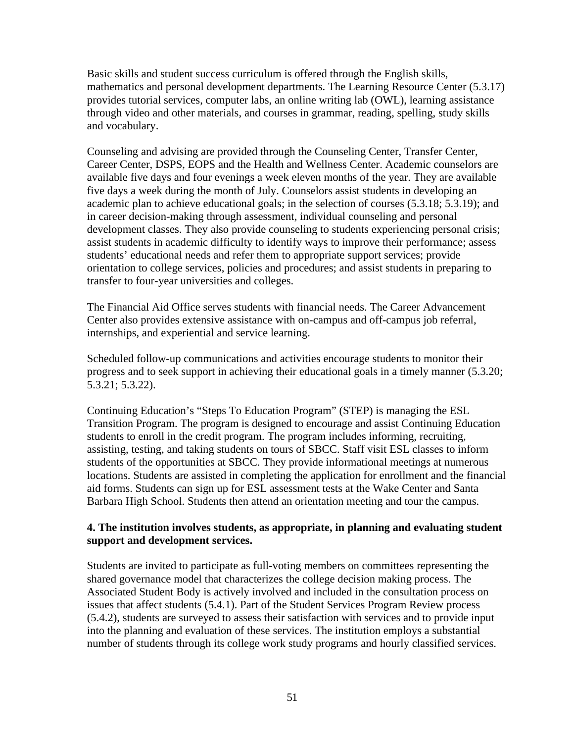Basic skills and student success curriculum is offered through the English skills, mathematics and personal development departments. The Learning Resource Center (5.3.17) provides tutorial services, computer labs, an online writing lab (OWL), learning assistance through video and other materials, and courses in grammar, reading, spelling, study skills and vocabulary.

Counseling and advising are provided through the Counseling Center, Transfer Center, Career Center, DSPS, EOPS and the Health and Wellness Center. Academic counselors are available five days and four evenings a week eleven months of the year. They are available five days a week during the month of July. Counselors assist students in developing an academic plan to achieve educational goals; in the selection of courses (5.3.18; 5.3.19); and in career decision-making through assessment, individual counseling and personal development classes. They also provide counseling to students experiencing personal crisis; assist students in academic difficulty to identify ways to improve their performance; assess students' educational needs and refer them to appropriate support services; provide orientation to college services, policies and procedures; and assist students in preparing to transfer to four-year universities and colleges.

The Financial Aid Office serves students with financial needs. The Career Advancement Center also provides extensive assistance with on-campus and off-campus job referral, internships, and experiential and service learning.

Scheduled follow-up communications and activities encourage students to monitor their progress and to seek support in achieving their educational goals in a timely manner (5.3.20; 5.3.21; 5.3.22).

Continuing Education's "Steps To Education Program" (STEP) is managing the ESL Transition Program. The program is designed to encourage and assist Continuing Education students to enroll in the credit program. The program includes informing, recruiting, assisting, testing, and taking students on tours of SBCC. Staff visit ESL classes to inform students of the opportunities at SBCC. They provide informational meetings at numerous locations. Students are assisted in completing the application for enrollment and the financial aid forms. Students can sign up for ESL assessment tests at the Wake Center and Santa Barbara High School. Students then attend an orientation meeting and tour the campus.

#### **4. The institution involves students, as appropriate, in planning and evaluating student support and development services.**

Students are invited to participate as full-voting members on committees representing the shared governance model that characterizes the college decision making process. The Associated Student Body is actively involved and included in the consultation process on issues that affect students (5.4.1). Part of the Student Services Program Review process (5.4.2), students are surveyed to assess their satisfaction with services and to provide input into the planning and evaluation of these services. The institution employs a substantial number of students through its college work study programs and hourly classified services.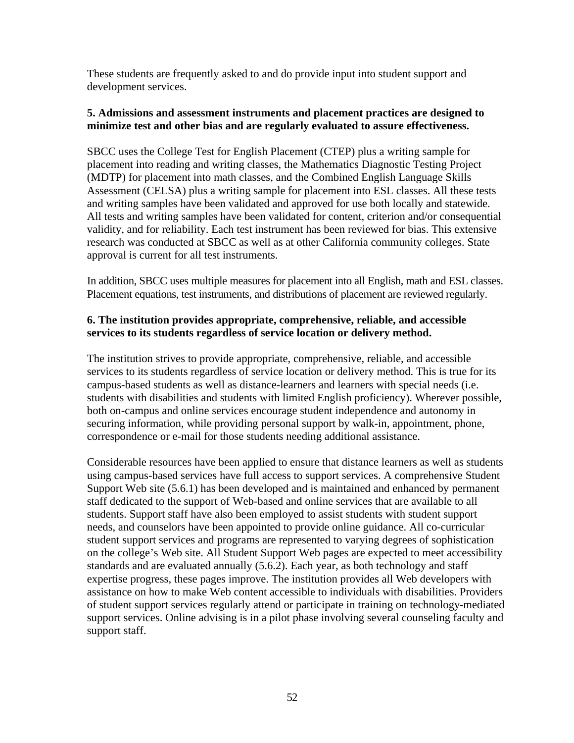These students are frequently asked to and do provide input into student support and development services.

#### **5. Admissions and assessment instruments and placement practices are designed to minimize test and other bias and are regularly evaluated to assure effectiveness.**

SBCC uses the College Test for English Placement (CTEP) plus a writing sample for placement into reading and writing classes, the Mathematics Diagnostic Testing Project (MDTP) for placement into math classes, and the Combined English Language Skills Assessment (CELSA) plus a writing sample for placement into ESL classes. All these tests and writing samples have been validated and approved for use both locally and statewide. All tests and writing samples have been validated for content, criterion and/or consequential validity, and for reliability. Each test instrument has been reviewed for bias. This extensive research was conducted at SBCC as well as at other California community colleges. State approval is current for all test instruments.

In addition, SBCC uses multiple measures for placement into all English, math and ESL classes. Placement equations, test instruments, and distributions of placement are reviewed regularly.

## **6. The institution provides appropriate, comprehensive, reliable, and accessible services to its students regardless of service location or delivery method.**

The institution strives to provide appropriate, comprehensive, reliable, and accessible services to its students regardless of service location or delivery method. This is true for its campus-based students as well as distance-learners and learners with special needs (i.e. students with disabilities and students with limited English proficiency). Wherever possible, both on-campus and online services encourage student independence and autonomy in securing information, while providing personal support by walk-in, appointment, phone, correspondence or e-mail for those students needing additional assistance.

Considerable resources have been applied to ensure that distance learners as well as students using campus-based services have full access to support services. A comprehensive Student Support Web site (5.6.1) has been developed and is maintained and enhanced by permanent staff dedicated to the support of Web-based and online services that are available to all students. Support staff have also been employed to assist students with student support needs, and counselors have been appointed to provide online guidance. All co-curricular student support services and programs are represented to varying degrees of sophistication on the college's Web site. All Student Support Web pages are expected to meet accessibility standards and are evaluated annually (5.6.2). Each year, as both technology and staff expertise progress, these pages improve. The institution provides all Web developers with assistance on how to make Web content accessible to individuals with disabilities. Providers of student support services regularly attend or participate in training on technology-mediated support services. Online advising is in a pilot phase involving several counseling faculty and support staff.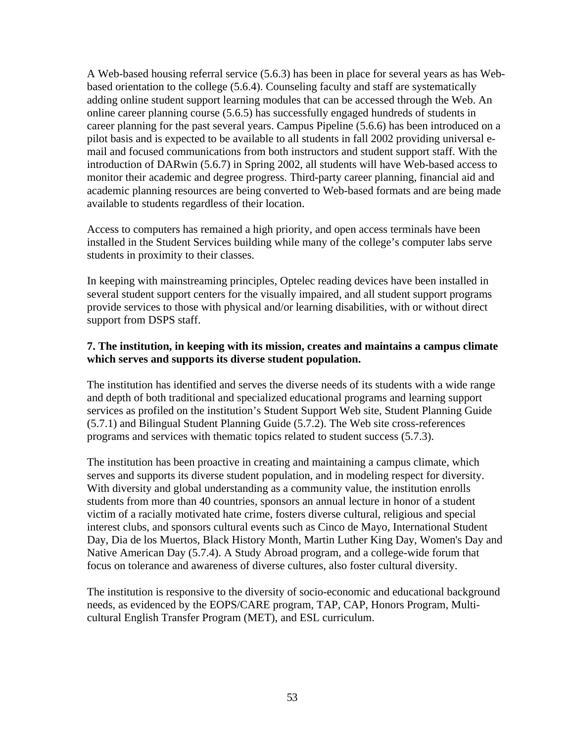A Web-based housing referral service (5.6.3) has been in place for several years as has Webbased orientation to the college (5.6.4). Counseling faculty and staff are systematically adding online student support learning modules that can be accessed through the Web. An online career planning course (5.6.5) has successfully engaged hundreds of students in career planning for the past several years. Campus Pipeline (5.6.6) has been introduced on a pilot basis and is expected to be available to all students in fall 2002 providing universal email and focused communications from both instructors and student support staff. With the introduction of DARwin (5.6.7) in Spring 2002, all students will have Web-based access to monitor their academic and degree progress. Third-party career planning, financial aid and academic planning resources are being converted to Web-based formats and are being made available to students regardless of their location.

Access to computers has remained a high priority, and open access terminals have been installed in the Student Services building while many of the college's computer labs serve students in proximity to their classes.

In keeping with mainstreaming principles, Optelec reading devices have been installed in several student support centers for the visually impaired, and all student support programs provide services to those with physical and/or learning disabilities, with or without direct support from DSPS staff.

## **7. The institution, in keeping with its mission, creates and maintains a campus climate which serves and supports its diverse student population.**

The institution has identified and serves the diverse needs of its students with a wide range and depth of both traditional and specialized educational programs and learning support services as profiled on the institution's Student Support Web site, Student Planning Guide (5.7.1) and Bilingual Student Planning Guide (5.7.2). The Web site cross-references programs and services with thematic topics related to student success (5.7.3).

The institution has been proactive in creating and maintaining a campus climate, which serves and supports its diverse student population, and in modeling respect for diversity. With diversity and global understanding as a community value, the institution enrolls students from more than 40 countries, sponsors an annual lecture in honor of a student victim of a racially motivated hate crime, fosters diverse cultural, religious and special interest clubs, and sponsors cultural events such as Cinco de Mayo, International Student Day, Dia de los Muertos, Black History Month, Martin Luther King Day, Women's Day and Native American Day (5.7.4). A Study Abroad program, and a college-wide forum that focus on tolerance and awareness of diverse cultures, also foster cultural diversity.

The institution is responsive to the diversity of socio-economic and educational background needs, as evidenced by the EOPS/CARE program, TAP, CAP, Honors Program, Multicultural English Transfer Program (MET), and ESL curriculum.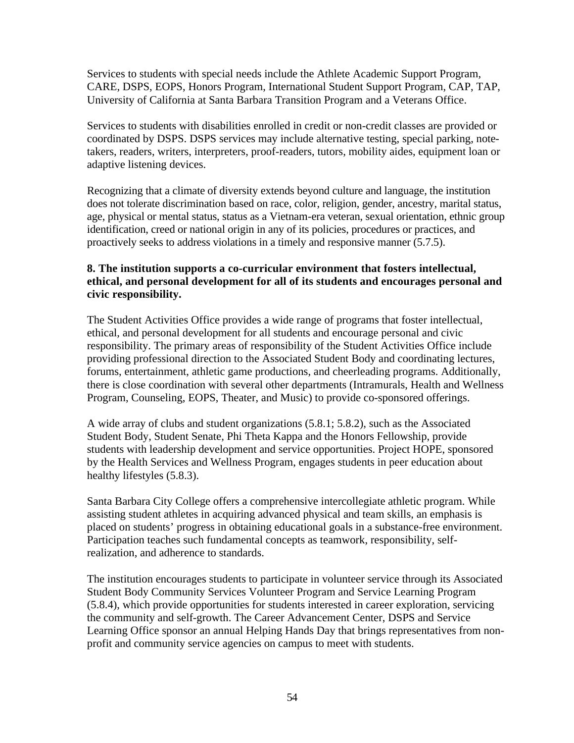Services to students with special needs include the Athlete Academic Support Program, CARE, DSPS, EOPS, Honors Program, International Student Support Program, CAP, TAP, University of California at Santa Barbara Transition Program and a Veterans Office.

Services to students with disabilities enrolled in credit or non-credit classes are provided or coordinated by DSPS. DSPS services may include alternative testing, special parking, notetakers, readers, writers, interpreters, proof-readers, tutors, mobility aides, equipment loan or adaptive listening devices.

Recognizing that a climate of diversity extends beyond culture and language, the institution does not tolerate discrimination based on race, color, religion, gender, ancestry, marital status, age, physical or mental status, status as a Vietnam-era veteran, sexual orientation, ethnic group identification, creed or national origin in any of its policies, procedures or practices, and proactively seeks to address violations in a timely and responsive manner (5.7.5).

## **8. The institution supports a co-curricular environment that fosters intellectual, ethical, and personal development for all of its students and encourages personal and civic responsibility.**

The Student Activities Office provides a wide range of programs that foster intellectual, ethical, and personal development for all students and encourage personal and civic responsibility. The primary areas of responsibility of the Student Activities Office include providing professional direction to the Associated Student Body and coordinating lectures, forums, entertainment, athletic game productions, and cheerleading programs. Additionally, there is close coordination with several other departments (Intramurals, Health and Wellness Program, Counseling, EOPS, Theater, and Music) to provide co-sponsored offerings.

A wide array of clubs and student organizations (5.8.1; 5.8.2), such as the Associated Student Body, Student Senate, Phi Theta Kappa and the Honors Fellowship, provide students with leadership development and service opportunities. Project HOPE, sponsored by the Health Services and Wellness Program, engages students in peer education about healthy lifestyles (5.8.3).

Santa Barbara City College offers a comprehensive intercollegiate athletic program. While assisting student athletes in acquiring advanced physical and team skills, an emphasis is placed on students' progress in obtaining educational goals in a substance-free environment. Participation teaches such fundamental concepts as teamwork, responsibility, selfrealization, and adherence to standards.

The institution encourages students to participate in volunteer service through its Associated Student Body Community Services Volunteer Program and Service Learning Program (5.8.4), which provide opportunities for students interested in career exploration, servicing the community and self-growth. The Career Advancement Center, DSPS and Service Learning Office sponsor an annual Helping Hands Day that brings representatives from nonprofit and community service agencies on campus to meet with students.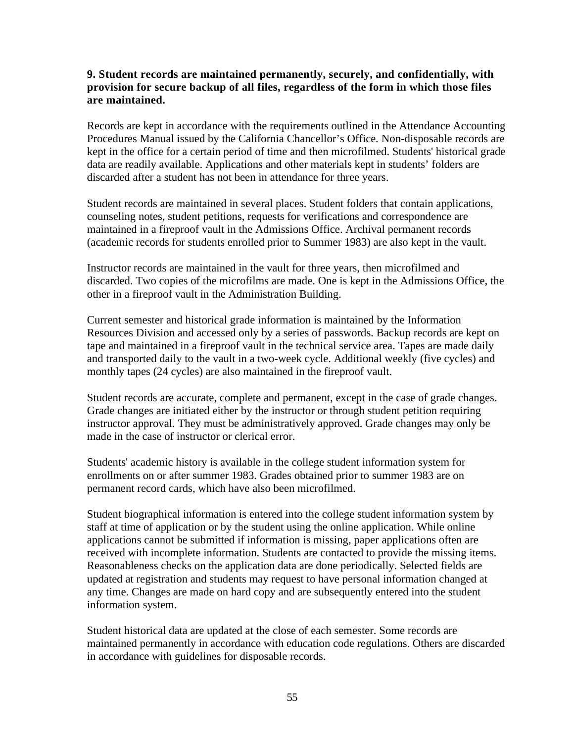#### **9. Student records are maintained permanently, securely, and confidentially, with provision for secure backup of all files, regardless of the form in which those files are maintained.**

Records are kept in accordance with the requirements outlined in the Attendance Accounting Procedures Manual issued by the California Chancellor's Office*.* Non-disposable records are kept in the office for a certain period of time and then microfilmed. Students' historical grade data are readily available. Applications and other materials kept in students' folders are discarded after a student has not been in attendance for three years.

Student records are maintained in several places. Student folders that contain applications, counseling notes, student petitions, requests for verifications and correspondence are maintained in a fireproof vault in the Admissions Office. Archival permanent records (academic records for students enrolled prior to Summer 1983) are also kept in the vault.

Instructor records are maintained in the vault for three years, then microfilmed and discarded. Two copies of the microfilms are made. One is kept in the Admissions Office, the other in a fireproof vault in the Administration Building.

Current semester and historical grade information is maintained by the Information Resources Division and accessed only by a series of passwords. Backup records are kept on tape and maintained in a fireproof vault in the technical service area. Tapes are made daily and transported daily to the vault in a two-week cycle. Additional weekly (five cycles) and monthly tapes (24 cycles) are also maintained in the fireproof vault.

Student records are accurate, complete and permanent, except in the case of grade changes. Grade changes are initiated either by the instructor or through student petition requiring instructor approval. They must be administratively approved. Grade changes may only be made in the case of instructor or clerical error.

Students' academic history is available in the college student information system for enrollments on or after summer 1983. Grades obtained prior to summer 1983 are on permanent record cards, which have also been microfilmed.

Student biographical information is entered into the college student information system by staff at time of application or by the student using the online application. While online applications cannot be submitted if information is missing, paper applications often are received with incomplete information. Students are contacted to provide the missing items. Reasonableness checks on the application data are done periodically. Selected fields are updated at registration and students may request to have personal information changed at any time. Changes are made on hard copy and are subsequently entered into the student information system.

Student historical data are updated at the close of each semester. Some records are maintained permanently in accordance with education code regulations. Others are discarded in accordance with guidelines for disposable records.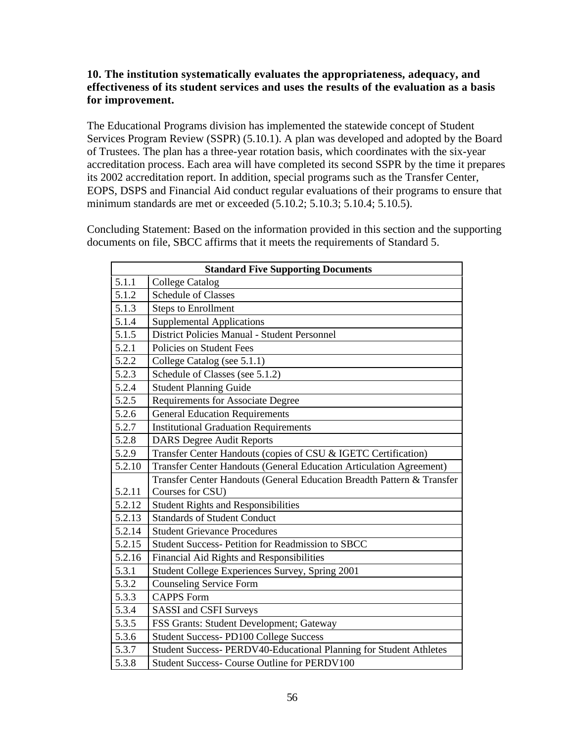## **10. The institution systematically evaluates the appropriateness, adequacy, and effectiveness of its student services and uses the results of the evaluation as a basis for improvement.**

The Educational Programs division has implemented the statewide concept of Student Services Program Review (SSPR) (5.10.1). A plan was developed and adopted by the Board of Trustees. The plan has a three-year rotation basis, which coordinates with the six-year accreditation process. Each area will have completed its second SSPR by the time it prepares its 2002 accreditation report. In addition, special programs such as the Transfer Center, EOPS, DSPS and Financial Aid conduct regular evaluations of their programs to ensure that minimum standards are met or exceeded (5.10.2; 5.10.3; 5.10.4; 5.10.5).

Concluding Statement: Based on the information provided in this section and the supporting documents on file, SBCC affirms that it meets the requirements of Standard 5.

| <b>Standard Five Supporting Documents</b> |                                                                        |  |  |
|-------------------------------------------|------------------------------------------------------------------------|--|--|
| 5.1.1                                     | <b>College Catalog</b>                                                 |  |  |
| 5.1.2                                     | <b>Schedule of Classes</b>                                             |  |  |
| 5.1.3                                     | <b>Steps to Enrollment</b>                                             |  |  |
| 5.1.4                                     | <b>Supplemental Applications</b>                                       |  |  |
| 5.1.5                                     | District Policies Manual - Student Personnel                           |  |  |
| 5.2.1                                     | Policies on Student Fees                                               |  |  |
| 5.2.2                                     | College Catalog (see 5.1.1)                                            |  |  |
| 5.2.3                                     | Schedule of Classes (see 5.1.2)                                        |  |  |
| 5.2.4                                     | <b>Student Planning Guide</b>                                          |  |  |
| 5.2.5                                     | <b>Requirements for Associate Degree</b>                               |  |  |
| 5.2.6                                     | <b>General Education Requirements</b>                                  |  |  |
| 5.2.7                                     | <b>Institutional Graduation Requirements</b>                           |  |  |
| 5.2.8                                     | <b>DARS</b> Degree Audit Reports                                       |  |  |
| 5.2.9                                     | Transfer Center Handouts (copies of CSU & IGETC Certification)         |  |  |
| 5.2.10                                    | Transfer Center Handouts (General Education Articulation Agreement)    |  |  |
|                                           | Transfer Center Handouts (General Education Breadth Pattern & Transfer |  |  |
| 5.2.11                                    | Courses for CSU)                                                       |  |  |
| 5.2.12                                    | <b>Student Rights and Responsibilities</b>                             |  |  |
| 5.2.13                                    | <b>Standards of Student Conduct</b>                                    |  |  |
| 5.2.14                                    | <b>Student Grievance Procedures</b>                                    |  |  |
| 5.2.15                                    | <b>Student Success-Petition for Readmission to SBCC</b>                |  |  |
| 5.2.16                                    | Financial Aid Rights and Responsibilities                              |  |  |
| 5.3.1                                     | Student College Experiences Survey, Spring 2001                        |  |  |
| 5.3.2                                     | <b>Counseling Service Form</b>                                         |  |  |
| 5.3.3                                     | <b>CAPPS Form</b>                                                      |  |  |
| 5.3.4                                     | <b>SASSI</b> and CSFI Surveys                                          |  |  |
| 5.3.5                                     | FSS Grants: Student Development; Gateway                               |  |  |
| 5.3.6                                     | <b>Student Success-PD100 College Success</b>                           |  |  |
| 5.3.7                                     | Student Success- PERDV40-Educational Planning for Student Athletes     |  |  |
| 5.3.8                                     | Student Success- Course Outline for PERDV100                           |  |  |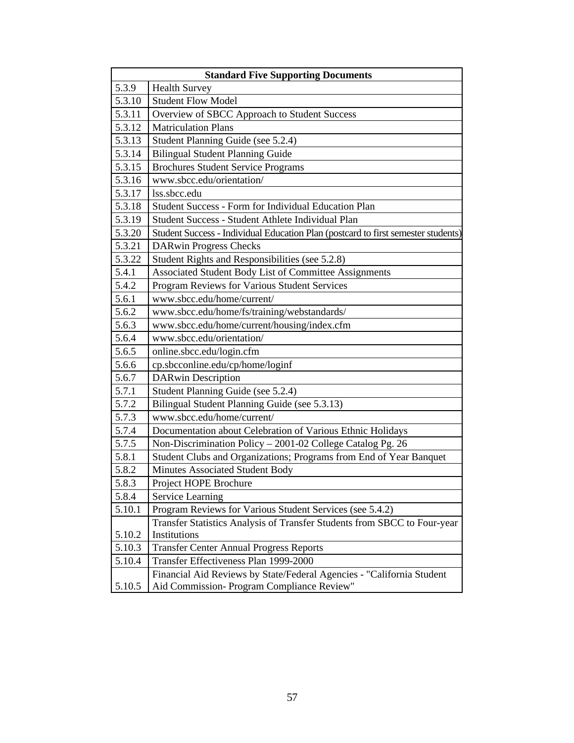| <b>Standard Five Supporting Documents</b> |                                                                                   |  |  |
|-------------------------------------------|-----------------------------------------------------------------------------------|--|--|
| 5.3.9                                     | <b>Health Survey</b>                                                              |  |  |
| 5.3.10                                    | <b>Student Flow Model</b>                                                         |  |  |
| 5.3.11                                    | Overview of SBCC Approach to Student Success                                      |  |  |
| 5.3.12                                    | <b>Matriculation Plans</b>                                                        |  |  |
| 5.3.13                                    | Student Planning Guide (see 5.2.4)                                                |  |  |
| 5.3.14                                    | <b>Bilingual Student Planning Guide</b>                                           |  |  |
| 5.3.15                                    | <b>Brochures Student Service Programs</b>                                         |  |  |
| 5.3.16                                    | www.sbcc.edu/orientation/                                                         |  |  |
| 5.3.17                                    | lss.sbcc.edu                                                                      |  |  |
| 5.3.18                                    | Student Success - Form for Individual Education Plan                              |  |  |
| 5.3.19                                    | Student Success - Student Athlete Individual Plan                                 |  |  |
| 5.3.20                                    | Student Success - Individual Education Plan (postcard to first semester students) |  |  |
| 5.3.21                                    | <b>DARwin Progress Checks</b>                                                     |  |  |
| 5.3.22                                    | Student Rights and Responsibilities (see 5.2.8)                                   |  |  |
| 5.4.1                                     | Associated Student Body List of Committee Assignments                             |  |  |
| 5.4.2                                     | Program Reviews for Various Student Services                                      |  |  |
| 5.6.1                                     | www.sbcc.edu/home/current/                                                        |  |  |
| 5.6.2                                     | www.sbcc.edu/home/fs/training/webstandards/                                       |  |  |
| 5.6.3                                     | www.sbcc.edu/home/current/housing/index.cfm                                       |  |  |
| 5.6.4                                     | www.sbcc.edu/orientation/                                                         |  |  |
| 5.6.5                                     | online.sbcc.edu/login.cfm                                                         |  |  |
| 5.6.6                                     | cp.sbcconline.edu/cp/home/loginf                                                  |  |  |
| 5.6.7                                     | <b>DARwin Description</b>                                                         |  |  |
| 5.7.1                                     | Student Planning Guide (see 5.2.4)                                                |  |  |
| 5.7.2                                     | Bilingual Student Planning Guide (see 5.3.13)                                     |  |  |
| 5.7.3                                     | www.sbcc.edu/home/current/                                                        |  |  |
| 5.7.4                                     | Documentation about Celebration of Various Ethnic Holidays                        |  |  |
| 5.7.5                                     | Non-Discrimination Policy - 2001-02 College Catalog Pg. 26                        |  |  |
| 5.8.1                                     | Student Clubs and Organizations; Programs from End of Year Banquet                |  |  |
| 5.8.2                                     | Minutes Associated Student Body                                                   |  |  |
| 5.8.3                                     | Project HOPE Brochure                                                             |  |  |
| 5.8.4                                     | Service Learning                                                                  |  |  |
| 5.10.1                                    | Program Reviews for Various Student Services (see 5.4.2)                          |  |  |
|                                           | Transfer Statistics Analysis of Transfer Students from SBCC to Four-year          |  |  |
| 5.10.2                                    | Institutions                                                                      |  |  |
| 5.10.3                                    | <b>Transfer Center Annual Progress Reports</b>                                    |  |  |
| 5.10.4                                    | Transfer Effectiveness Plan 1999-2000                                             |  |  |
|                                           | Financial Aid Reviews by State/Federal Agencies - "California Student             |  |  |
| 5.10.5                                    | Aid Commission- Program Compliance Review"                                        |  |  |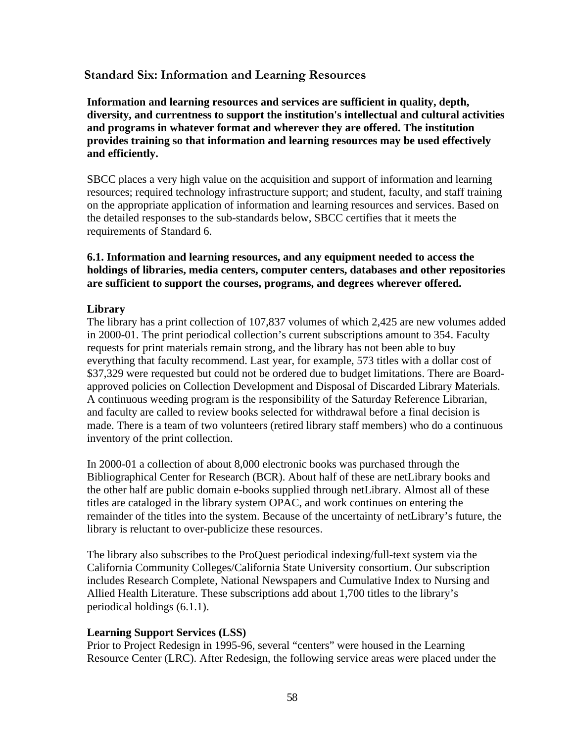## **Standard Six: Information and Learning Resources**

**Information and learning resources and services are sufficient in quality, depth, diversity, and currentness to support the institution's intellectual and cultural activities and programs in whatever format and wherever they are offered. The institution provides training so that information and learning resources may be used effectively and efficiently.**

SBCC places a very high value on the acquisition and support of information and learning resources; required technology infrastructure support; and student, faculty, and staff training on the appropriate application of information and learning resources and services. Based on the detailed responses to the sub-standards below, SBCC certifies that it meets the requirements of Standard 6.

#### **6.1. Information and learning resources, and any equipment needed to access the holdings of libraries, media centers, computer centers, databases and other repositories are sufficient to support the courses, programs, and degrees wherever offered.**

#### **Library**

The library has a print collection of 107,837 volumes of which 2,425 are new volumes added in 2000-01. The print periodical collection's current subscriptions amount to 354. Faculty requests for print materials remain strong, and the library has not been able to buy everything that faculty recommend. Last year, for example, 573 titles with a dollar cost of \$37,329 were requested but could not be ordered due to budget limitations. There are Boardapproved policies on Collection Development and Disposal of Discarded Library Materials. A continuous weeding program is the responsibility of the Saturday Reference Librarian, and faculty are called to review books selected for withdrawal before a final decision is made. There is a team of two volunteers (retired library staff members) who do a continuous inventory of the print collection.

In 2000-01 a collection of about 8,000 electronic books was purchased through the Bibliographical Center for Research (BCR). About half of these are netLibrary books and the other half are public domain e-books supplied through netLibrary. Almost all of these titles are cataloged in the library system OPAC, and work continues on entering the remainder of the titles into the system. Because of the uncertainty of netLibrary's future, the library is reluctant to over-publicize these resources.

The library also subscribes to the ProQuest periodical indexing/full-text system via the California Community Colleges/California State University consortium. Our subscription includes Research Complete, National Newspapers and Cumulative Index to Nursing and Allied Health Literature. These subscriptions add about 1,700 titles to the library's periodical holdings (6.1.1).

#### **Learning Support Services (LSS)**

Prior to Project Redesign in 1995-96, several "centers" were housed in the Learning Resource Center (LRC). After Redesign, the following service areas were placed under the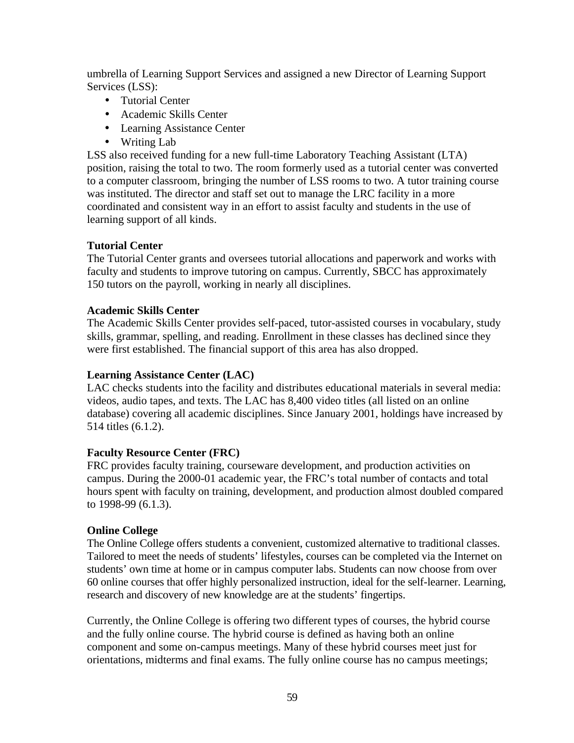umbrella of Learning Support Services and assigned a new Director of Learning Support Services (LSS):

- Tutorial Center
- Academic Skills Center
- Learning Assistance Center
- Writing Lab

LSS also received funding for a new full-time Laboratory Teaching Assistant (LTA) position, raising the total to two. The room formerly used as a tutorial center was converted to a computer classroom, bringing the number of LSS rooms to two. A tutor training course was instituted. The director and staff set out to manage the LRC facility in a more coordinated and consistent way in an effort to assist faculty and students in the use of learning support of all kinds.

#### **Tutorial Center**

The Tutorial Center grants and oversees tutorial allocations and paperwork and works with faculty and students to improve tutoring on campus. Currently, SBCC has approximately 150 tutors on the payroll, working in nearly all disciplines.

#### **Academic Skills Center**

The Academic Skills Center provides self-paced, tutor-assisted courses in vocabulary, study skills, grammar, spelling, and reading. Enrollment in these classes has declined since they were first established. The financial support of this area has also dropped.

#### **Learning Assistance Center (LAC)**

LAC checks students into the facility and distributes educational materials in several media: videos, audio tapes, and texts. The LAC has 8,400 video titles (all listed on an online database) covering all academic disciplines. Since January 2001, holdings have increased by 514 titles (6.1.2).

## **Faculty Resource Center (FRC)**

FRC provides faculty training, courseware development, and production activities on campus. During the 2000-01 academic year, the FRC's total number of contacts and total hours spent with faculty on training, development, and production almost doubled compared to 1998-99 (6.1.3).

## **Online College**

The Online College offers students a convenient, customized alternative to traditional classes. Tailored to meet the needs of students' lifestyles, courses can be completed via the Internet on students' own time at home or in campus computer labs. Students can now choose from over 60 online courses that offer highly personalized instruction, ideal for the self-learner. Learning, research and discovery of new knowledge are at the students' fingertips.

Currently, the Online College is offering two different types of courses, the hybrid course and the fully online course. The hybrid course is defined as having both an online component and some on-campus meetings. Many of these hybrid courses meet just for orientations, midterms and final exams. The fully online course has no campus meetings;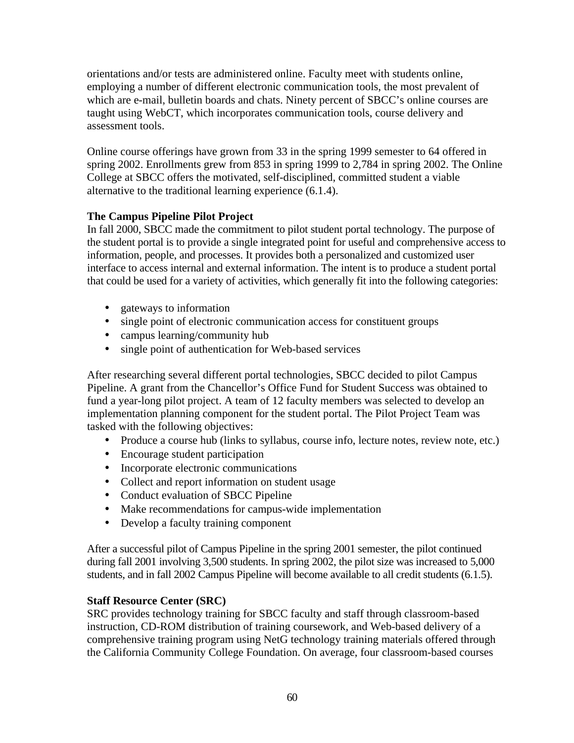orientations and/or tests are administered online. Faculty meet with students online, employing a number of different electronic communication tools, the most prevalent of which are e-mail, bulletin boards and chats. Ninety percent of SBCC's online courses are taught using WebCT, which incorporates communication tools, course delivery and assessment tools.

Online course offerings have grown from 33 in the spring 1999 semester to 64 offered in spring 2002. Enrollments grew from 853 in spring 1999 to 2,784 in spring 2002. The Online College at SBCC offers the motivated, self-disciplined, committed student a viable alternative to the traditional learning experience (6.1.4).

## **The Campus Pipeline Pilot Project**

In fall 2000, SBCC made the commitment to pilot student portal technology. The purpose of the student portal is to provide a single integrated point for useful and comprehensive access to information, people, and processes. It provides both a personalized and customized user interface to access internal and external information. The intent is to produce a student portal that could be used for a variety of activities, which generally fit into the following categories:

- gateways to information
- single point of electronic communication access for constituent groups
- campus learning/community hub
- single point of authentication for Web-based services

After researching several different portal technologies, SBCC decided to pilot Campus Pipeline. A grant from the Chancellor's Office Fund for Student Success was obtained to fund a year-long pilot project. A team of 12 faculty members was selected to develop an implementation planning component for the student portal. The Pilot Project Team was tasked with the following objectives:

- Produce a course hub (links to syllabus, course info, lecture notes, review note, etc.)
- Encourage student participation
- Incorporate electronic communications
- Collect and report information on student usage
- Conduct evaluation of SBCC Pipeline
- Make recommendations for campus-wide implementation
- Develop a faculty training component

After a successful pilot of Campus Pipeline in the spring 2001 semester, the pilot continued during fall 2001 involving 3,500 students. In spring 2002, the pilot size was increased to 5,000 students, and in fall 2002 Campus Pipeline will become available to all credit students (6.1.5).

## **Staff Resource Center (SRC)**

SRC provides technology training for SBCC faculty and staff through classroom-based instruction, CD-ROM distribution of training coursework, and Web-based delivery of a comprehensive training program using NetG technology training materials offered through the California Community College Foundation. On average, four classroom-based courses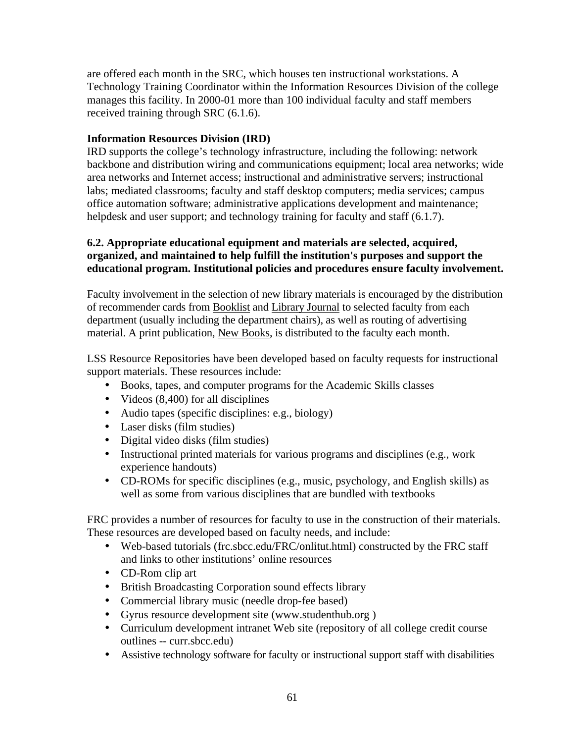are offered each month in the SRC, which houses ten instructional workstations. A Technology Training Coordinator within the Information Resources Division of the college manages this facility. In 2000-01 more than 100 individual faculty and staff members received training through SRC (6.1.6).

## **Information Resources Division (IRD)**

IRD supports the college's technology infrastructure, including the following: network backbone and distribution wiring and communications equipment; local area networks; wide area networks and Internet access; instructional and administrative servers; instructional labs; mediated classrooms; faculty and staff desktop computers; media services; campus office automation software; administrative applications development and maintenance; helpdesk and user support; and technology training for faculty and staff (6.1.7).

## **6.2. Appropriate educational equipment and materials are selected, acquired, organized, and maintained to help fulfill the institution's purposes and support the educational program. Institutional policies and procedures ensure faculty involvement.**

Faculty involvement in the selection of new library materials is encouraged by the distribution of recommender cards from Booklist and Library Journal to selected faculty from each department (usually including the department chairs), as well as routing of advertising material. A print publication, New Books, is distributed to the faculty each month.

LSS Resource Repositories have been developed based on faculty requests for instructional support materials. These resources include:

- Books, tapes, and computer programs for the Academic Skills classes
- Videos (8,400) for all disciplines
- Audio tapes (specific disciplines: e.g., biology)
- Laser disks (film studies)
- Digital video disks (film studies)
- Instructional printed materials for various programs and disciplines (e.g., work experience handouts)
- CD-ROMs for specific disciplines (e.g., music, psychology, and English skills) as well as some from various disciplines that are bundled with textbooks

FRC provides a number of resources for faculty to use in the construction of their materials. These resources are developed based on faculty needs, and include:

- Web-based tutorials (frc.sbcc.edu/FRC/onlitut.html) constructed by the FRC staff and links to other institutions' online resources
- CD-Rom clip art
- British Broadcasting Corporation sound effects library
- Commercial library music (needle drop-fee based)
- Gyrus resource development site (www.studenthub.org )
- Curriculum development intranet Web site (repository of all college credit course outlines -- curr.sbcc.edu)
- Assistive technology software for faculty or instructional support staff with disabilities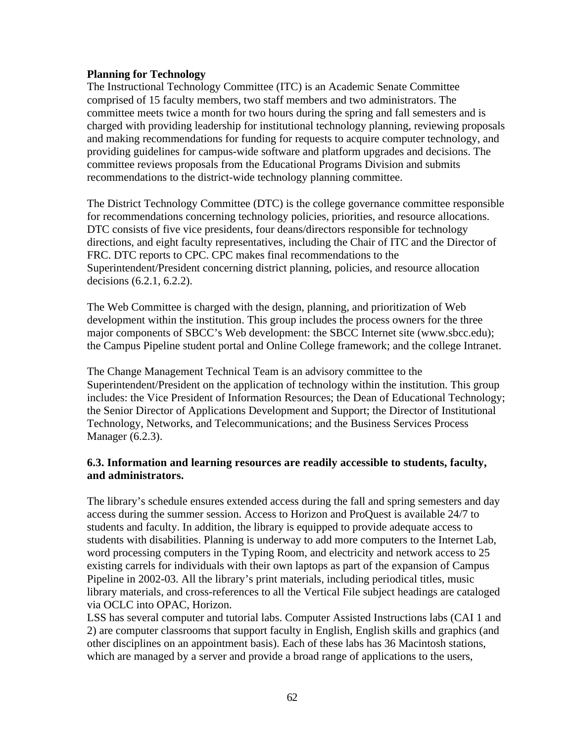#### **Planning for Technology**

The Instructional Technology Committee (ITC) is an Academic Senate Committee comprised of 15 faculty members, two staff members and two administrators. The committee meets twice a month for two hours during the spring and fall semesters and is charged with providing leadership for institutional technology planning, reviewing proposals and making recommendations for funding for requests to acquire computer technology, and providing guidelines for campus-wide software and platform upgrades and decisions. The committee reviews proposals from the Educational Programs Division and submits recommendations to the district-wide technology planning committee.

The District Technology Committee (DTC) is the college governance committee responsible for recommendations concerning technology policies, priorities, and resource allocations. DTC consists of five vice presidents, four deans/directors responsible for technology directions, and eight faculty representatives, including the Chair of ITC and the Director of FRC. DTC reports to CPC. CPC makes final recommendations to the Superintendent/President concerning district planning, policies, and resource allocation decisions (6.2.1, 6.2.2).

The Web Committee is charged with the design, planning, and prioritization of Web development within the institution. This group includes the process owners for the three major components of SBCC's Web development: the SBCC Internet site (www.sbcc.edu); the Campus Pipeline student portal and Online College framework; and the college Intranet.

The Change Management Technical Team is an advisory committee to the Superintendent/President on the application of technology within the institution. This group includes: the Vice President of Information Resources; the Dean of Educational Technology; the Senior Director of Applications Development and Support; the Director of Institutional Technology, Networks, and Telecommunications; and the Business Services Process Manager (6.2.3).

#### **6.3. Information and learning resources are readily accessible to students, faculty, and administrators.**

The library's schedule ensures extended access during the fall and spring semesters and day access during the summer session. Access to Horizon and ProQuest is available 24/7 to students and faculty. In addition, the library is equipped to provide adequate access to students with disabilities. Planning is underway to add more computers to the Internet Lab, word processing computers in the Typing Room, and electricity and network access to 25 existing carrels for individuals with their own laptops as part of the expansion of Campus Pipeline in 2002-03. All the library's print materials, including periodical titles, music library materials, and cross-references to all the Vertical File subject headings are cataloged via OCLC into OPAC, Horizon.

LSS has several computer and tutorial labs. Computer Assisted Instructions labs (CAI 1 and 2) are computer classrooms that support faculty in English, English skills and graphics (and other disciplines on an appointment basis). Each of these labs has 36 Macintosh stations, which are managed by a server and provide a broad range of applications to the users,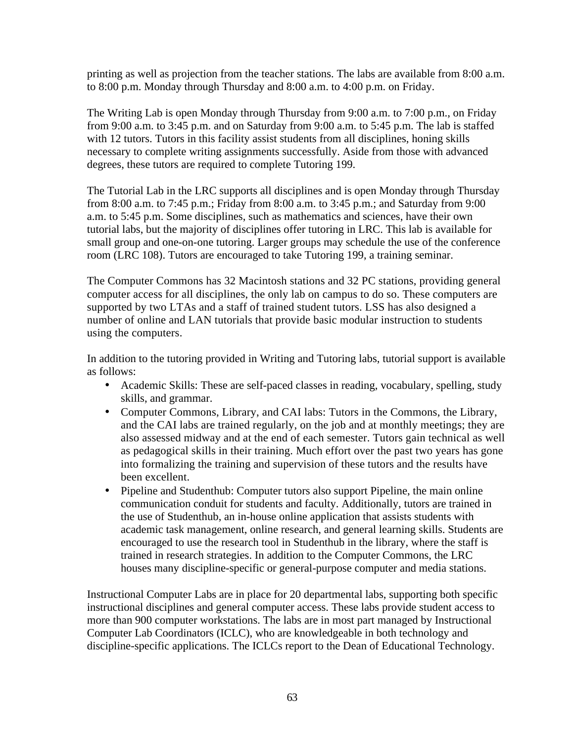printing as well as projection from the teacher stations. The labs are available from 8:00 a.m. to 8:00 p.m. Monday through Thursday and 8:00 a.m. to 4:00 p.m. on Friday.

The Writing Lab is open Monday through Thursday from 9:00 a.m. to 7:00 p.m., on Friday from 9:00 a.m. to 3:45 p.m. and on Saturday from 9:00 a.m. to 5:45 p.m. The lab is staffed with 12 tutors. Tutors in this facility assist students from all disciplines, honing skills necessary to complete writing assignments successfully. Aside from those with advanced degrees, these tutors are required to complete Tutoring 199.

The Tutorial Lab in the LRC supports all disciplines and is open Monday through Thursday from 8:00 a.m. to 7:45 p.m.; Friday from 8:00 a.m. to 3:45 p.m.; and Saturday from 9:00 a.m. to 5:45 p.m. Some disciplines, such as mathematics and sciences, have their own tutorial labs, but the majority of disciplines offer tutoring in LRC. This lab is available for small group and one-on-one tutoring. Larger groups may schedule the use of the conference room (LRC 108). Tutors are encouraged to take Tutoring 199, a training seminar.

The Computer Commons has 32 Macintosh stations and 32 PC stations, providing general computer access for all disciplines, the only lab on campus to do so. These computers are supported by two LTAs and a staff of trained student tutors. LSS has also designed a number of online and LAN tutorials that provide basic modular instruction to students using the computers.

In addition to the tutoring provided in Writing and Tutoring labs, tutorial support is available as follows:

- Academic Skills: These are self-paced classes in reading, vocabulary, spelling, study skills, and grammar.
- Computer Commons, Library, and CAI labs: Tutors in the Commons, the Library, and the CAI labs are trained regularly, on the job and at monthly meetings; they are also assessed midway and at the end of each semester. Tutors gain technical as well as pedagogical skills in their training. Much effort over the past two years has gone into formalizing the training and supervision of these tutors and the results have been excellent.
- Pipeline and Studenthub: Computer tutors also support Pipeline, the main online communication conduit for students and faculty. Additionally, tutors are trained in the use of Studenthub, an in-house online application that assists students with academic task management, online research, and general learning skills. Students are encouraged to use the research tool in Studenthub in the library, where the staff is trained in research strategies. In addition to the Computer Commons, the LRC houses many discipline-specific or general-purpose computer and media stations.

Instructional Computer Labs are in place for 20 departmental labs, supporting both specific instructional disciplines and general computer access. These labs provide student access to more than 900 computer workstations. The labs are in most part managed by Instructional Computer Lab Coordinators (ICLC), who are knowledgeable in both technology and discipline-specific applications. The ICLCs report to the Dean of Educational Technology.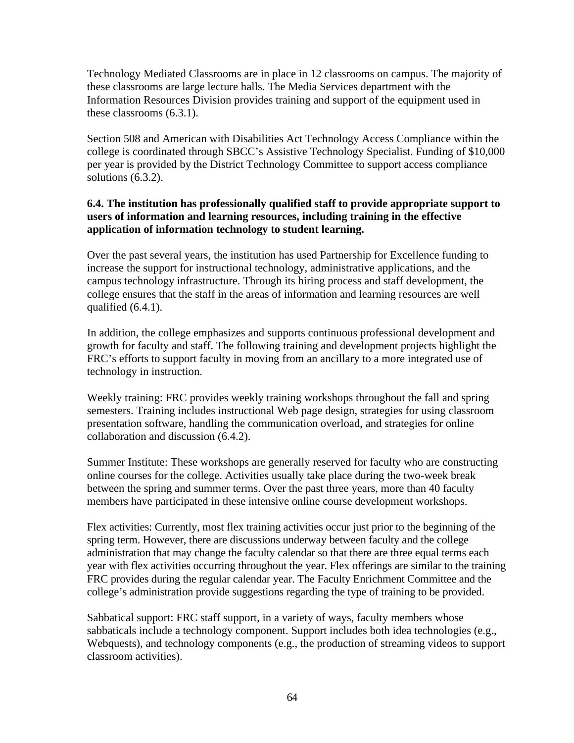Technology Mediated Classrooms are in place in 12 classrooms on campus. The majority of these classrooms are large lecture halls. The Media Services department with the Information Resources Division provides training and support of the equipment used in these classrooms (6.3.1).

Section 508 and American with Disabilities Act Technology Access Compliance within the college is coordinated through SBCC's Assistive Technology Specialist. Funding of \$10,000 per year is provided by the District Technology Committee to support access compliance solutions (6.3.2).

## **6.4. The institution has professionally qualified staff to provide appropriate support to users of information and learning resources, including training in the effective application of information technology to student learning.**

Over the past several years, the institution has used Partnership for Excellence funding to increase the support for instructional technology, administrative applications, and the campus technology infrastructure. Through its hiring process and staff development, the college ensures that the staff in the areas of information and learning resources are well qualified (6.4.1).

In addition, the college emphasizes and supports continuous professional development and growth for faculty and staff. The following training and development projects highlight the FRC's efforts to support faculty in moving from an ancillary to a more integrated use of technology in instruction.

Weekly training: FRC provides weekly training workshops throughout the fall and spring semesters. Training includes instructional Web page design, strategies for using classroom presentation software, handling the communication overload, and strategies for online collaboration and discussion (6.4.2).

Summer Institute: These workshops are generally reserved for faculty who are constructing online courses for the college. Activities usually take place during the two-week break between the spring and summer terms. Over the past three years, more than 40 faculty members have participated in these intensive online course development workshops.

Flex activities: Currently, most flex training activities occur just prior to the beginning of the spring term. However, there are discussions underway between faculty and the college administration that may change the faculty calendar so that there are three equal terms each year with flex activities occurring throughout the year. Flex offerings are similar to the training FRC provides during the regular calendar year. The Faculty Enrichment Committee and the college's administration provide suggestions regarding the type of training to be provided.

Sabbatical support: FRC staff support, in a variety of ways, faculty members whose sabbaticals include a technology component. Support includes both idea technologies (e.g., Webquests), and technology components (e.g., the production of streaming videos to support classroom activities).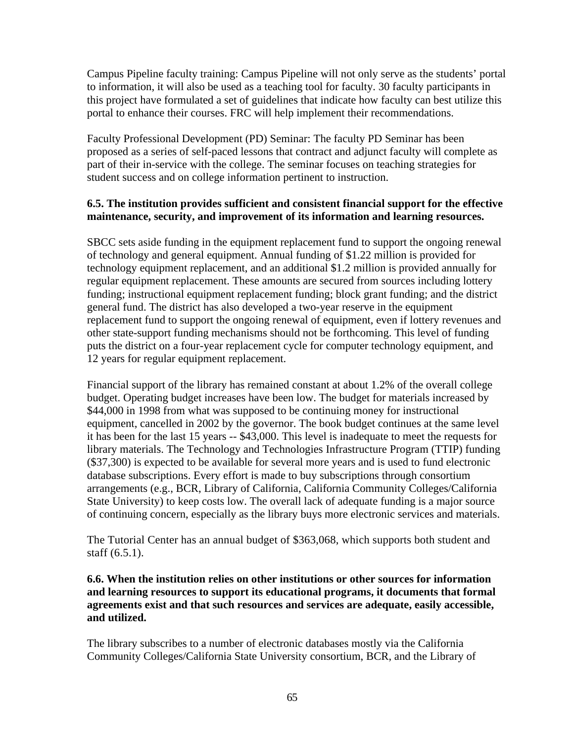Campus Pipeline faculty training: Campus Pipeline will not only serve as the students' portal to information, it will also be used as a teaching tool for faculty. 30 faculty participants in this project have formulated a set of guidelines that indicate how faculty can best utilize this portal to enhance their courses. FRC will help implement their recommendations.

Faculty Professional Development (PD) Seminar: The faculty PD Seminar has been proposed as a series of self-paced lessons that contract and adjunct faculty will complete as part of their in-service with the college. The seminar focuses on teaching strategies for student success and on college information pertinent to instruction.

## **6.5. The institution provides sufficient and consistent financial support for the effective maintenance, security, and improvement of its information and learning resources.**

SBCC sets aside funding in the equipment replacement fund to support the ongoing renewal of technology and general equipment. Annual funding of \$1.22 million is provided for technology equipment replacement, and an additional \$1.2 million is provided annually for regular equipment replacement. These amounts are secured from sources including lottery funding; instructional equipment replacement funding; block grant funding; and the district general fund. The district has also developed a two-year reserve in the equipment replacement fund to support the ongoing renewal of equipment, even if lottery revenues and other state-support funding mechanisms should not be forthcoming. This level of funding puts the district on a four-year replacement cycle for computer technology equipment, and 12 years for regular equipment replacement.

Financial support of the library has remained constant at about 1.2% of the overall college budget. Operating budget increases have been low. The budget for materials increased by \$44,000 in 1998 from what was supposed to be continuing money for instructional equipment, cancelled in 2002 by the governor. The book budget continues at the same level it has been for the last 15 years -- \$43,000. This level is inadequate to meet the requests for library materials. The Technology and Technologies Infrastructure Program (TTIP) funding (\$37,300) is expected to be available for several more years and is used to fund electronic database subscriptions. Every effort is made to buy subscriptions through consortium arrangements (e.g., BCR, Library of California, California Community Colleges/California State University) to keep costs low. The overall lack of adequate funding is a major source of continuing concern, especially as the library buys more electronic services and materials.

The Tutorial Center has an annual budget of \$363,068, which supports both student and staff (6.5.1).

#### **6.6. When the institution relies on other institutions or other sources for information and learning resources to support its educational programs, it documents that formal agreements exist and that such resources and services are adequate, easily accessible, and utilized.**

The library subscribes to a number of electronic databases mostly via the California Community Colleges/California State University consortium, BCR, and the Library of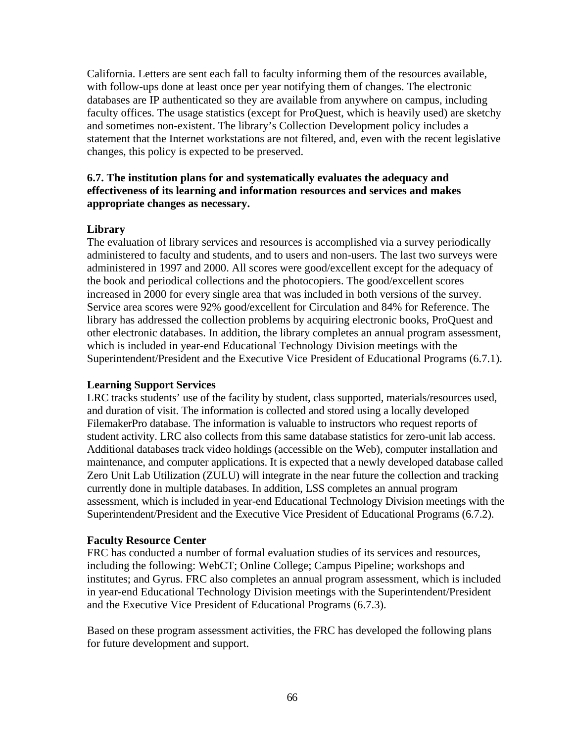California. Letters are sent each fall to faculty informing them of the resources available, with follow-ups done at least once per year notifying them of changes. The electronic databases are IP authenticated so they are available from anywhere on campus, including faculty offices. The usage statistics (except for ProQuest, which is heavily used) are sketchy and sometimes non-existent. The library's Collection Development policy includes a statement that the Internet workstations are not filtered, and, even with the recent legislative changes, this policy is expected to be preserved.

#### **6.7. The institution plans for and systematically evaluates the adequacy and effectiveness of its learning and information resources and services and makes appropriate changes as necessary.**

#### **Library**

The evaluation of library services and resources is accomplished via a survey periodically administered to faculty and students, and to users and non-users. The last two surveys were administered in 1997 and 2000. All scores were good/excellent except for the adequacy of the book and periodical collections and the photocopiers. The good/excellent scores increased in 2000 for every single area that was included in both versions of the survey. Service area scores were 92% good/excellent for Circulation and 84% for Reference. The library has addressed the collection problems by acquiring electronic books, ProQuest and other electronic databases. In addition, the library completes an annual program assessment, which is included in year-end Educational Technology Division meetings with the Superintendent/President and the Executive Vice President of Educational Programs (6.7.1).

#### **Learning Support Services**

LRC tracks students' use of the facility by student, class supported, materials/resources used, and duration of visit. The information is collected and stored using a locally developed FilemakerPro database. The information is valuable to instructors who request reports of student activity. LRC also collects from this same database statistics for zero-unit lab access. Additional databases track video holdings (accessible on the Web), computer installation and maintenance, and computer applications. It is expected that a newly developed database called Zero Unit Lab Utilization (ZULU) will integrate in the near future the collection and tracking currently done in multiple databases. In addition, LSS completes an annual program assessment, which is included in year-end Educational Technology Division meetings with the Superintendent/President and the Executive Vice President of Educational Programs (6.7.2).

#### **Faculty Resource Center**

FRC has conducted a number of formal evaluation studies of its services and resources, including the following: WebCT; Online College; Campus Pipeline; workshops and institutes; and Gyrus. FRC also completes an annual program assessment, which is included in year-end Educational Technology Division meetings with the Superintendent/President and the Executive Vice President of Educational Programs (6.7.3).

Based on these program assessment activities, the FRC has developed the following plans for future development and support.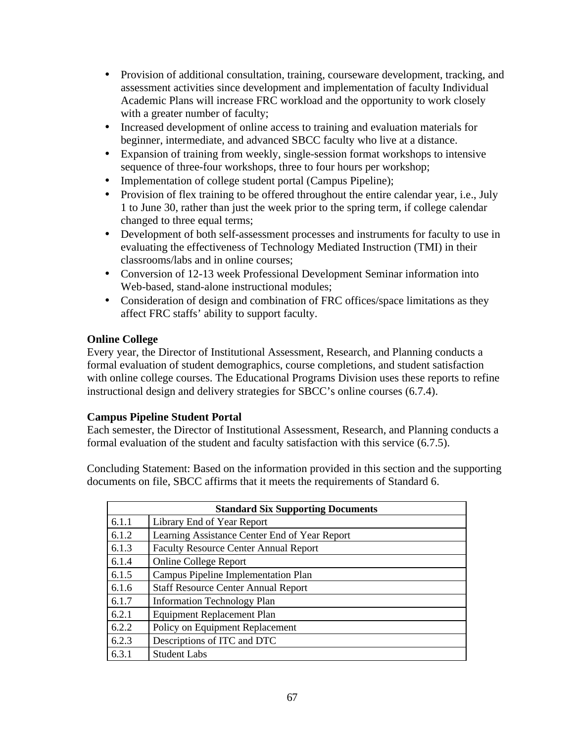- Provision of additional consultation, training, courseware development, tracking, and assessment activities since development and implementation of faculty Individual Academic Plans will increase FRC workload and the opportunity to work closely with a greater number of faculty;
- Increased development of online access to training and evaluation materials for beginner, intermediate, and advanced SBCC faculty who live at a distance.
- Expansion of training from weekly, single-session format workshops to intensive sequence of three-four workshops, three to four hours per workshop;
- Implementation of college student portal (Campus Pipeline);
- Provision of flex training to be offered throughout the entire calendar year, i.e., July 1 to June 30, rather than just the week prior to the spring term, if college calendar changed to three equal terms;
- Development of both self-assessment processes and instruments for faculty to use in evaluating the effectiveness of Technology Mediated Instruction (TMI) in their classrooms/labs and in online courses;
- Conversion of 12-13 week Professional Development Seminar information into Web-based, stand-alone instructional modules;
- Consideration of design and combination of FRC offices/space limitations as they affect FRC staffs' ability to support faculty.

## **Online College**

Every year, the Director of Institutional Assessment, Research, and Planning conducts a formal evaluation of student demographics, course completions, and student satisfaction with online college courses. The Educational Programs Division uses these reports to refine instructional design and delivery strategies for SBCC's online courses (6.7.4).

## **Campus Pipeline Student Portal**

Each semester, the Director of Institutional Assessment, Research, and Planning conducts a formal evaluation of the student and faculty satisfaction with this service (6.7.5).

Concluding Statement: Based on the information provided in this section and the supporting documents on file, SBCC affirms that it meets the requirements of Standard 6.

| <b>Standard Six Supporting Documents</b> |                                               |  |  |
|------------------------------------------|-----------------------------------------------|--|--|
| 6.1.1                                    | Library End of Year Report                    |  |  |
| 6.1.2                                    | Learning Assistance Center End of Year Report |  |  |
| 6.1.3                                    | <b>Faculty Resource Center Annual Report</b>  |  |  |
| 6.1.4                                    | <b>Online College Report</b>                  |  |  |
| 6.1.5                                    | <b>Campus Pipeline Implementation Plan</b>    |  |  |
| 6.1.6                                    | <b>Staff Resource Center Annual Report</b>    |  |  |
| 6.1.7                                    | <b>Information Technology Plan</b>            |  |  |
| 6.2.1                                    | <b>Equipment Replacement Plan</b>             |  |  |
| 6.2.2                                    | Policy on Equipment Replacement               |  |  |
| 6.2.3                                    | Descriptions of ITC and DTC                   |  |  |
| 6.3.1                                    | <b>Student Labs</b>                           |  |  |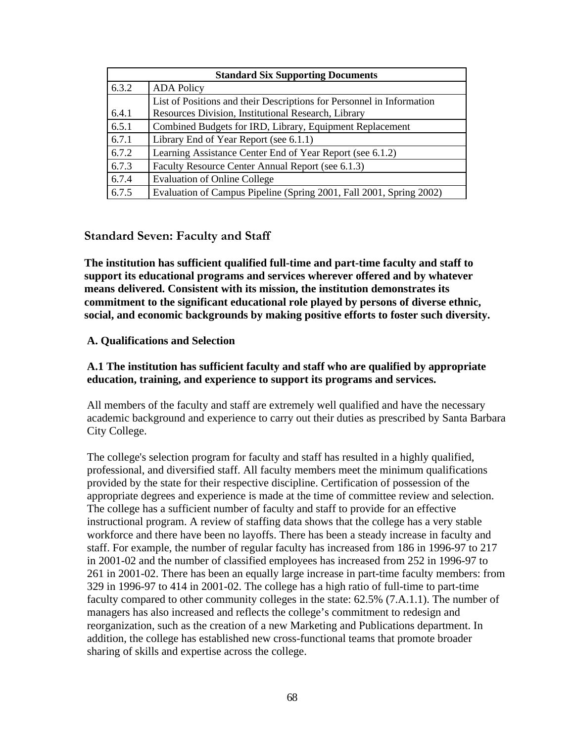| <b>Standard Six Supporting Documents</b> |                                                                       |  |  |
|------------------------------------------|-----------------------------------------------------------------------|--|--|
| 6.3.2                                    | <b>ADA Policy</b>                                                     |  |  |
|                                          | List of Positions and their Descriptions for Personnel in Information |  |  |
| 6.4.1                                    | Resources Division, Institutional Research, Library                   |  |  |
| 6.5.1                                    | Combined Budgets for IRD, Library, Equipment Replacement              |  |  |
| 6.7.1                                    | Library End of Year Report (see 6.1.1)                                |  |  |
| 6.7.2                                    | Learning Assistance Center End of Year Report (see 6.1.2)             |  |  |
| 6.7.3                                    | Faculty Resource Center Annual Report (see 6.1.3)                     |  |  |
| 6.7.4                                    | <b>Evaluation of Online College</b>                                   |  |  |
| 6.7.5                                    | Evaluation of Campus Pipeline (Spring 2001, Fall 2001, Spring 2002)   |  |  |

## **Standard Seven: Faculty and Staff**

**The institution has sufficient qualified full-time and part-time faculty and staff to support its educational programs and services wherever offered and by whatever means delivered. Consistent with its mission, the institution demonstrates its commitment to the significant educational role played by persons of diverse ethnic, social, and economic backgrounds by making positive efforts to foster such diversity.**

#### **A. Qualifications and Selection**

## **A.1 The institution has sufficient faculty and staff who are qualified by appropriate education, training, and experience to support its programs and services.**

All members of the faculty and staff are extremely well qualified and have the necessary academic background and experience to carry out their duties as prescribed by Santa Barbara City College.

The college's selection program for faculty and staff has resulted in a highly qualified, professional, and diversified staff. All faculty members meet the minimum qualifications provided by the state for their respective discipline. Certification of possession of the appropriate degrees and experience is made at the time of committee review and selection. The college has a sufficient number of faculty and staff to provide for an effective instructional program. A review of staffing data shows that the college has a very stable workforce and there have been no layoffs. There has been a steady increase in faculty and staff. For example, the number of regular faculty has increased from 186 in 1996-97 to 217 in 2001-02 and the number of classified employees has increased from 252 in 1996-97 to 261 in 2001-02. There has been an equally large increase in part-time faculty members: from 329 in 1996-97 to 414 in 2001-02. The college has a high ratio of full-time to part-time faculty compared to other community colleges in the state: 62.5% (7.A.1.1). The number of managers has also increased and reflects the college's commitment to redesign and reorganization, such as the creation of a new Marketing and Publications department. In addition, the college has established new cross-functional teams that promote broader sharing of skills and expertise across the college.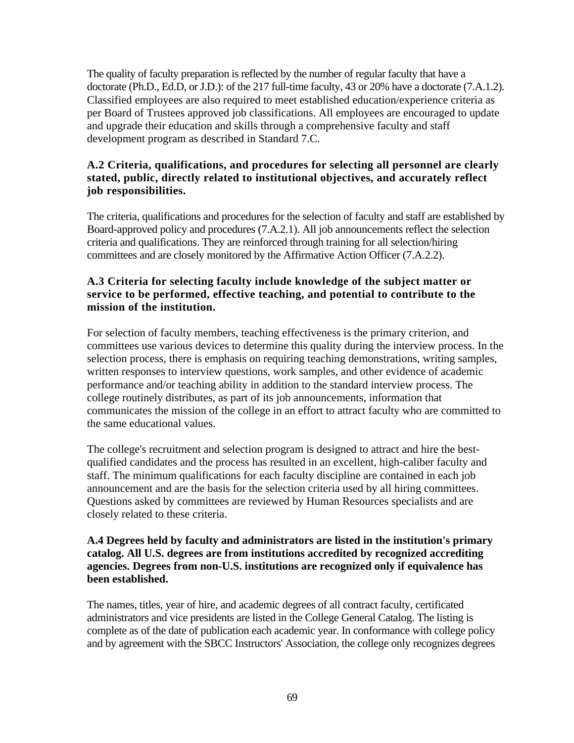The quality of faculty preparation is reflected by the number of regular faculty that have a doctorate (Ph.D., Ed.D, or J.D.): of the 217 full-time faculty, 43 or 20% have a doctorate (7.A.1.2). Classified employees are also required to meet established education/experience criteria as per Board of Trustees approved job classifications. All employees are encouraged to update and upgrade their education and skills through a comprehensive faculty and staff development program as described in Standard 7.C.

#### **A.2 Criteria, qualifications, and procedures for selecting all personnel are clearly stated, public, directly related to institutional objectives, and accurately reflect job responsibilities.**

The criteria, qualifications and procedures for the selection of faculty and staff are established by Board-approved policy and procedures (7.A.2.1). All job announcements reflect the selection criteria and qualifications. They are reinforced through training for all selection/hiring committees and are closely monitored by the Affirmative Action Officer (7.A.2.2).

## **A.3 Criteria for selecting faculty include knowledge of the subject matter or service to be performed, effective teaching, and potential to contribute to the mission of the institution.**

For selection of faculty members, teaching effectiveness is the primary criterion, and committees use various devices to determine this quality during the interview process. In the selection process, there is emphasis on requiring teaching demonstrations, writing samples, written responses to interview questions, work samples, and other evidence of academic performance and/or teaching ability in addition to the standard interview process. The college routinely distributes, as part of its job announcements, information that communicates the mission of the college in an effort to attract faculty who are committed to the same educational values.

The college's recruitment and selection program is designed to attract and hire the bestqualified candidates and the process has resulted in an excellent, high-caliber faculty and staff. The minimum qualifications for each faculty discipline are contained in each job announcement and are the basis for the selection criteria used by all hiring committees. Questions asked by committees are reviewed by Human Resources specialists and are closely related to these criteria.

#### **A.4 Degrees held by faculty and administrators are listed in the institution's primary catalog. All U.S. degrees are from institutions accredited by recognized accrediting agencies. Degrees from non-U.S. institutions are recognized only if equivalence has been established.**

The names, titles, year of hire, and academic degrees of all contract faculty, certificated administrators and vice presidents are listed in the College General Catalog. The listing is complete as of the date of publication each academic year. In conformance with college policy and by agreement with the SBCC Instructors' Association, the college only recognizes degrees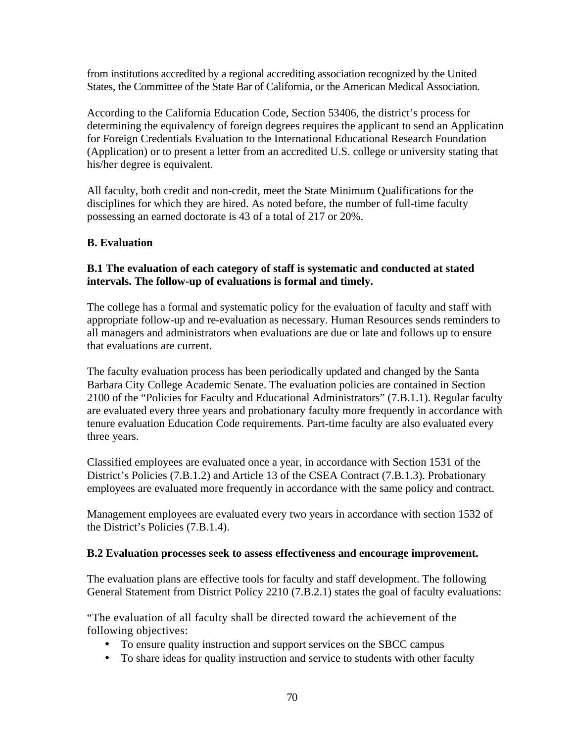from institutions accredited by a regional accrediting association recognized by the United States, the Committee of the State Bar of California, or the American Medical Association.

According to the California Education Code, Section 53406, the district's process for determining the equivalency of foreign degrees requires the applicant to send an Application for Foreign Credentials Evaluation to the International Educational Research Foundation (Application) or to present a letter from an accredited U.S. college or university stating that his/her degree is equivalent.

All faculty, both credit and non-credit, meet the State Minimum Qualifications for the disciplines for which they are hired. As noted before, the number of full-time faculty possessing an earned doctorate is 43 of a total of 217 or 20%.

## **B. Evaluation**

#### **B.1 The evaluation of each category of staff is systematic and conducted at stated intervals. The follow-up of evaluations is formal and timely.**

The college has a formal and systematic policy for the evaluation of faculty and staff with appropriate follow-up and re-evaluation as necessary. Human Resources sends reminders to all managers and administrators when evaluations are due or late and follows up to ensure that evaluations are current.

The faculty evaluation process has been periodically updated and changed by the Santa Barbara City College Academic Senate. The evaluation policies are contained in Section 2100 of the "Policies for Faculty and Educational Administrators" (7.B.1.1). Regular faculty are evaluated every three years and probationary faculty more frequently in accordance with tenure evaluation Education Code requirements. Part-time faculty are also evaluated every three years.

Classified employees are evaluated once a year, in accordance with Section 1531 of the District's Policies (7.B.1.2) and Article 13 of the CSEA Contract (7.B.1.3). Probationary employees are evaluated more frequently in accordance with the same policy and contract.

Management employees are evaluated every two years in accordance with section 1532 of the District's Policies (7.B.1.4).

#### **B.2 Evaluation processes seek to assess effectiveness and encourage improvement.**

The evaluation plans are effective tools for faculty and staff development. The following General Statement from District Policy 2210 (7.B.2.1) states the goal of faculty evaluations:

"The evaluation of all faculty shall be directed toward the achievement of the following objectives:

- To ensure quality instruction and support services on the SBCC campus
- To share ideas for quality instruction and service to students with other faculty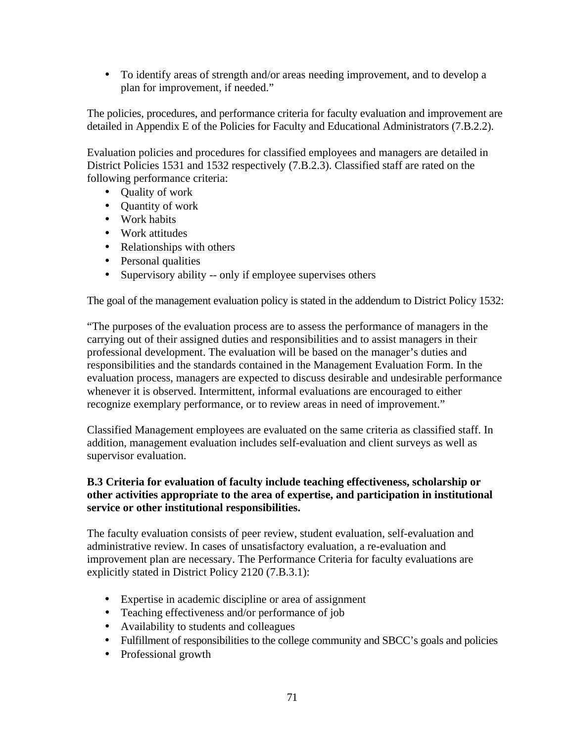• To identify areas of strength and/or areas needing improvement, and to develop a plan for improvement, if needed."

The policies, procedures, and performance criteria for faculty evaluation and improvement are detailed in Appendix E of the Policies for Faculty and Educational Administrators (7.B.2.2).

Evaluation policies and procedures for classified employees and managers are detailed in District Policies 1531 and 1532 respectively (7.B.2.3). Classified staff are rated on the following performance criteria:

- Ouality of work
- Quantity of work
- Work habits
- Work attitudes
- Relationships with others
- Personal qualities
- Supervisory ability -- only if employee supervises others

The goal of the management evaluation policy is stated in the addendum to District Policy 1532:

"The purposes of the evaluation process are to assess the performance of managers in the carrying out of their assigned duties and responsibilities and to assist managers in their professional development. The evaluation will be based on the manager's duties and responsibilities and the standards contained in the Management Evaluation Form. In the evaluation process, managers are expected to discuss desirable and undesirable performance whenever it is observed. Intermittent, informal evaluations are encouraged to either recognize exemplary performance, or to review areas in need of improvement."

Classified Management employees are evaluated on the same criteria as classified staff. In addition, management evaluation includes self-evaluation and client surveys as well as supervisor evaluation.

## **B.3 Criteria for evaluation of faculty include teaching effectiveness, scholarship or other activities appropriate to the area of expertise, and participation in institutional service or other institutional responsibilities.**

The faculty evaluation consists of peer review, student evaluation, self-evaluation and administrative review. In cases of unsatisfactory evaluation, a re-evaluation and improvement plan are necessary. The Performance Criteria for faculty evaluations are explicitly stated in District Policy 2120 (7.B.3.1):

- Expertise in academic discipline or area of assignment
- Teaching effectiveness and/or performance of job
- Availability to students and colleagues
- Fulfillment of responsibilities to the college community and SBCC's goals and policies
- Professional growth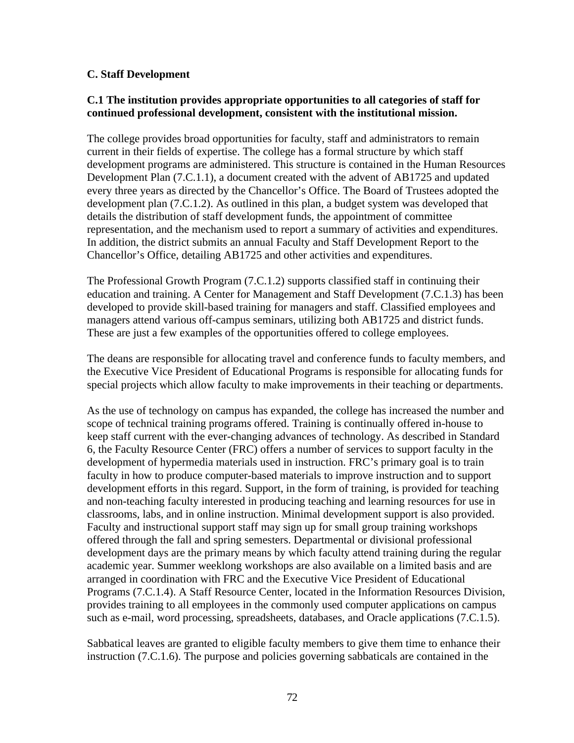#### **C. Staff Development**

#### **C.1 The institution provides appropriate opportunities to all categories of staff for continued professional development, consistent with the institutional mission.**

The college provides broad opportunities for faculty, staff and administrators to remain current in their fields of expertise. The college has a formal structure by which staff development programs are administered. This structure is contained in the Human Resources Development Plan (7.C.1.1), a document created with the advent of AB1725 and updated every three years as directed by the Chancellor's Office. The Board of Trustees adopted the development plan (7.C.1.2). As outlined in this plan, a budget system was developed that details the distribution of staff development funds, the appointment of committee representation, and the mechanism used to report a summary of activities and expenditures. In addition, the district submits an annual Faculty and Staff Development Report to the Chancellor's Office, detailing AB1725 and other activities and expenditures.

The Professional Growth Program (7.C.1.2) supports classified staff in continuing their education and training. A Center for Management and Staff Development (7.C.1.3) has been developed to provide skill-based training for managers and staff. Classified employees and managers attend various off-campus seminars, utilizing both AB1725 and district funds. These are just a few examples of the opportunities offered to college employees.

The deans are responsible for allocating travel and conference funds to faculty members, and the Executive Vice President of Educational Programs is responsible for allocating funds for special projects which allow faculty to make improvements in their teaching or departments.

As the use of technology on campus has expanded, the college has increased the number and scope of technical training programs offered. Training is continually offered in-house to keep staff current with the ever-changing advances of technology. As described in Standard 6, the Faculty Resource Center (FRC) offers a number of services to support faculty in the development of hypermedia materials used in instruction. FRC's primary goal is to train faculty in how to produce computer-based materials to improve instruction and to support development efforts in this regard. Support, in the form of training, is provided for teaching and non-teaching faculty interested in producing teaching and learning resources for use in classrooms, labs, and in online instruction. Minimal development support is also provided. Faculty and instructional support staff may sign up for small group training workshops offered through the fall and spring semesters. Departmental or divisional professional development days are the primary means by which faculty attend training during the regular academic year. Summer weeklong workshops are also available on a limited basis and are arranged in coordination with FRC and the Executive Vice President of Educational Programs (7.C.1.4). A Staff Resource Center, located in the Information Resources Division, provides training to all employees in the commonly used computer applications on campus such as e-mail, word processing, spreadsheets, databases, and Oracle applications (7.C.1.5).

Sabbatical leaves are granted to eligible faculty members to give them time to enhance their instruction (7.C.1.6). The purpose and policies governing sabbaticals are contained in the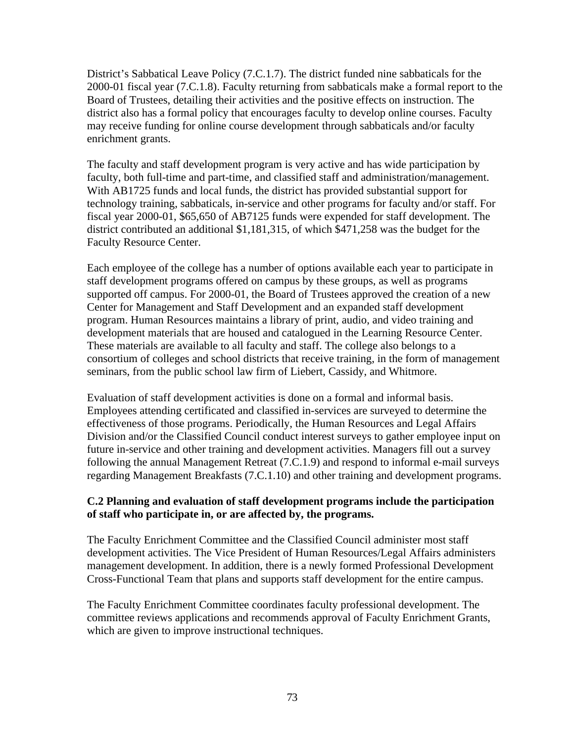District's Sabbatical Leave Policy (7.C.1.7). The district funded nine sabbaticals for the 2000-01 fiscal year (7.C.1.8). Faculty returning from sabbaticals make a formal report to the Board of Trustees, detailing their activities and the positive effects on instruction. The district also has a formal policy that encourages faculty to develop online courses. Faculty may receive funding for online course development through sabbaticals and/or faculty enrichment grants.

The faculty and staff development program is very active and has wide participation by faculty, both full-time and part-time, and classified staff and administration/management. With AB1725 funds and local funds, the district has provided substantial support for technology training, sabbaticals, in-service and other programs for faculty and/or staff. For fiscal year 2000-01, \$65,650 of AB7125 funds were expended for staff development. The district contributed an additional \$1,181,315, of which \$471,258 was the budget for the Faculty Resource Center.

Each employee of the college has a number of options available each year to participate in staff development programs offered on campus by these groups, as well as programs supported off campus. For 2000-01, the Board of Trustees approved the creation of a new Center for Management and Staff Development and an expanded staff development program. Human Resources maintains a library of print, audio, and video training and development materials that are housed and catalogued in the Learning Resource Center. These materials are available to all faculty and staff. The college also belongs to a consortium of colleges and school districts that receive training, in the form of management seminars, from the public school law firm of Liebert, Cassidy, and Whitmore.

Evaluation of staff development activities is done on a formal and informal basis. Employees attending certificated and classified in-services are surveyed to determine the effectiveness of those programs. Periodically, the Human Resources and Legal Affairs Division and/or the Classified Council conduct interest surveys to gather employee input on future in-service and other training and development activities. Managers fill out a survey following the annual Management Retreat (7.C.1.9) and respond to informal e-mail surveys regarding Management Breakfasts (7.C.1.10) and other training and development programs.

#### **C.2 Planning and evaluation of staff development programs include the participation of staff who participate in, or are affected by, the programs.**

The Faculty Enrichment Committee and the Classified Council administer most staff development activities. The Vice President of Human Resources/Legal Affairs administers management development. In addition, there is a newly formed Professional Development Cross-Functional Team that plans and supports staff development for the entire campus.

The Faculty Enrichment Committee coordinates faculty professional development. The committee reviews applications and recommends approval of Faculty Enrichment Grants, which are given to improve instructional techniques.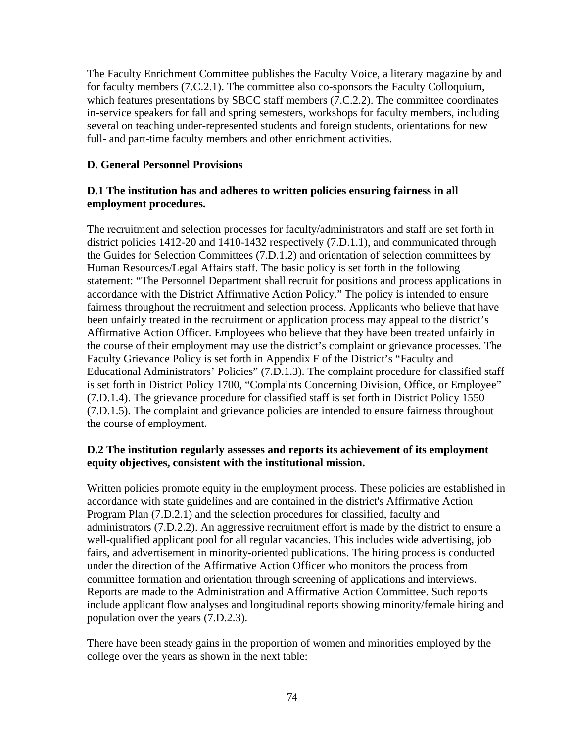The Faculty Enrichment Committee publishes the Faculty Voice, a literary magazine by and for faculty members (7.C.2.1). The committee also co-sponsors the Faculty Colloquium, which features presentations by SBCC staff members (7.C.2.2). The committee coordinates in-service speakers for fall and spring semesters, workshops for faculty members, including several on teaching under-represented students and foreign students, orientations for new full- and part-time faculty members and other enrichment activities.

## **D. General Personnel Provisions**

## **D.1 The institution has and adheres to written policies ensuring fairness in all employment procedures.**

The recruitment and selection processes for faculty/administrators and staff are set forth in district policies 1412-20 and 1410-1432 respectively (7.D.1.1), and communicated through the Guides for Selection Committees (7.D.1.2) and orientation of selection committees by Human Resources/Legal Affairs staff. The basic policy is set forth in the following statement: "The Personnel Department shall recruit for positions and process applications in accordance with the District Affirmative Action Policy." The policy is intended to ensure fairness throughout the recruitment and selection process. Applicants who believe that have been unfairly treated in the recruitment or application process may appeal to the district's Affirmative Action Officer. Employees who believe that they have been treated unfairly in the course of their employment may use the district's complaint or grievance processes. The Faculty Grievance Policy is set forth in Appendix F of the District's "Faculty and Educational Administrators' Policies" (7.D.1.3). The complaint procedure for classified staff is set forth in District Policy 1700, "Complaints Concerning Division, Office, or Employee" (7.D.1.4). The grievance procedure for classified staff is set forth in District Policy 1550 (7.D.1.5). The complaint and grievance policies are intended to ensure fairness throughout the course of employment.

## **D.2 The institution regularly assesses and reports its achievement of its employment equity objectives, consistent with the institutional mission.**

Written policies promote equity in the employment process. These policies are established in accordance with state guidelines and are contained in the district's Affirmative Action Program Plan (7.D.2.1) and the selection procedures for classified, faculty and administrators (7.D.2.2). An aggressive recruitment effort is made by the district to ensure a well-qualified applicant pool for all regular vacancies. This includes wide advertising, job fairs, and advertisement in minority-oriented publications. The hiring process is conducted under the direction of the Affirmative Action Officer who monitors the process from committee formation and orientation through screening of applications and interviews. Reports are made to the Administration and Affirmative Action Committee. Such reports include applicant flow analyses and longitudinal reports showing minority/female hiring and population over the years (7.D.2.3).

There have been steady gains in the proportion of women and minorities employed by the college over the years as shown in the next table: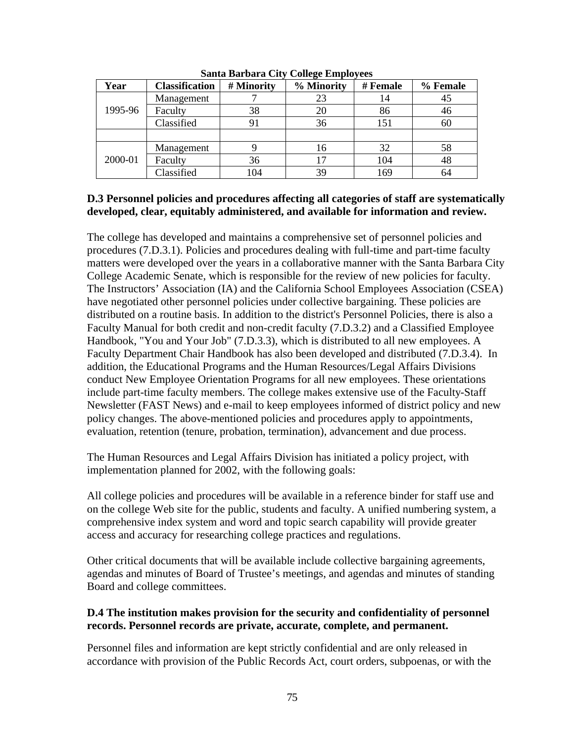| Year    | <b>Classification</b> | # Minority     | % Minority | # Female | % Female |
|---------|-----------------------|----------------|------------|----------|----------|
| 1995-96 | Management            |                | 23         | 14       | 45       |
|         | Faculty               | 38             | 20         | 86       | 46       |
|         | Classified            | 9 <sub>1</sub> | 36         | 151      | 60       |
|         |                       |                |            |          |          |
| 2000-01 | Management            |                | 16         | 32       | 58       |
|         | Faculty               | 36             | 17         | 104      | 48       |
|         | Classified            | 104            | 39         | 169      | 64       |

**Santa Barbara City College Employees**

#### **D.3 Personnel policies and procedures affecting all categories of staff are systematically developed, clear, equitably administered, and available for information and review.**

The college has developed and maintains a comprehensive set of personnel policies and procedures (7.D.3.1). Policies and procedures dealing with full-time and part-time faculty matters were developed over the years in a collaborative manner with the Santa Barbara City College Academic Senate, which is responsible for the review of new policies for faculty. The Instructors' Association (IA) and the California School Employees Association (CSEA) have negotiated other personnel policies under collective bargaining. These policies are distributed on a routine basis. In addition to the district's Personnel Policies, there is also a Faculty Manual for both credit and non-credit faculty (7.D.3.2) and a Classified Employee Handbook, "You and Your Job" (7.D.3.3), which is distributed to all new employees. A Faculty Department Chair Handbook has also been developed and distributed (7.D.3.4). In addition, the Educational Programs and the Human Resources/Legal Affairs Divisions conduct New Employee Orientation Programs for all new employees. These orientations include part-time faculty members. The college makes extensive use of the Faculty-Staff Newsletter (FAST News) and e-mail to keep employees informed of district policy and new policy changes. The above-mentioned policies and procedures apply to appointments, evaluation, retention (tenure, probation, termination), advancement and due process.

The Human Resources and Legal Affairs Division has initiated a policy project, with implementation planned for 2002, with the following goals:

All college policies and procedures will be available in a reference binder for staff use and on the college Web site for the public, students and faculty. A unified numbering system, a comprehensive index system and word and topic search capability will provide greater access and accuracy for researching college practices and regulations.

Other critical documents that will be available include collective bargaining agreements, agendas and minutes of Board of Trustee's meetings, and agendas and minutes of standing Board and college committees.

## **D.4 The institution makes provision for the security and confidentiality of personnel records. Personnel records are private, accurate, complete, and permanent.**

Personnel files and information are kept strictly confidential and are only released in accordance with provision of the Public Records Act, court orders, subpoenas, or with the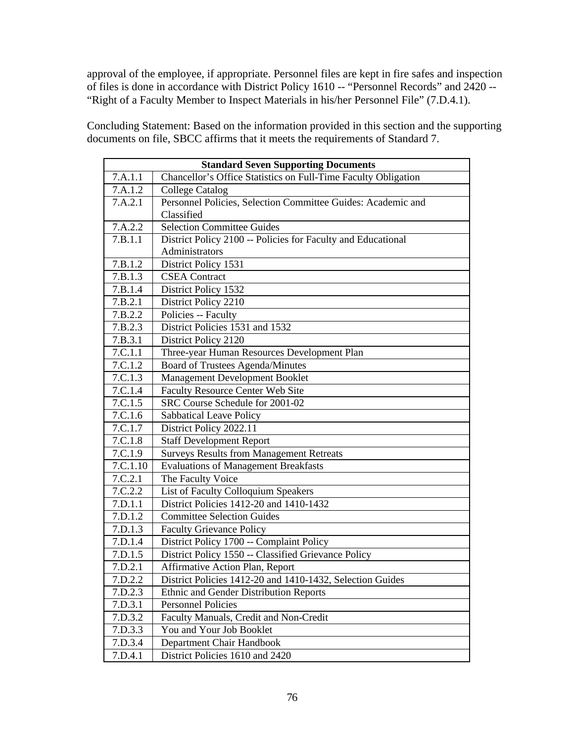approval of the employee, if appropriate. Personnel files are kept in fire safes and inspection of files is done in accordance with District Policy 1610 -- "Personnel Records" and 2420 -- "Right of a Faculty Member to Inspect Materials in his/her Personnel File" (7.D.4.1).

Concluding Statement: Based on the information provided in this section and the supporting documents on file, SBCC affirms that it meets the requirements of Standard 7.

| <b>Standard Seven Supporting Documents</b> |                                                                |  |
|--------------------------------------------|----------------------------------------------------------------|--|
| 7.A.1.1                                    | Chancellor's Office Statistics on Full-Time Faculty Obligation |  |
| 7.A.1.2                                    | <b>College Catalog</b>                                         |  |
| 7.A.2.1                                    | Personnel Policies, Selection Committee Guides: Academic and   |  |
|                                            | Classified                                                     |  |
| 7.A.2.2                                    | <b>Selection Committee Guides</b>                              |  |
| 7.B.1.1                                    | District Policy 2100 -- Policies for Faculty and Educational   |  |
|                                            | Administrators                                                 |  |
| 7.B.1.2                                    | District Policy 1531                                           |  |
| 7.B.1.3                                    | <b>CSEA</b> Contract                                           |  |
| 7.B.1.4                                    | District Policy 1532                                           |  |
| 7.B.2.1                                    | District Policy 2210                                           |  |
| 7.B.2.2                                    | Policies -- Faculty                                            |  |
| 7.B.2.3                                    | District Policies 1531 and 1532                                |  |
| 7.B.3.1                                    | District Policy 2120                                           |  |
| 7.C.1.1                                    | Three-year Human Resources Development Plan                    |  |
| 7.C.1.2                                    | Board of Trustees Agenda/Minutes                               |  |
| 7.C.1.3                                    | Management Development Booklet                                 |  |
| 7.C.1.4                                    | Faculty Resource Center Web Site                               |  |
| 7.C.1.5                                    | SRC Course Schedule for 2001-02                                |  |
| 7.C.1.6                                    | <b>Sabbatical Leave Policy</b>                                 |  |
| 7.C.1.7                                    | District Policy 2022.11                                        |  |
| 7.C.1.8                                    | <b>Staff Development Report</b>                                |  |
| 7.C.1.9                                    | <b>Surveys Results from Management Retreats</b>                |  |
| 7.C.1.10                                   | <b>Evaluations of Management Breakfasts</b>                    |  |
| 7.C.2.1                                    | The Faculty Voice                                              |  |
| 7.C.2.2                                    | List of Faculty Colloquium Speakers                            |  |
| 7.D.1.1                                    | District Policies 1412-20 and 1410-1432                        |  |
| 7.D.1.2                                    | <b>Committee Selection Guides</b>                              |  |
| 7.D.1.3                                    | <b>Faculty Grievance Policy</b>                                |  |
| 7.D.1.4                                    | District Policy 1700 -- Complaint Policy                       |  |
| 7.D.1.5                                    | District Policy 1550 -- Classified Grievance Policy            |  |
| 7.D.2.1                                    | Affirmative Action Plan, Report                                |  |
| 7.D.2.2                                    | District Policies 1412-20 and 1410-1432, Selection Guides      |  |
| 7.D.2.3                                    | <b>Ethnic and Gender Distribution Reports</b>                  |  |
| 7.D.3.1                                    | <b>Personnel Policies</b>                                      |  |
| 7.D.3.2                                    | Faculty Manuals, Credit and Non-Credit                         |  |
| 7.D.3.3                                    | You and Your Job Booklet                                       |  |
| 7.D.3.4                                    | Department Chair Handbook                                      |  |
| 7.D.4.1                                    | District Policies 1610 and 2420                                |  |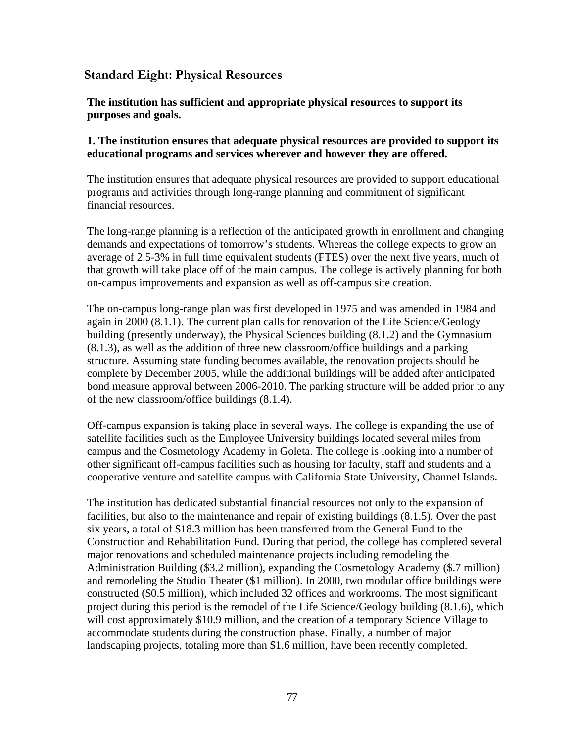## **Standard Eight: Physical Resources**

**The institution has sufficient and appropriate physical resources to support its purposes and goals.**

#### **1. The institution ensures that adequate physical resources are provided to support its educational programs and services wherever and however they are offered.**

The institution ensures that adequate physical resources are provided to support educational programs and activities through long-range planning and commitment of significant financial resources.

The long-range planning is a reflection of the anticipated growth in enrollment and changing demands and expectations of tomorrow's students. Whereas the college expects to grow an average of 2.5-3% in full time equivalent students (FTES) over the next five years, much of that growth will take place off of the main campus. The college is actively planning for both on-campus improvements and expansion as well as off-campus site creation.

The on-campus long-range plan was first developed in 1975 and was amended in 1984 and again in 2000 (8.1.1). The current plan calls for renovation of the Life Science/Geology building (presently underway), the Physical Sciences building (8.1.2) and the Gymnasium (8.1.3), as well as the addition of three new classroom/office buildings and a parking structure. Assuming state funding becomes available, the renovation projects should be complete by December 2005, while the additional buildings will be added after anticipated bond measure approval between 2006-2010. The parking structure will be added prior to any of the new classroom/office buildings (8.1.4).

Off-campus expansion is taking place in several ways. The college is expanding the use of satellite facilities such as the Employee University buildings located several miles from campus and the Cosmetology Academy in Goleta. The college is looking into a number of other significant off-campus facilities such as housing for faculty, staff and students and a cooperative venture and satellite campus with California State University, Channel Islands.

The institution has dedicated substantial financial resources not only to the expansion of facilities, but also to the maintenance and repair of existing buildings (8.1.5). Over the past six years, a total of \$18.3 million has been transferred from the General Fund to the Construction and Rehabilitation Fund. During that period, the college has completed several major renovations and scheduled maintenance projects including remodeling the Administration Building (\$3.2 million), expanding the Cosmetology Academy (\$.7 million) and remodeling the Studio Theater (\$1 million). In 2000, two modular office buildings were constructed (\$0.5 million), which included 32 offices and workrooms. The most significant project during this period is the remodel of the Life Science/Geology building (8.1.6), which will cost approximately \$10.9 million, and the creation of a temporary Science Village to accommodate students during the construction phase. Finally, a number of major landscaping projects, totaling more than \$1.6 million, have been recently completed.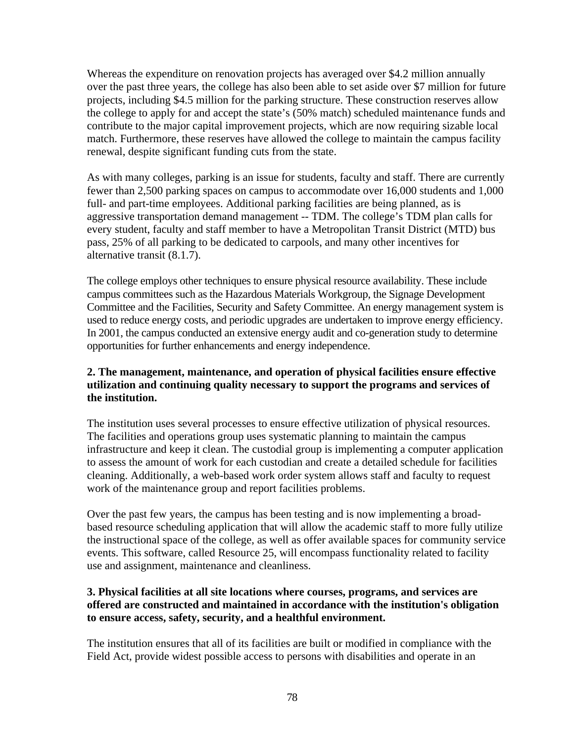Whereas the expenditure on renovation projects has averaged over \$4.2 million annually over the past three years, the college has also been able to set aside over \$7 million for future projects, including \$4.5 million for the parking structure. These construction reserves allow the college to apply for and accept the state's (50% match) scheduled maintenance funds and contribute to the major capital improvement projects, which are now requiring sizable local match. Furthermore, these reserves have allowed the college to maintain the campus facility renewal, despite significant funding cuts from the state.

As with many colleges, parking is an issue for students, faculty and staff. There are currently fewer than 2,500 parking spaces on campus to accommodate over 16,000 students and 1,000 full- and part-time employees. Additional parking facilities are being planned, as is aggressive transportation demand management -- TDM. The college's TDM plan calls for every student, faculty and staff member to have a Metropolitan Transit District (MTD) bus pass, 25% of all parking to be dedicated to carpools, and many other incentives for alternative transit (8.1.7).

The college employs other techniques to ensure physical resource availability. These include campus committees such as the Hazardous Materials Workgroup, the Signage Development Committee and the Facilities, Security and Safety Committee. An energy management system is used to reduce energy costs, and periodic upgrades are undertaken to improve energy efficiency. In 2001, the campus conducted an extensive energy audit and co-generation study to determine opportunities for further enhancements and energy independence.

## **2. The management, maintenance, and operation of physical facilities ensure effective utilization and continuing quality necessary to support the programs and services of the institution.**

The institution uses several processes to ensure effective utilization of physical resources. The facilities and operations group uses systematic planning to maintain the campus infrastructure and keep it clean. The custodial group is implementing a computer application to assess the amount of work for each custodian and create a detailed schedule for facilities cleaning. Additionally, a web-based work order system allows staff and faculty to request work of the maintenance group and report facilities problems.

Over the past few years, the campus has been testing and is now implementing a broadbased resource scheduling application that will allow the academic staff to more fully utilize the instructional space of the college, as well as offer available spaces for community service events. This software, called Resource 25, will encompass functionality related to facility use and assignment, maintenance and cleanliness.

## **3. Physical facilities at all site locations where courses, programs, and services are offered are constructed and maintained in accordance with the institution's obligation to ensure access, safety, security, and a healthful environment.**

The institution ensures that all of its facilities are built or modified in compliance with the Field Act, provide widest possible access to persons with disabilities and operate in an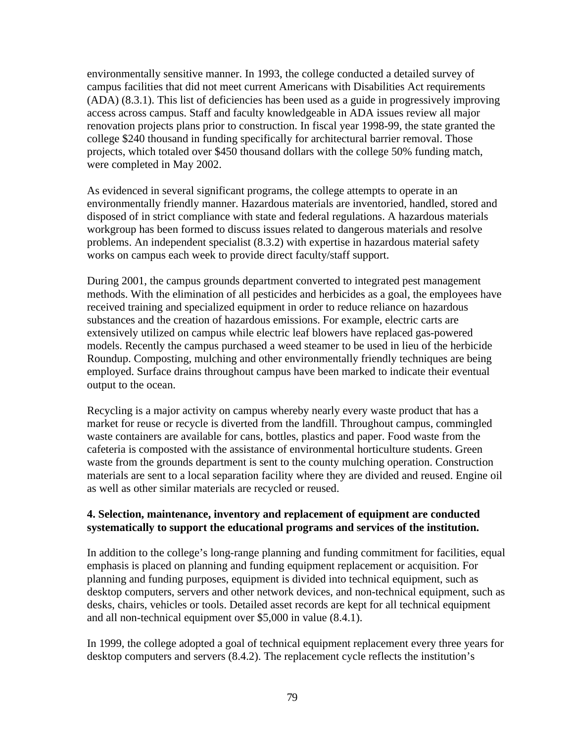environmentally sensitive manner. In 1993, the college conducted a detailed survey of campus facilities that did not meet current Americans with Disabilities Act requirements (ADA) (8.3.1). This list of deficiencies has been used as a guide in progressively improving access across campus. Staff and faculty knowledgeable in ADA issues review all major renovation projects plans prior to construction. In fiscal year 1998-99, the state granted the college \$240 thousand in funding specifically for architectural barrier removal. Those projects, which totaled over \$450 thousand dollars with the college 50% funding match, were completed in May 2002.

As evidenced in several significant programs, the college attempts to operate in an environmentally friendly manner. Hazardous materials are inventoried, handled, stored and disposed of in strict compliance with state and federal regulations. A hazardous materials workgroup has been formed to discuss issues related to dangerous materials and resolve problems. An independent specialist (8.3.2) with expertise in hazardous material safety works on campus each week to provide direct faculty/staff support.

During 2001, the campus grounds department converted to integrated pest management methods. With the elimination of all pesticides and herbicides as a goal, the employees have received training and specialized equipment in order to reduce reliance on hazardous substances and the creation of hazardous emissions. For example, electric carts are extensively utilized on campus while electric leaf blowers have replaced gas-powered models. Recently the campus purchased a weed steamer to be used in lieu of the herbicide Roundup. Composting, mulching and other environmentally friendly techniques are being employed. Surface drains throughout campus have been marked to indicate their eventual output to the ocean.

Recycling is a major activity on campus whereby nearly every waste product that has a market for reuse or recycle is diverted from the landfill. Throughout campus, commingled waste containers are available for cans, bottles, plastics and paper. Food waste from the cafeteria is composted with the assistance of environmental horticulture students. Green waste from the grounds department is sent to the county mulching operation. Construction materials are sent to a local separation facility where they are divided and reused. Engine oil as well as other similar materials are recycled or reused.

## **4. Selection, maintenance, inventory and replacement of equipment are conducted systematically to support the educational programs and services of the institution.**

In addition to the college's long-range planning and funding commitment for facilities, equal emphasis is placed on planning and funding equipment replacement or acquisition. For planning and funding purposes, equipment is divided into technical equipment, such as desktop computers, servers and other network devices, and non-technical equipment, such as desks, chairs, vehicles or tools. Detailed asset records are kept for all technical equipment and all non-technical equipment over \$5,000 in value (8.4.1).

In 1999, the college adopted a goal of technical equipment replacement every three years for desktop computers and servers (8.4.2). The replacement cycle reflects the institution's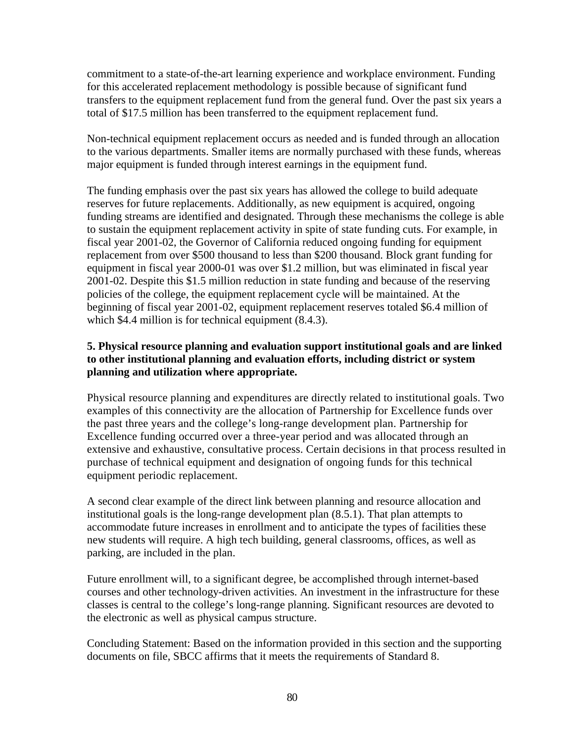commitment to a state-of-the-art learning experience and workplace environment. Funding for this accelerated replacement methodology is possible because of significant fund transfers to the equipment replacement fund from the general fund. Over the past six years a total of \$17.5 million has been transferred to the equipment replacement fund.

Non-technical equipment replacement occurs as needed and is funded through an allocation to the various departments. Smaller items are normally purchased with these funds, whereas major equipment is funded through interest earnings in the equipment fund.

The funding emphasis over the past six years has allowed the college to build adequate reserves for future replacements. Additionally, as new equipment is acquired, ongoing funding streams are identified and designated. Through these mechanisms the college is able to sustain the equipment replacement activity in spite of state funding cuts. For example, in fiscal year 2001-02, the Governor of California reduced ongoing funding for equipment replacement from over \$500 thousand to less than \$200 thousand. Block grant funding for equipment in fiscal year 2000-01 was over \$1.2 million, but was eliminated in fiscal year 2001-02. Despite this \$1.5 million reduction in state funding and because of the reserving policies of the college, the equipment replacement cycle will be maintained. At the beginning of fiscal year 2001-02, equipment replacement reserves totaled \$6.4 million of which \$4.4 million is for technical equipment (8.4.3).

## **5. Physical resource planning and evaluation support institutional goals and are linked to other institutional planning and evaluation efforts, including district or system planning and utilization where appropriate.**

Physical resource planning and expenditures are directly related to institutional goals. Two examples of this connectivity are the allocation of Partnership for Excellence funds over the past three years and the college's long-range development plan. Partnership for Excellence funding occurred over a three-year period and was allocated through an extensive and exhaustive, consultative process. Certain decisions in that process resulted in purchase of technical equipment and designation of ongoing funds for this technical equipment periodic replacement.

A second clear example of the direct link between planning and resource allocation and institutional goals is the long-range development plan (8.5.1). That plan attempts to accommodate future increases in enrollment and to anticipate the types of facilities these new students will require. A high tech building, general classrooms, offices, as well as parking, are included in the plan.

Future enrollment will, to a significant degree, be accomplished through internet-based courses and other technology-driven activities. An investment in the infrastructure for these classes is central to the college's long-range planning. Significant resources are devoted to the electronic as well as physical campus structure.

Concluding Statement: Based on the information provided in this section and the supporting documents on file, SBCC affirms that it meets the requirements of Standard 8.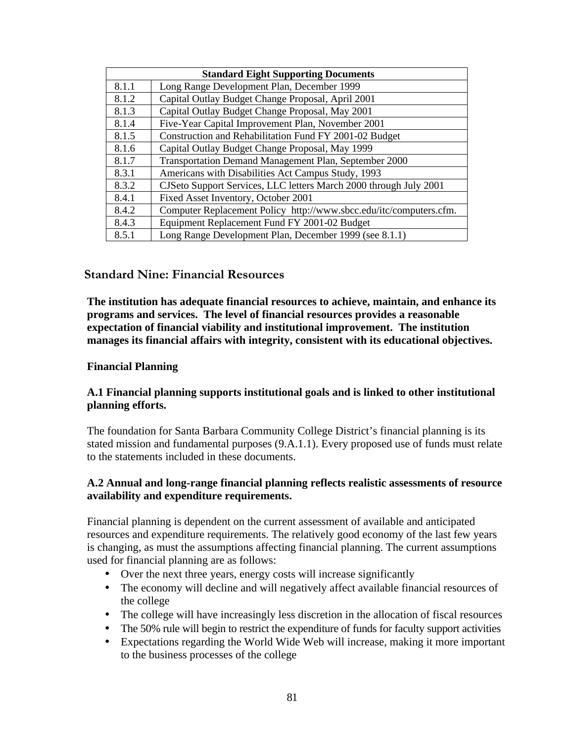| <b>Standard Eight Supporting Documents</b> |                                                                    |
|--------------------------------------------|--------------------------------------------------------------------|
| 8.1.1                                      | Long Range Development Plan, December 1999                         |
| 8.1.2                                      | Capital Outlay Budget Change Proposal, April 2001                  |
| 8.1.3                                      | Capital Outlay Budget Change Proposal, May 2001                    |
| 8.1.4                                      | Five-Year Capital Improvement Plan, November 2001                  |
| 8.1.5                                      | Construction and Rehabilitation Fund FY 2001-02 Budget             |
| 8.1.6                                      | Capital Outlay Budget Change Proposal, May 1999                    |
| 8.1.7                                      | Transportation Demand Management Plan, September 2000              |
| 8.3.1                                      | Americans with Disabilities Act Campus Study, 1993                 |
| 8.3.2                                      | CJSeto Support Services, LLC letters March 2000 through July 2001  |
| 8.4.1                                      | Fixed Asset Inventory, October 2001                                |
| 8.4.2                                      | Computer Replacement Policy http://www.sbcc.edu/itc/computers.cfm. |
| 8.4.3                                      | Equipment Replacement Fund FY 2001-02 Budget                       |
| 8.5.1                                      | Long Range Development Plan, December 1999 (see 8.1.1)             |

## **Standard Nine: Financial Resources**

**The institution has adequate financial resources to achieve, maintain, and enhance its programs and services. The level of financial resources provides a reasonable expectation of financial viability and institutional improvement. The institution manages its financial affairs with integrity, consistent with its educational objectives.**

#### **Financial Planning**

#### **A.1 Financial planning supports institutional goals and is linked to other institutional planning efforts.**

The foundation for Santa Barbara Community College District's financial planning is its stated mission and fundamental purposes (9.A.1.1). Every proposed use of funds must relate to the statements included in these documents.

#### **A.2 Annual and long-range financial planning reflects realistic assessments of resource availability and expenditure requirements.**

Financial planning is dependent on the current assessment of available and anticipated resources and expenditure requirements. The relatively good economy of the last few years is changing, as must the assumptions affecting financial planning. The current assumptions used for financial planning are as follows:

- Over the next three years, energy costs will increase significantly
- The economy will decline and will negatively affect available financial resources of the college
- The college will have increasingly less discretion in the allocation of fiscal resources
- The 50% rule will begin to restrict the expenditure of funds for faculty support activities
- Expectations regarding the World Wide Web will increase, making it more important to the business processes of the college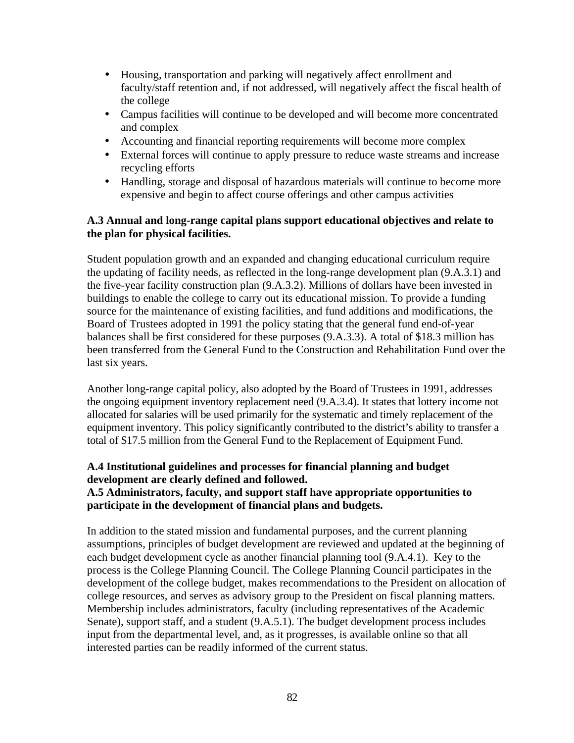- Housing, transportation and parking will negatively affect enrollment and faculty/staff retention and, if not addressed, will negatively affect the fiscal health of the college
- Campus facilities will continue to be developed and will become more concentrated and complex
- Accounting and financial reporting requirements will become more complex
- External forces will continue to apply pressure to reduce waste streams and increase recycling efforts
- Handling, storage and disposal of hazardous materials will continue to become more expensive and begin to affect course offerings and other campus activities

#### **A.3 Annual and long-range capital plans support educational objectives and relate to the plan for physical facilities.**

Student population growth and an expanded and changing educational curriculum require the updating of facility needs, as reflected in the long-range development plan (9.A.3.1) and the five-year facility construction plan (9.A.3.2). Millions of dollars have been invested in buildings to enable the college to carry out its educational mission. To provide a funding source for the maintenance of existing facilities, and fund additions and modifications, the Board of Trustees adopted in 1991 the policy stating that the general fund end-of-year balances shall be first considered for these purposes (9.A.3.3). A total of \$18.3 million has been transferred from the General Fund to the Construction and Rehabilitation Fund over the last six years.

Another long-range capital policy, also adopted by the Board of Trustees in 1991, addresses the ongoing equipment inventory replacement need (9.A.3.4). It states that lottery income not allocated for salaries will be used primarily for the systematic and timely replacement of the equipment inventory. This policy significantly contributed to the district's ability to transfer a total of \$17.5 million from the General Fund to the Replacement of Equipment Fund.

## **A.4 Institutional guidelines and processes for financial planning and budget development are clearly defined and followed.**

## **A.5 Administrators, faculty, and support staff have appropriate opportunities to participate in the development of financial plans and budgets.**

In addition to the stated mission and fundamental purposes, and the current planning assumptions, principles of budget development are reviewed and updated at the beginning of each budget development cycle as another financial planning tool (9.A.4.1). Key to the process is the College Planning Council. The College Planning Council participates in the development of the college budget, makes recommendations to the President on allocation of college resources, and serves as advisory group to the President on fiscal planning matters. Membership includes administrators, faculty (including representatives of the Academic Senate), support staff, and a student (9.A.5.1). The budget development process includes input from the departmental level, and, as it progresses, is available online so that all interested parties can be readily informed of the current status.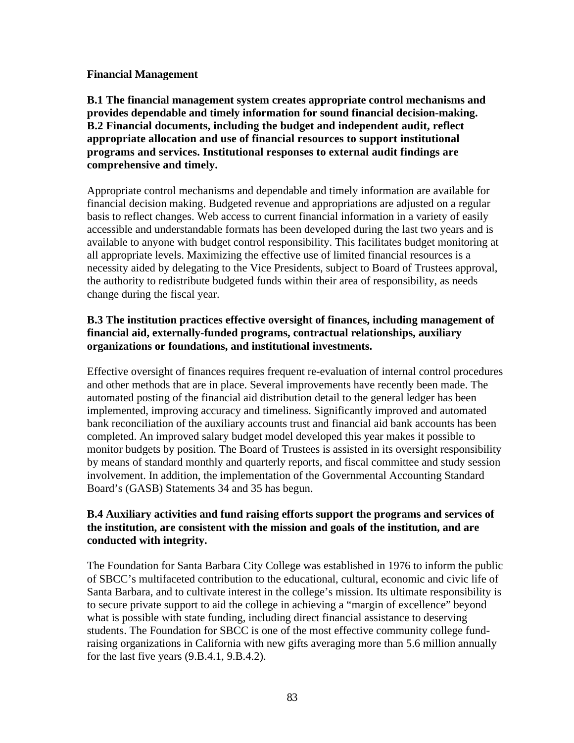#### **Financial Management**

**B.1 The financial management system creates appropriate control mechanisms and provides dependable and timely information for sound financial decision-making. B.2 Financial documents, including the budget and independent audit, reflect appropriate allocation and use of financial resources to support institutional programs and services. Institutional responses to external audit findings are comprehensive and timely.**

Appropriate control mechanisms and dependable and timely information are available for financial decision making. Budgeted revenue and appropriations are adjusted on a regular basis to reflect changes. Web access to current financial information in a variety of easily accessible and understandable formats has been developed during the last two years and is available to anyone with budget control responsibility. This facilitates budget monitoring at all appropriate levels. Maximizing the effective use of limited financial resources is a necessity aided by delegating to the Vice Presidents, subject to Board of Trustees approval, the authority to redistribute budgeted funds within their area of responsibility, as needs change during the fiscal year.

## **B.3 The institution practices effective oversight of finances, including management of financial aid, externally-funded programs, contractual relationships, auxiliary organizations or foundations, and institutional investments.**

Effective oversight of finances requires frequent re-evaluation of internal control procedures and other methods that are in place. Several improvements have recently been made. The automated posting of the financial aid distribution detail to the general ledger has been implemented, improving accuracy and timeliness. Significantly improved and automated bank reconciliation of the auxiliary accounts trust and financial aid bank accounts has been completed. An improved salary budget model developed this year makes it possible to monitor budgets by position. The Board of Trustees is assisted in its oversight responsibility by means of standard monthly and quarterly reports, and fiscal committee and study session involvement. In addition, the implementation of the Governmental Accounting Standard Board's (GASB) Statements 34 and 35 has begun.

## **B.4 Auxiliary activities and fund raising efforts support the programs and services of the institution, are consistent with the mission and goals of the institution, and are conducted with integrity.**

The Foundation for Santa Barbara City College was established in 1976 to inform the public of SBCC's multifaceted contribution to the educational, cultural, economic and civic life of Santa Barbara, and to cultivate interest in the college's mission. Its ultimate responsibility is to secure private support to aid the college in achieving a "margin of excellence" beyond what is possible with state funding, including direct financial assistance to deserving students. The Foundation for SBCC is one of the most effective community college fundraising organizations in California with new gifts averaging more than 5.6 million annually for the last five years (9.B.4.1, 9.B.4.2).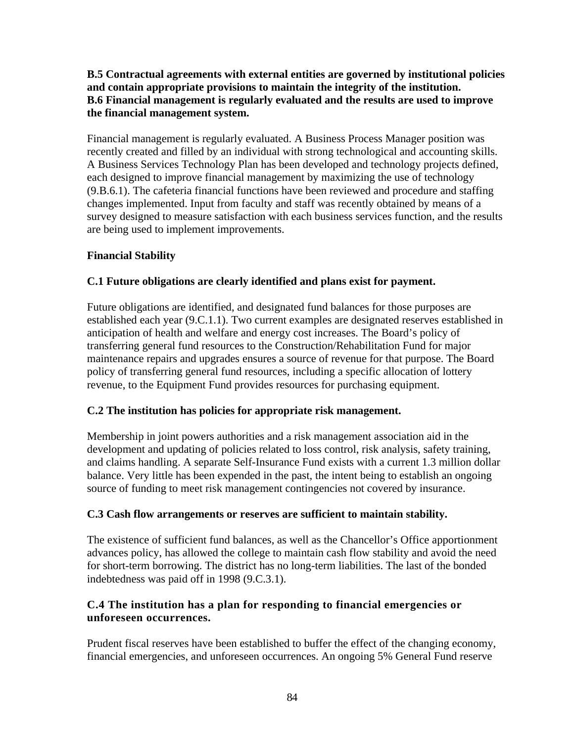## **B.5 Contractual agreements with external entities are governed by institutional policies and contain appropriate provisions to maintain the integrity of the institution. B.6 Financial management is regularly evaluated and the results are used to improve the financial management system.**

Financial management is regularly evaluated. A Business Process Manager position was recently created and filled by an individual with strong technological and accounting skills. A Business Services Technology Plan has been developed and technology projects defined, each designed to improve financial management by maximizing the use of technology (9.B.6.1). The cafeteria financial functions have been reviewed and procedure and staffing changes implemented. Input from faculty and staff was recently obtained by means of a survey designed to measure satisfaction with each business services function, and the results are being used to implement improvements.

## **Financial Stability**

## **C.1 Future obligations are clearly identified and plans exist for payment.**

Future obligations are identified, and designated fund balances for those purposes are established each year (9.C.1.1). Two current examples are designated reserves established in anticipation of health and welfare and energy cost increases. The Board's policy of transferring general fund resources to the Construction/Rehabilitation Fund for major maintenance repairs and upgrades ensures a source of revenue for that purpose. The Board policy of transferring general fund resources, including a specific allocation of lottery revenue, to the Equipment Fund provides resources for purchasing equipment.

## **C.2 The institution has policies for appropriate risk management.**

Membership in joint powers authorities and a risk management association aid in the development and updating of policies related to loss control, risk analysis, safety training, and claims handling. A separate Self-Insurance Fund exists with a current 1.3 million dollar balance. Very little has been expended in the past, the intent being to establish an ongoing source of funding to meet risk management contingencies not covered by insurance.

## **C.3 Cash flow arrangements or reserves are sufficient to maintain stability.**

The existence of sufficient fund balances, as well as the Chancellor's Office apportionment advances policy, has allowed the college to maintain cash flow stability and avoid the need for short-term borrowing. The district has no long-term liabilities. The last of the bonded indebtedness was paid off in 1998 (9.C.3.1).

## **C.4 The institution has a plan for responding to financial emergencies or unforeseen occurrences.**

Prudent fiscal reserves have been established to buffer the effect of the changing economy, financial emergencies, and unforeseen occurrences. An ongoing 5% General Fund reserve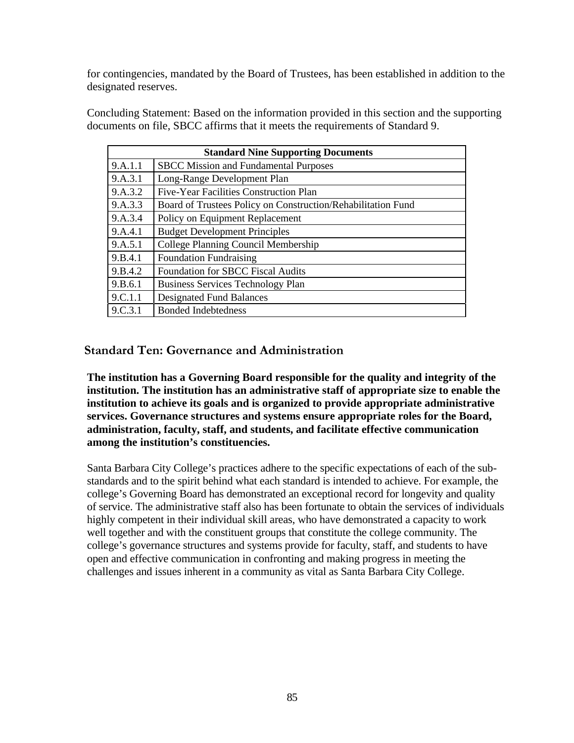for contingencies, mandated by the Board of Trustees, has been established in addition to the designated reserves.

Concluding Statement: Based on the information provided in this section and the supporting documents on file, SBCC affirms that it meets the requirements of Standard 9.

| <b>Standard Nine Supporting Documents</b> |                                                              |  |
|-------------------------------------------|--------------------------------------------------------------|--|
| 9.A.1.1                                   | <b>SBCC Mission and Fundamental Purposes</b>                 |  |
| 9.A.3.1                                   | Long-Range Development Plan                                  |  |
| 9.A.3.2                                   | Five-Year Facilities Construction Plan                       |  |
| 9.A.3.3                                   | Board of Trustees Policy on Construction/Rehabilitation Fund |  |
| 9.A.3.4                                   | Policy on Equipment Replacement                              |  |
| 9.A.4.1                                   | <b>Budget Development Principles</b>                         |  |
| 9.A.5.1                                   | College Planning Council Membership                          |  |
| 9.B.4.1                                   | <b>Foundation Fundraising</b>                                |  |
| 9.B.4.2                                   | <b>Foundation for SBCC Fiscal Audits</b>                     |  |
| 9.B.6.1                                   | <b>Business Services Technology Plan</b>                     |  |
| 9.C.1.1                                   | <b>Designated Fund Balances</b>                              |  |
| 9.C.3.1                                   | <b>Bonded Indebtedness</b>                                   |  |

**Standard Ten: Governance and Administration**

**The institution has a Governing Board responsible for the quality and integrity of the institution. The institution has an administrative staff of appropriate size to enable the institution to achieve its goals and is organized to provide appropriate administrative services. Governance structures and systems ensure appropriate roles for the Board, administration, faculty, staff, and students, and facilitate effective communication among the institution's constituencies.**

Santa Barbara City College's practices adhere to the specific expectations of each of the substandards and to the spirit behind what each standard is intended to achieve. For example, the college's Governing Board has demonstrated an exceptional record for longevity and quality of service. The administrative staff also has been fortunate to obtain the services of individuals highly competent in their individual skill areas, who have demonstrated a capacity to work well together and with the constituent groups that constitute the college community. The college's governance structures and systems provide for faculty, staff, and students to have open and effective communication in confronting and making progress in meeting the challenges and issues inherent in a community as vital as Santa Barbara City College.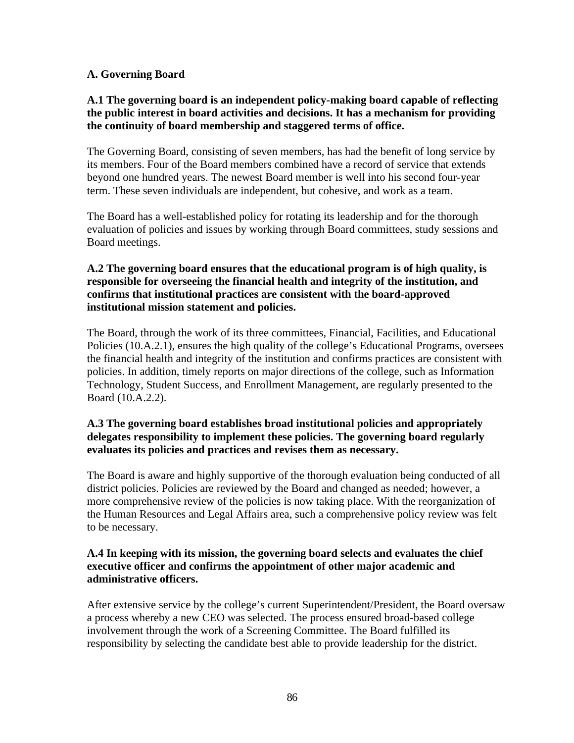#### **A. Governing Board**

#### **A.1 The governing board is an independent policy-making board capable of reflecting the public interest in board activities and decisions. It has a mechanism for providing the continuity of board membership and staggered terms of office.**

The Governing Board, consisting of seven members, has had the benefit of long service by its members. Four of the Board members combined have a record of service that extends beyond one hundred years. The newest Board member is well into his second four-year term. These seven individuals are independent, but cohesive, and work as a team.

The Board has a well-established policy for rotating its leadership and for the thorough evaluation of policies and issues by working through Board committees, study sessions and Board meetings.

#### **A.2 The governing board ensures that the educational program is of high quality, is responsible for overseeing the financial health and integrity of the institution, and confirms that institutional practices are consistent with the board-approved institutional mission statement and policies.**

The Board, through the work of its three committees, Financial, Facilities, and Educational Policies (10.A.2.1), ensures the high quality of the college's Educational Programs, oversees the financial health and integrity of the institution and confirms practices are consistent with policies. In addition, timely reports on major directions of the college, such as Information Technology, Student Success, and Enrollment Management, are regularly presented to the Board (10.A.2.2).

#### **A.3 The governing board establishes broad institutional policies and appropriately delegates responsibility to implement these policies. The governing board regularly evaluates its policies and practices and revises them as necessary.**

The Board is aware and highly supportive of the thorough evaluation being conducted of all district policies. Policies are reviewed by the Board and changed as needed; however, a more comprehensive review of the policies is now taking place. With the reorganization of the Human Resources and Legal Affairs area, such a comprehensive policy review was felt to be necessary.

#### **A.4 In keeping with its mission, the governing board selects and evaluates the chief executive officer and confirms the appointment of other major academic and administrative officers.**

After extensive service by the college's current Superintendent/President, the Board oversaw a process whereby a new CEO was selected. The process ensured broad-based college involvement through the work of a Screening Committee. The Board fulfilled its responsibility by selecting the candidate best able to provide leadership for the district.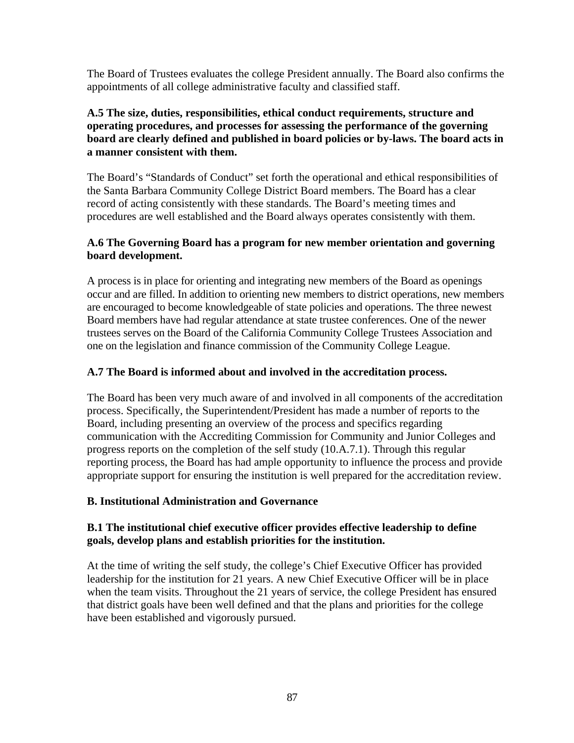The Board of Trustees evaluates the college President annually. The Board also confirms the appointments of all college administrative faculty and classified staff.

## **A.5 The size, duties, responsibilities, ethical conduct requirements, structure and operating procedures, and processes for assessing the performance of the governing board are clearly defined and published in board policies or by-laws. The board acts in a manner consistent with them.**

The Board's "Standards of Conduct" set forth the operational and ethical responsibilities of the Santa Barbara Community College District Board members. The Board has a clear record of acting consistently with these standards. The Board's meeting times and procedures are well established and the Board always operates consistently with them.

## **A.6 The Governing Board has a program for new member orientation and governing board development.**

A process is in place for orienting and integrating new members of the Board as openings occur and are filled. In addition to orienting new members to district operations, new members are encouraged to become knowledgeable of state policies and operations. The three newest Board members have had regular attendance at state trustee conferences. One of the newer trustees serves on the Board of the California Community College Trustees Association and one on the legislation and finance commission of the Community College League.

## **A.7 The Board is informed about and involved in the accreditation process.**

The Board has been very much aware of and involved in all components of the accreditation process. Specifically, the Superintendent/President has made a number of reports to the Board, including presenting an overview of the process and specifics regarding communication with the Accrediting Commission for Community and Junior Colleges and progress reports on the completion of the self study (10.A.7.1). Through this regular reporting process, the Board has had ample opportunity to influence the process and provide appropriate support for ensuring the institution is well prepared for the accreditation review.

## **B. Institutional Administration and Governance**

## **B.1 The institutional chief executive officer provides effective leadership to define goals, develop plans and establish priorities for the institution.**

At the time of writing the self study, the college's Chief Executive Officer has provided leadership for the institution for 21 years. A new Chief Executive Officer will be in place when the team visits. Throughout the 21 years of service, the college President has ensured that district goals have been well defined and that the plans and priorities for the college have been established and vigorously pursued.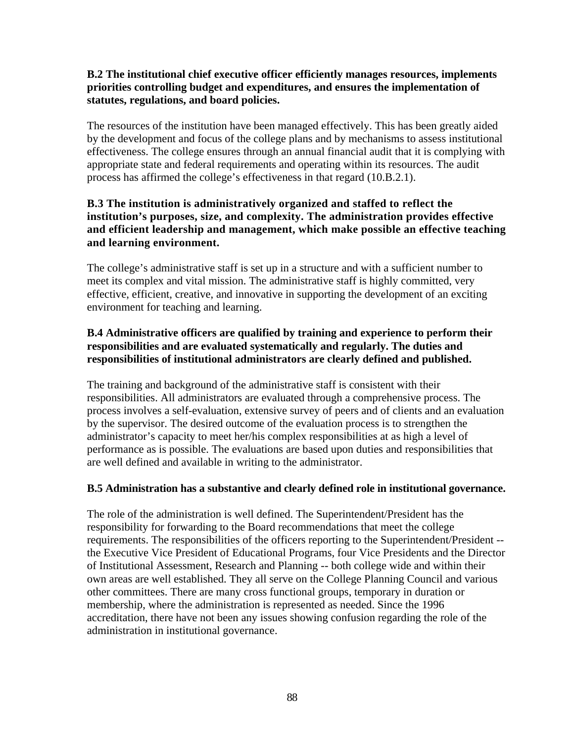## **B.2 The institutional chief executive officer efficiently manages resources, implements priorities controlling budget and expenditures, and ensures the implementation of statutes, regulations, and board policies.**

The resources of the institution have been managed effectively. This has been greatly aided by the development and focus of the college plans and by mechanisms to assess institutional effectiveness. The college ensures through an annual financial audit that it is complying with appropriate state and federal requirements and operating within its resources. The audit process has affirmed the college's effectiveness in that regard (10.B.2.1).

## **B.3 The institution is administratively organized and staffed to reflect the institution's purposes, size, and complexity. The administration provides effective and efficient leadership and management, which make possible an effective teaching and learning environment.**

The college's administrative staff is set up in a structure and with a sufficient number to meet its complex and vital mission. The administrative staff is highly committed, very effective, efficient, creative, and innovative in supporting the development of an exciting environment for teaching and learning.

## **B.4 Administrative officers are qualified by training and experience to perform their responsibilities and are evaluated systematically and regularly. The duties and responsibilities of institutional administrators are clearly defined and published.**

The training and background of the administrative staff is consistent with their responsibilities. All administrators are evaluated through a comprehensive process. The process involves a self-evaluation, extensive survey of peers and of clients and an evaluation by the supervisor. The desired outcome of the evaluation process is to strengthen the administrator's capacity to meet her/his complex responsibilities at as high a level of performance as is possible. The evaluations are based upon duties and responsibilities that are well defined and available in writing to the administrator.

## **B.5 Administration has a substantive and clearly defined role in institutional governance.**

The role of the administration is well defined. The Superintendent/President has the responsibility for forwarding to the Board recommendations that meet the college requirements. The responsibilities of the officers reporting to the Superintendent/President - the Executive Vice President of Educational Programs, four Vice Presidents and the Director of Institutional Assessment, Research and Planning -- both college wide and within their own areas are well established. They all serve on the College Planning Council and various other committees. There are many cross functional groups, temporary in duration or membership, where the administration is represented as needed. Since the 1996 accreditation, there have not been any issues showing confusion regarding the role of the administration in institutional governance.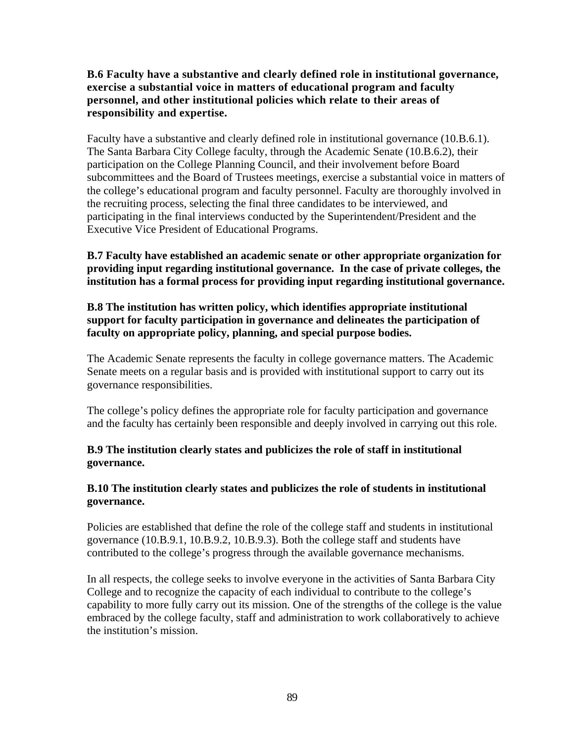#### **B.6 Faculty have a substantive and clearly defined role in institutional governance, exercise a substantial voice in matters of educational program and faculty personnel, and other institutional policies which relate to their areas of responsibility and expertise.**

Faculty have a substantive and clearly defined role in institutional governance (10.B.6.1). The Santa Barbara City College faculty, through the Academic Senate (10.B.6.2), their participation on the College Planning Council, and their involvement before Board subcommittees and the Board of Trustees meetings, exercise a substantial voice in matters of the college's educational program and faculty personnel. Faculty are thoroughly involved in the recruiting process, selecting the final three candidates to be interviewed, and participating in the final interviews conducted by the Superintendent/President and the Executive Vice President of Educational Programs.

## **B.7 Faculty have established an academic senate or other appropriate organization for providing input regarding institutional governance. In the case of private colleges, the institution has a formal process for providing input regarding institutional governance.**

## **B.8 The institution has written policy, which identifies appropriate institutional support for faculty participation in governance and delineates the participation of faculty on appropriate policy, planning, and special purpose bodies.**

The Academic Senate represents the faculty in college governance matters. The Academic Senate meets on a regular basis and is provided with institutional support to carry out its governance responsibilities.

The college's policy defines the appropriate role for faculty participation and governance and the faculty has certainly been responsible and deeply involved in carrying out this role.

## **B.9 The institution clearly states and publicizes the role of staff in institutional governance.**

## **B.10 The institution clearly states and publicizes the role of students in institutional governance.**

Policies are established that define the role of the college staff and students in institutional governance (10.B.9.1, 10.B.9.2, 10.B.9.3). Both the college staff and students have contributed to the college's progress through the available governance mechanisms.

In all respects, the college seeks to involve everyone in the activities of Santa Barbara City College and to recognize the capacity of each individual to contribute to the college's capability to more fully carry out its mission. One of the strengths of the college is the value embraced by the college faculty, staff and administration to work collaboratively to achieve the institution's mission.